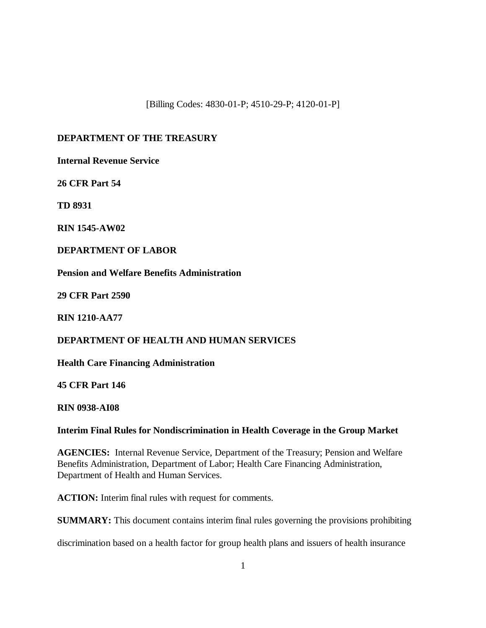[Billing Codes: 4830-01-P; 4510-29-P; 4120-01-P]

## **DEPARTMENT OF THE TREASURY**

**Internal Revenue Service**

**26 CFR Part 54**

**TD 8931**

**RIN 1545-AW02**

**DEPARTMENT OF LABOR**

**Pension and Welfare Benefits Administration**

**29 CFR Part 2590**

**RIN 1210-AA77**

## **DEPARTMENT OF HEALTH AND HUMAN SERVICES**

**Health Care Financing Administration**

**45 CFR Part 146**

**RIN 0938-AI08**

## **Interim Final Rules for Nondiscrimination in Health Coverage in the Group Market**

**AGENCIES:** Internal Revenue Service, Department of the Treasury; Pension and Welfare Benefits Administration, Department of Labor; Health Care Financing Administration, Department of Health and Human Services.

**ACTION:** Interim final rules with request for comments.

**SUMMARY:** This document contains interim final rules governing the provisions prohibiting

discrimination based on a health factor for group health plans and issuers of health insurance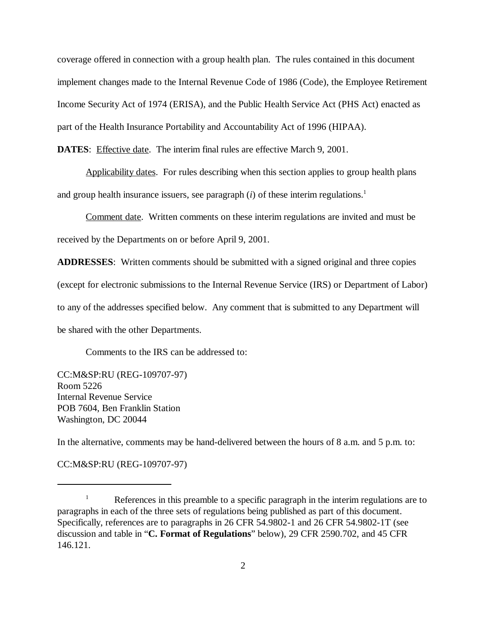coverage offered in connection with a group health plan. The rules contained in this document implement changes made to the Internal Revenue Code of 1986 (Code), the Employee Retirement Income Security Act of 1974 (ERISA), and the Public Health Service Act (PHS Act) enacted as part of the Health Insurance Portability and Accountability Act of 1996 (HIPAA).

**DATES:** Effective date. The interim final rules are effective March 9, 2001.

Applicability dates. For rules describing when this section applies to group health plans and group health insurance issuers, see paragraph  $(i)$  of these interim regulations.<sup>1</sup>

Comment date. Written comments on these interim regulations are invited and must be received by the Departments on or before April 9, 2001.

**ADDRESSES**: Written comments should be submitted with a signed original and three copies (except for electronic submissions to the Internal Revenue Service (IRS) or Department of Labor) to any of the addresses specified below. Any comment that is submitted to any Department will be shared with the other Departments.

Comments to the IRS can be addressed to:

CC:M&SP:RU (REG-109707-97) Room 5226 Internal Revenue Service POB 7604, Ben Franklin Station Washington, DC 20044

In the alternative, comments may be hand-delivered between the hours of 8 a.m. and 5 p.m. to:

CC:M&SP:RU (REG-109707-97)

References in this preamble to a specific paragraph in the interim regulations are to <sup>1</sup> paragraphs in each of the three sets of regulations being published as part of this document. Specifically, references are to paragraphs in 26 CFR 54.9802-1 and 26 CFR 54.9802-1T (see discussion and table in "**C. Format of Regulations**" below), 29 CFR 2590.702, and 45 CFR 146.121.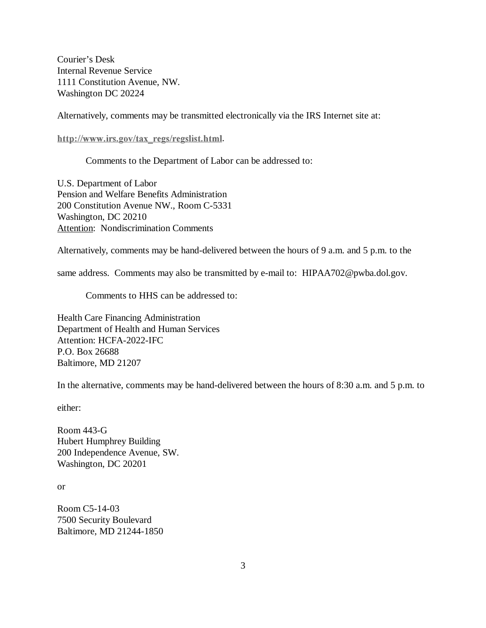Courier's Desk Internal Revenue Service 1111 Constitution Avenue, NW. Washington DC 20224

Alternatively, comments may be transmitted electronically via the IRS Internet site at:

http://www.irs.gov/tax\_regs/regslist.html.

Comments to the Department of Labor can be addressed to:

U.S. Department of Labor Pension and Welfare Benefits Administration 200 Constitution Avenue NW., Room C-5331 Washington, DC 20210 Attention: Nondiscrimination Comments

Alternatively, comments may be hand-delivered between the hours of 9 a.m. and 5 p.m. to the

same address. Comments may also be transmitted by e-mail to: HIPAA702@pwba.dol.gov.

Comments to HHS can be addressed to:

Health Care Financing Administration Department of Health and Human Services Attention: HCFA-2022-IFC P.O. Box 26688 Baltimore, MD 21207

In the alternative, comments may be hand-delivered between the hours of 8:30 a.m. and 5 p.m. to

either:

Room 443-G Hubert Humphrey Building 200 Independence Avenue, SW. Washington, DC 20201

or

Room C5-14-03 7500 Security Boulevard Baltimore, MD 21244-1850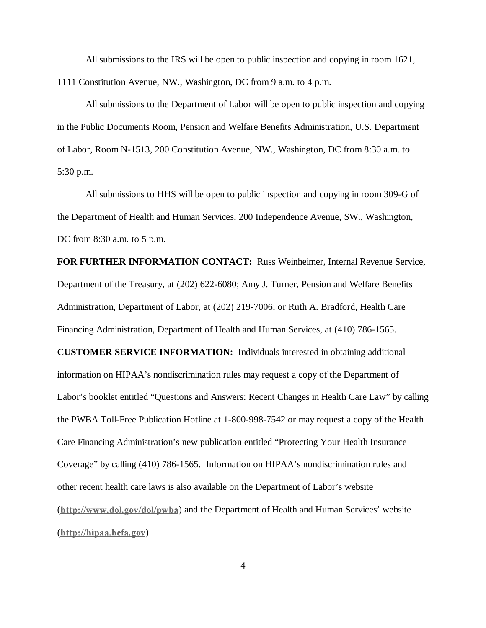All submissions to the IRS will be open to public inspection and copying in room 1621, 1111 Constitution Avenue, NW., Washington, DC from 9 a.m. to 4 p.m.

All submissions to the Department of Labor will be open to public inspection and copying in the Public Documents Room, Pension and Welfare Benefits Administration, U.S. Department of Labor, Room N-1513, 200 Constitution Avenue, NW., Washington, DC from 8:30 a.m. to 5:30 p.m.

All submissions to HHS will be open to public inspection and copying in room 309-G of the Department of Health and Human Services, 200 Independence Avenue, SW., Washington, DC from 8:30 a.m. to 5 p.m.

**FOR FURTHER INFORMATION CONTACT:** Russ Weinheimer, Internal Revenue Service, Department of the Treasury, at (202) 622-6080; Amy J. Turner, Pension and Welfare Benefits Administration, Department of Labor, at (202) 219-7006; or Ruth A. Bradford, Health Care Financing Administration, Department of Health and Human Services, at (410) 786-1565.

**CUSTOMER SERVICE INFORMATION:** Individuals interested in obtaining additional information on HIPAA's nondiscrimination rules may request a copy of the Department of Labor's booklet entitled "Questions and Answers: Recent Changes in Health Care Law" by calling the PWBA Toll-Free Publication Hotline at 1-800-998-7542 or may request a copy of the Health Care Financing Administration's new publication entitled "Protecting Your Health Insurance Coverage" by calling (410) 786-1565. Information on HIPAA's nondiscrimination rules and other recent health care laws is also available on the Department of Labor's website  $(\underline{http://www.dol.gov/dol/pwba})$  and the Department of Health and Human Services' website  $(\frac{http://hipaa.hcfa.gov)}$ .

4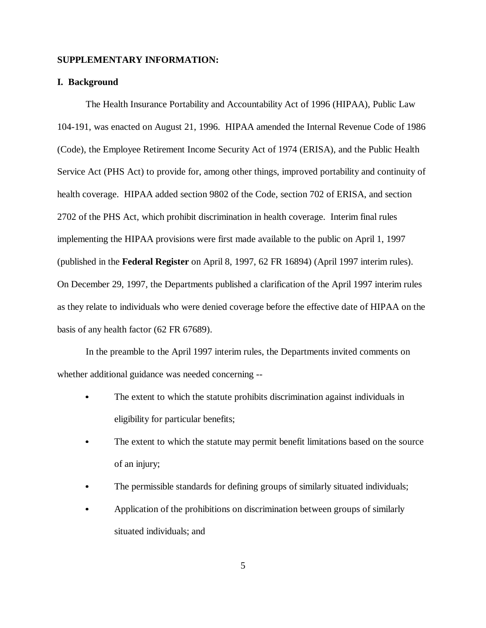#### **SUPPLEMENTARY INFORMATION:**

## **I. Background**

The Health Insurance Portability and Accountability Act of 1996 (HIPAA), Public Law 104-191, was enacted on August 21, 1996. HIPAA amended the Internal Revenue Code of 1986 (Code), the Employee Retirement Income Security Act of 1974 (ERISA), and the Public Health Service Act (PHS Act) to provide for, among other things, improved portability and continuity of health coverage. HIPAA added section 9802 of the Code, section 702 of ERISA, and section 2702 of the PHS Act, which prohibit discrimination in health coverage. Interim final rules implementing the HIPAA provisions were first made available to the public on April 1, 1997 (published in the **Federal Register** on April 8, 1997, 62 FR 16894) (April 1997 interim rules). On December 29, 1997, the Departments published a clarification of the April 1997 interim rules as they relate to individuals who were denied coverage before the effective date of HIPAA on the basis of any health factor (62 FR 67689).

In the preamble to the April 1997 interim rules, the Departments invited comments on whether additional guidance was needed concerning --

- The extent to which the statute prohibits discrimination against individuals in eligibility for particular benefits;
- The extent to which the statute may permit benefit limitations based on the source of an injury;
- The permissible standards for defining groups of similarly situated individuals;
- $\bullet$  Application of the prohibitions on discrimination between groups of similarly situated individuals; and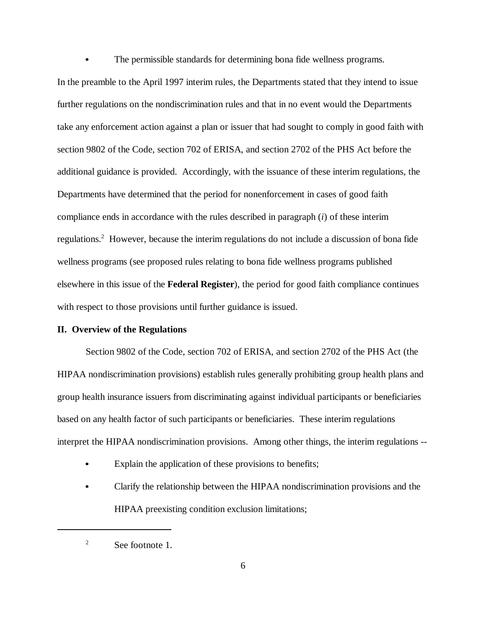The permissible standards for determining bona fide wellness programs.

In the preamble to the April 1997 interim rules, the Departments stated that they intend to issue further regulations on the nondiscrimination rules and that in no event would the Departments take any enforcement action against a plan or issuer that had sought to comply in good faith with section 9802 of the Code, section 702 of ERISA, and section 2702 of the PHS Act before the additional guidance is provided. Accordingly, with the issuance of these interim regulations, the Departments have determined that the period for nonenforcement in cases of good faith compliance ends in accordance with the rules described in paragraph (*i*) of these interim regulations.<sup>2</sup> However, because the interim regulations do not include a discussion of bona fide wellness programs (see proposed rules relating to bona fide wellness programs published elsewhere in this issue of the **Federal Register**), the period for good faith compliance continues with respect to those provisions until further guidance is issued.

## **II. Overview of the Regulations**

 $\bullet$ 

Section 9802 of the Code, section 702 of ERISA, and section 2702 of the PHS Act (the HIPAA nondiscrimination provisions) establish rules generally prohibiting group health plans and group health insurance issuers from discriminating against individual participants or beneficiaries based on any health factor of such participants or beneficiaries. These interim regulations interpret the HIPAA nondiscrimination provisions. Among other things, the interim regulations --

- Explain the application of these provisions to benefits;
- Clarify the relationship between the HIPAA nondiscrimination provisions and the HIPAA preexisting condition exclusion limitations;

 $\degree$  See footnote 1.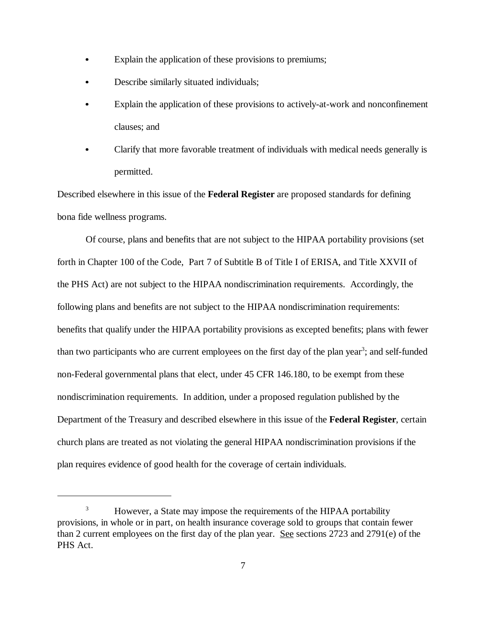- Explain the application of these provisions to premiums;
- Describe similarly situated individuals;
- Explain the application of these provisions to actively-at-work and nonconfinement clauses; and
- Clarify that more favorable treatment of individuals with medical needs generally is permitted.

Described elsewhere in this issue of the **Federal Register** are proposed standards for defining bona fide wellness programs.

Of course, plans and benefits that are not subject to the HIPAA portability provisions (set forth in Chapter 100 of the Code, Part 7 of Subtitle B of Title I of ERISA, and Title XXVII of the PHS Act) are not subject to the HIPAA nondiscrimination requirements. Accordingly, the following plans and benefits are not subject to the HIPAA nondiscrimination requirements: benefits that qualify under the HIPAA portability provisions as excepted benefits; plans with fewer than two participants who are current employees on the first day of the plan year<sup>3</sup>; and self-funded non-Federal governmental plans that elect, under 45 CFR 146.180, to be exempt from these nondiscrimination requirements. In addition, under a proposed regulation published by the Department of the Treasury and described elsewhere in this issue of the **Federal Register**, certain church plans are treated as not violating the general HIPAA nondiscrimination provisions if the plan requires evidence of good health for the coverage of certain individuals.

<sup>&</sup>lt;sup>3</sup> However, a State may impose the requirements of the HIPAA portability provisions, in whole or in part, on health insurance coverage sold to groups that contain fewer than 2 current employees on the first day of the plan year. See sections 2723 and 2791(e) of the PHS Act.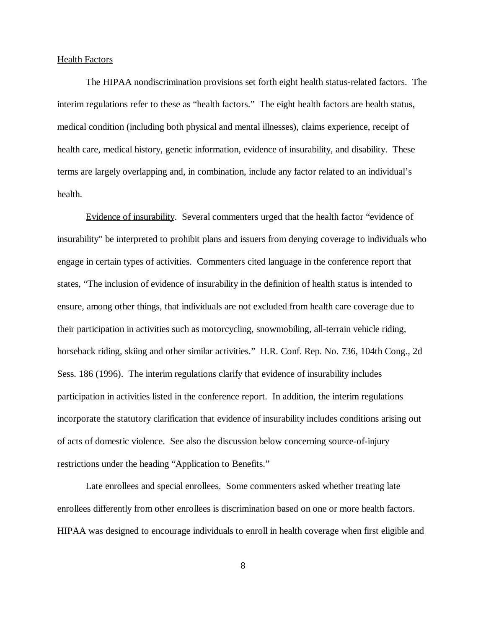### Health Factors

The HIPAA nondiscrimination provisions set forth eight health status-related factors. The interim regulations refer to these as "health factors." The eight health factors are health status, medical condition (including both physical and mental illnesses), claims experience, receipt of health care, medical history, genetic information, evidence of insurability, and disability. These terms are largely overlapping and, in combination, include any factor related to an individual's health.

Evidence of insurability. Several commenters urged that the health factor "evidence of insurability" be interpreted to prohibit plans and issuers from denying coverage to individuals who engage in certain types of activities. Commenters cited language in the conference report that states, "The inclusion of evidence of insurability in the definition of health status is intended to ensure, among other things, that individuals are not excluded from health care coverage due to their participation in activities such as motorcycling, snowmobiling, all-terrain vehicle riding, horseback riding, skiing and other similar activities." H.R. Conf. Rep. No. 736, 104th Cong., 2d Sess. 186 (1996). The interim regulations clarify that evidence of insurability includes participation in activities listed in the conference report. In addition, the interim regulations incorporate the statutory clarification that evidence of insurability includes conditions arising out of acts of domestic violence. See also the discussion below concerning source-of-injury restrictions under the heading "Application to Benefits."

Late enrollees and special enrollees. Some commenters asked whether treating late enrollees differently from other enrollees is discrimination based on one or more health factors. HIPAA was designed to encourage individuals to enroll in health coverage when first eligible and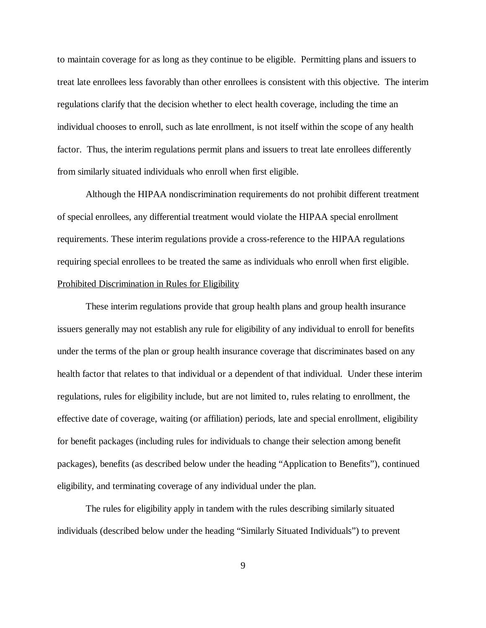to maintain coverage for as long as they continue to be eligible. Permitting plans and issuers to treat late enrollees less favorably than other enrollees is consistent with this objective. The interim regulations clarify that the decision whether to elect health coverage, including the time an individual chooses to enroll, such as late enrollment, is not itself within the scope of any health factor. Thus, the interim regulations permit plans and issuers to treat late enrollees differently from similarly situated individuals who enroll when first eligible.

Although the HIPAA nondiscrimination requirements do not prohibit different treatment of special enrollees, any differential treatment would violate the HIPAA special enrollment requirements. These interim regulations provide a cross-reference to the HIPAA regulations requiring special enrollees to be treated the same as individuals who enroll when first eligible. Prohibited Discrimination in Rules for Eligibility

These interim regulations provide that group health plans and group health insurance issuers generally may not establish any rule for eligibility of any individual to enroll for benefits under the terms of the plan or group health insurance coverage that discriminates based on any health factor that relates to that individual or a dependent of that individual. Under these interim regulations, rules for eligibility include, but are not limited to, rules relating to enrollment, the effective date of coverage, waiting (or affiliation) periods, late and special enrollment, eligibility for benefit packages (including rules for individuals to change their selection among benefit packages), benefits (as described below under the heading "Application to Benefits"), continued eligibility, and terminating coverage of any individual under the plan.

The rules for eligibility apply in tandem with the rules describing similarly situated individuals (described below under the heading "Similarly Situated Individuals") to prevent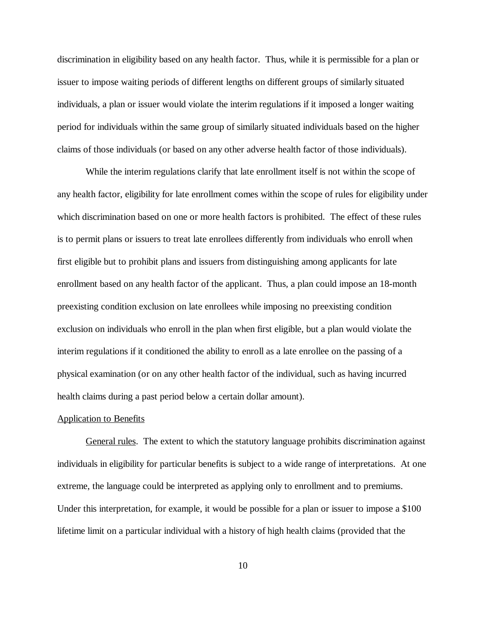discrimination in eligibility based on any health factor. Thus, while it is permissible for a plan or issuer to impose waiting periods of different lengths on different groups of similarly situated individuals, a plan or issuer would violate the interim regulations if it imposed a longer waiting period for individuals within the same group of similarly situated individuals based on the higher claims of those individuals (or based on any other adverse health factor of those individuals).

While the interim regulations clarify that late enrollment itself is not within the scope of any health factor, eligibility for late enrollment comes within the scope of rules for eligibility under which discrimination based on one or more health factors is prohibited. The effect of these rules is to permit plans or issuers to treat late enrollees differently from individuals who enroll when first eligible but to prohibit plans and issuers from distinguishing among applicants for late enrollment based on any health factor of the applicant. Thus, a plan could impose an 18-month preexisting condition exclusion on late enrollees while imposing no preexisting condition exclusion on individuals who enroll in the plan when first eligible, but a plan would violate the interim regulations if it conditioned the ability to enroll as a late enrollee on the passing of a physical examination (or on any other health factor of the individual, such as having incurred health claims during a past period below a certain dollar amount).

#### Application to Benefits

General rules. The extent to which the statutory language prohibits discrimination against individuals in eligibility for particular benefits is subject to a wide range of interpretations. At one extreme, the language could be interpreted as applying only to enrollment and to premiums. Under this interpretation, for example, it would be possible for a plan or issuer to impose a \$100 lifetime limit on a particular individual with a history of high health claims (provided that the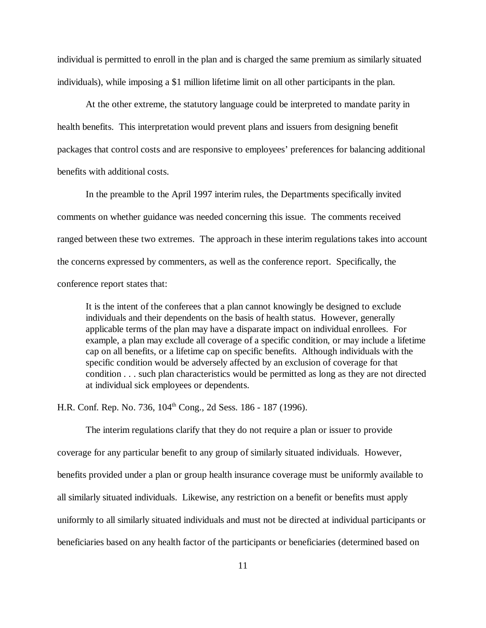individual is permitted to enroll in the plan and is charged the same premium as similarly situated individuals), while imposing a \$1 million lifetime limit on all other participants in the plan.

At the other extreme, the statutory language could be interpreted to mandate parity in health benefits. This interpretation would prevent plans and issuers from designing benefit packages that control costs and are responsive to employees' preferences for balancing additional benefits with additional costs.

In the preamble to the April 1997 interim rules, the Departments specifically invited comments on whether guidance was needed concerning this issue. The comments received ranged between these two extremes. The approach in these interim regulations takes into account the concerns expressed by commenters, as well as the conference report. Specifically, the conference report states that:

It is the intent of the conferees that a plan cannot knowingly be designed to exclude individuals and their dependents on the basis of health status. However, generally applicable terms of the plan may have a disparate impact on individual enrollees. For example, a plan may exclude all coverage of a specific condition, or may include a lifetime cap on all benefits, or a lifetime cap on specific benefits. Although individuals with the specific condition would be adversely affected by an exclusion of coverage for that condition . . . such plan characteristics would be permitted as long as they are not directed at individual sick employees or dependents.

H.R. Conf. Rep. No. 736, 104<sup>th</sup> Cong., 2d Sess. 186 - 187 (1996).

The interim regulations clarify that they do not require a plan or issuer to provide coverage for any particular benefit to any group of similarly situated individuals. However, benefits provided under a plan or group health insurance coverage must be uniformly available to all similarly situated individuals. Likewise, any restriction on a benefit or benefits must apply uniformly to all similarly situated individuals and must not be directed at individual participants or beneficiaries based on any health factor of the participants or beneficiaries (determined based on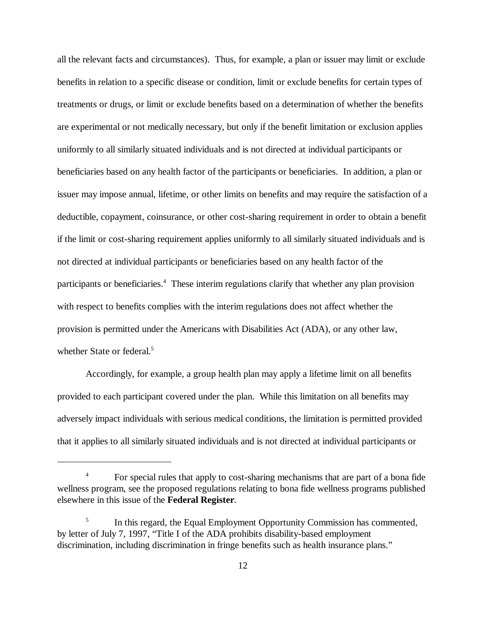all the relevant facts and circumstances). Thus, for example, a plan or issuer may limit or exclude benefits in relation to a specific disease or condition, limit or exclude benefits for certain types of treatments or drugs, or limit or exclude benefits based on a determination of whether the benefits are experimental or not medically necessary, but only if the benefit limitation or exclusion applies uniformly to all similarly situated individuals and is not directed at individual participants or beneficiaries based on any health factor of the participants or beneficiaries. In addition, a plan or issuer may impose annual, lifetime, or other limits on benefits and may require the satisfaction of a deductible, copayment, coinsurance, or other cost-sharing requirement in order to obtain a benefit if the limit or cost-sharing requirement applies uniformly to all similarly situated individuals and is not directed at individual participants or beneficiaries based on any health factor of the participants or beneficiaries.<sup>4</sup> These interim regulations clarify that whether any plan provision with respect to benefits complies with the interim regulations does not affect whether the provision is permitted under the Americans with Disabilities Act (ADA), or any other law, whether State or federal.<sup>5</sup>

Accordingly, for example, a group health plan may apply a lifetime limit on all benefits provided to each participant covered under the plan. While this limitation on all benefits may adversely impact individuals with serious medical conditions, the limitation is permitted provided that it applies to all similarly situated individuals and is not directed at individual participants or

<sup>&</sup>lt;sup>4</sup> For special rules that apply to cost-sharing mechanisms that are part of a bona fide wellness program, see the proposed regulations relating to bona fide wellness programs published elsewhere in this issue of the **Federal Register**.

 $\frac{5}{10}$  In this regard, the Equal Employment Opportunity Commission has commented, by letter of July 7, 1997, "Title I of the ADA prohibits disability-based employment discrimination, including discrimination in fringe benefits such as health insurance plans."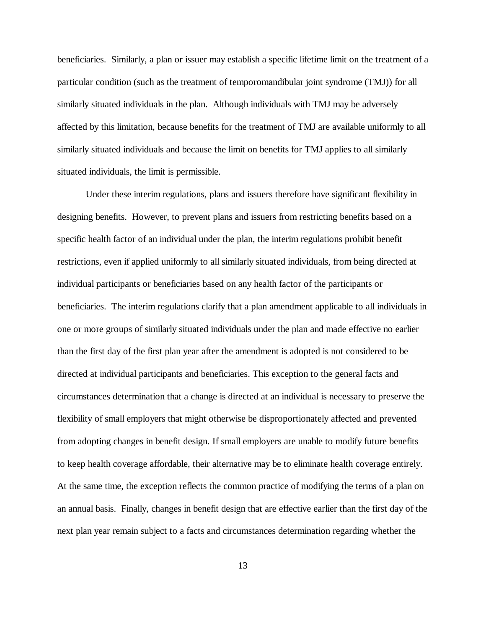beneficiaries. Similarly, a plan or issuer may establish a specific lifetime limit on the treatment of a particular condition (such as the treatment of temporomandibular joint syndrome (TMJ)) for all similarly situated individuals in the plan. Although individuals with TMJ may be adversely affected by this limitation, because benefits for the treatment of TMJ are available uniformly to all similarly situated individuals and because the limit on benefits for TMJ applies to all similarly situated individuals, the limit is permissible.

Under these interim regulations, plans and issuers therefore have significant flexibility in designing benefits. However, to prevent plans and issuers from restricting benefits based on a specific health factor of an individual under the plan, the interim regulations prohibit benefit restrictions, even if applied uniformly to all similarly situated individuals, from being directed at individual participants or beneficiaries based on any health factor of the participants or beneficiaries. The interim regulations clarify that a plan amendment applicable to all individuals in one or more groups of similarly situated individuals under the plan and made effective no earlier than the first day of the first plan year after the amendment is adopted is not considered to be directed at individual participants and beneficiaries. This exception to the general facts and circumstances determination that a change is directed at an individual is necessary to preserve the flexibility of small employers that might otherwise be disproportionately affected and prevented from adopting changes in benefit design. If small employers are unable to modify future benefits to keep health coverage affordable, their alternative may be to eliminate health coverage entirely. At the same time, the exception reflects the common practice of modifying the terms of a plan on an annual basis. Finally, changes in benefit design that are effective earlier than the first day of the next plan year remain subject to a facts and circumstances determination regarding whether the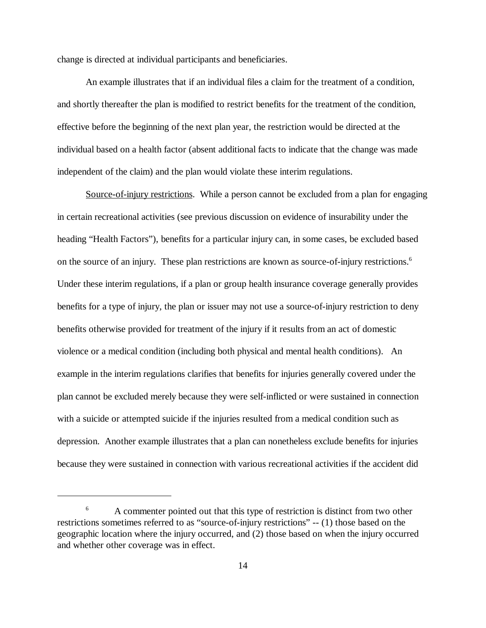change is directed at individual participants and beneficiaries.

An example illustrates that if an individual files a claim for the treatment of a condition, and shortly thereafter the plan is modified to restrict benefits for the treatment of the condition, effective before the beginning of the next plan year, the restriction would be directed at the individual based on a health factor (absent additional facts to indicate that the change was made independent of the claim) and the plan would violate these interim regulations.

Source-of-injury restrictions. While a person cannot be excluded from a plan for engaging in certain recreational activities (see previous discussion on evidence of insurability under the heading "Health Factors"), benefits for a particular injury can, in some cases, be excluded based on the source of an injury. These plan restrictions are known as source-of-injury restrictions. 6 Under these interim regulations, if a plan or group health insurance coverage generally provides benefits for a type of injury, the plan or issuer may not use a source-of-injury restriction to deny benefits otherwise provided for treatment of the injury if it results from an act of domestic violence or a medical condition (including both physical and mental health conditions). An example in the interim regulations clarifies that benefits for injuries generally covered under the plan cannot be excluded merely because they were self-inflicted or were sustained in connection with a suicide or attempted suicide if the injuries resulted from a medical condition such as depression. Another example illustrates that a plan can nonetheless exclude benefits for injuries because they were sustained in connection with various recreational activities if the accident did

<sup>&</sup>lt;sup>6</sup> A commenter pointed out that this type of restriction is distinct from two other restrictions sometimes referred to as "source-of-injury restrictions" -- (1) those based on the geographic location where the injury occurred, and (2) those based on when the injury occurred and whether other coverage was in effect.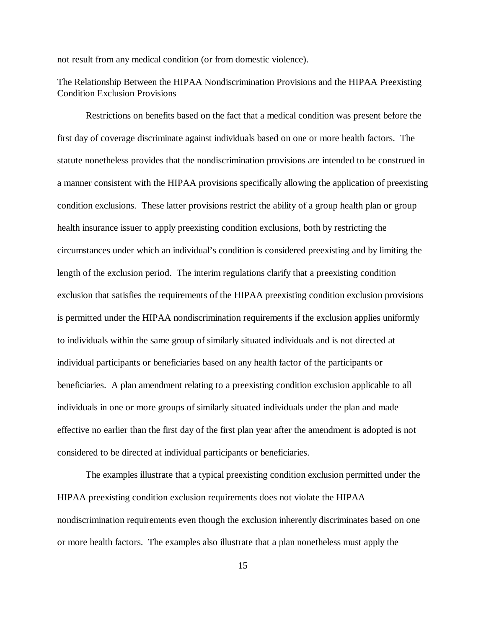not result from any medical condition (or from domestic violence).

# The Relationship Between the HIPAA Nondiscrimination Provisions and the HIPAA Preexisting Condition Exclusion Provisions

Restrictions on benefits based on the fact that a medical condition was present before the first day of coverage discriminate against individuals based on one or more health factors. The statute nonetheless provides that the nondiscrimination provisions are intended to be construed in a manner consistent with the HIPAA provisions specifically allowing the application of preexisting condition exclusions. These latter provisions restrict the ability of a group health plan or group health insurance issuer to apply preexisting condition exclusions, both by restricting the circumstances under which an individual's condition is considered preexisting and by limiting the length of the exclusion period. The interim regulations clarify that a preexisting condition exclusion that satisfies the requirements of the HIPAA preexisting condition exclusion provisions is permitted under the HIPAA nondiscrimination requirements if the exclusion applies uniformly to individuals within the same group of similarly situated individuals and is not directed at individual participants or beneficiaries based on any health factor of the participants or beneficiaries. A plan amendment relating to a preexisting condition exclusion applicable to all individuals in one or more groups of similarly situated individuals under the plan and made effective no earlier than the first day of the first plan year after the amendment is adopted is not considered to be directed at individual participants or beneficiaries.

The examples illustrate that a typical preexisting condition exclusion permitted under the HIPAA preexisting condition exclusion requirements does not violate the HIPAA nondiscrimination requirements even though the exclusion inherently discriminates based on one or more health factors. The examples also illustrate that a plan nonetheless must apply the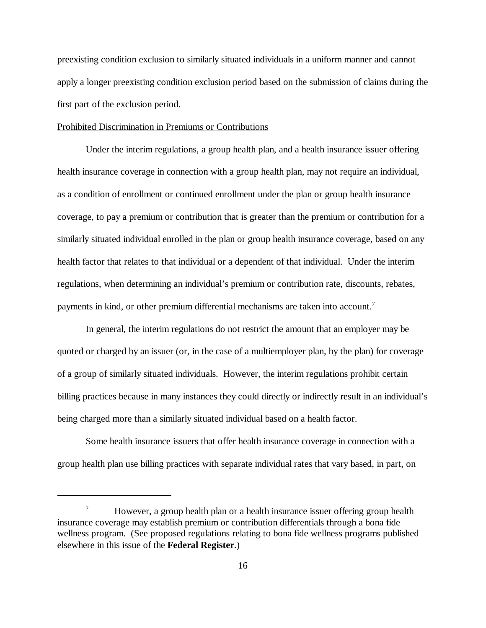preexisting condition exclusion to similarly situated individuals in a uniform manner and cannot apply a longer preexisting condition exclusion period based on the submission of claims during the first part of the exclusion period.

## Prohibited Discrimination in Premiums or Contributions

Under the interim regulations, a group health plan, and a health insurance issuer offering health insurance coverage in connection with a group health plan, may not require an individual, as a condition of enrollment or continued enrollment under the plan or group health insurance coverage, to pay a premium or contribution that is greater than the premium or contribution for a similarly situated individual enrolled in the plan or group health insurance coverage, based on any health factor that relates to that individual or a dependent of that individual. Under the interim regulations, when determining an individual's premium or contribution rate, discounts, rebates, payments in kind, or other premium differential mechanisms are taken into account.7

In general, the interim regulations do not restrict the amount that an employer may be quoted or charged by an issuer (or, in the case of a multiemployer plan, by the plan) for coverage of a group of similarly situated individuals. However, the interim regulations prohibit certain billing practices because in many instances they could directly or indirectly result in an individual's being charged more than a similarly situated individual based on a health factor.

Some health insurance issuers that offer health insurance coverage in connection with a group health plan use billing practices with separate individual rates that vary based, in part, on

<sup>&</sup>lt;sup>7</sup> However, a group health plan or a health insurance issuer offering group health insurance coverage may establish premium or contribution differentials through a bona fide wellness program. (See proposed regulations relating to bona fide wellness programs published elsewhere in this issue of the **Federal Register**.)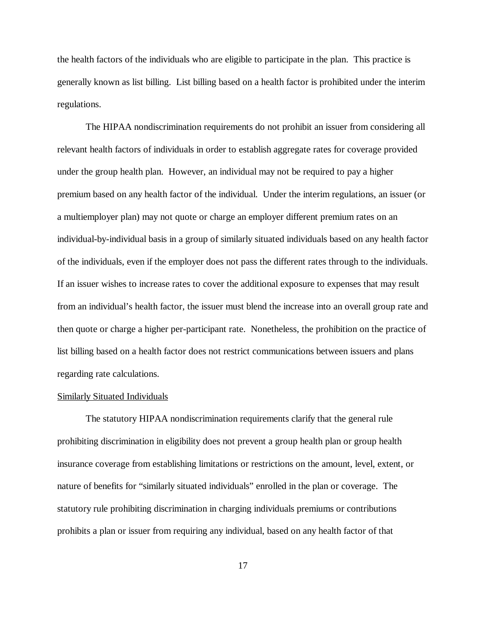the health factors of the individuals who are eligible to participate in the plan. This practice is generally known as list billing. List billing based on a health factor is prohibited under the interim regulations.

The HIPAA nondiscrimination requirements do not prohibit an issuer from considering all relevant health factors of individuals in order to establish aggregate rates for coverage provided under the group health plan. However, an individual may not be required to pay a higher premium based on any health factor of the individual. Under the interim regulations, an issuer (or a multiemployer plan) may not quote or charge an employer different premium rates on an individual-by-individual basis in a group of similarly situated individuals based on any health factor of the individuals, even if the employer does not pass the different rates through to the individuals. If an issuer wishes to increase rates to cover the additional exposure to expenses that may result from an individual's health factor, the issuer must blend the increase into an overall group rate and then quote or charge a higher per-participant rate. Nonetheless, the prohibition on the practice of list billing based on a health factor does not restrict communications between issuers and plans regarding rate calculations.

#### Similarly Situated Individuals

The statutory HIPAA nondiscrimination requirements clarify that the general rule prohibiting discrimination in eligibility does not prevent a group health plan or group health insurance coverage from establishing limitations or restrictions on the amount, level, extent, or nature of benefits for "similarly situated individuals" enrolled in the plan or coverage. The statutory rule prohibiting discrimination in charging individuals premiums or contributions prohibits a plan or issuer from requiring any individual, based on any health factor of that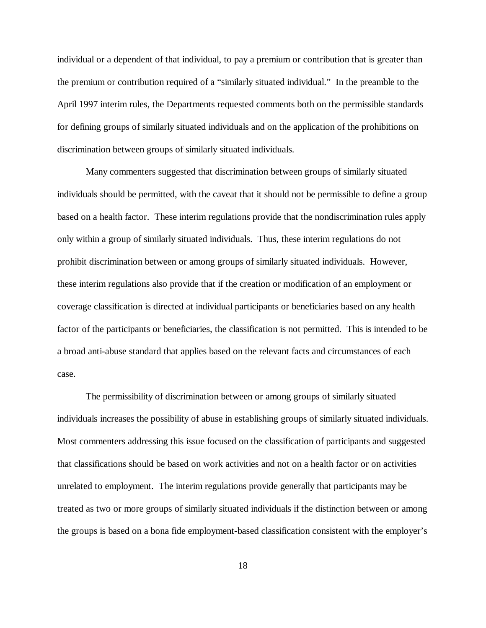individual or a dependent of that individual, to pay a premium or contribution that is greater than the premium or contribution required of a "similarly situated individual." In the preamble to the April 1997 interim rules, the Departments requested comments both on the permissible standards for defining groups of similarly situated individuals and on the application of the prohibitions on discrimination between groups of similarly situated individuals.

Many commenters suggested that discrimination between groups of similarly situated individuals should be permitted, with the caveat that it should not be permissible to define a group based on a health factor. These interim regulations provide that the nondiscrimination rules apply only within a group of similarly situated individuals. Thus, these interim regulations do not prohibit discrimination between or among groups of similarly situated individuals. However, these interim regulations also provide that if the creation or modification of an employment or coverage classification is directed at individual participants or beneficiaries based on any health factor of the participants or beneficiaries, the classification is not permitted. This is intended to be a broad anti-abuse standard that applies based on the relevant facts and circumstances of each case.

The permissibility of discrimination between or among groups of similarly situated individuals increases the possibility of abuse in establishing groups of similarly situated individuals. Most commenters addressing this issue focused on the classification of participants and suggested that classifications should be based on work activities and not on a health factor or on activities unrelated to employment. The interim regulations provide generally that participants may be treated as two or more groups of similarly situated individuals if the distinction between or among the groups is based on a bona fide employment-based classification consistent with the employer's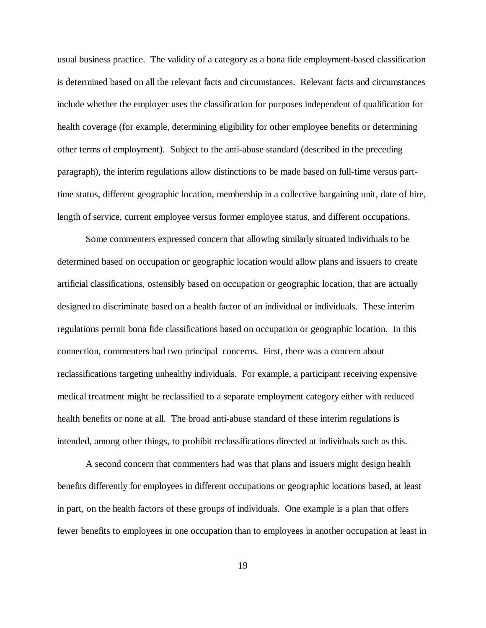usual business practice. The validity of a category as a bona fide employment-based classification is determined based on all the relevant facts and circumstances. Relevant facts and circumstances include whether the employer uses the classification for purposes independent of qualification for health coverage (for example, determining eligibility for other employee benefits or determining other terms of employment). Subject to the anti-abuse standard (described in the preceding paragraph), the interim regulations allow distinctions to be made based on full-time versus parttime status, different geographic location, membership in a collective bargaining unit, date of hire, length of service, current employee versus former employee status, and different occupations.

Some commenters expressed concern that allowing similarly situated individuals to be determined based on occupation or geographic location would allow plans and issuers to create artificial classifications, ostensibly based on occupation or geographic location, that are actually designed to discriminate based on a health factor of an individual or individuals. These interim regulations permit bona fide classifications based on occupation or geographic location. In this connection, commenters had two principal concerns. First, there was a concern about reclassifications targeting unhealthy individuals. For example, a participant receiving expensive medical treatment might be reclassified to a separate employment category either with reduced health benefits or none at all. The broad anti-abuse standard of these interim regulations is intended, among other things, to prohibit reclassifications directed at individuals such as this.

A second concern that commenters had was that plans and issuers might design health benefits differently for employees in different occupations or geographic locations based, at least in part, on the health factors of these groups of individuals. One example is a plan that offers fewer benefits to employees in one occupation than to employees in another occupation at least in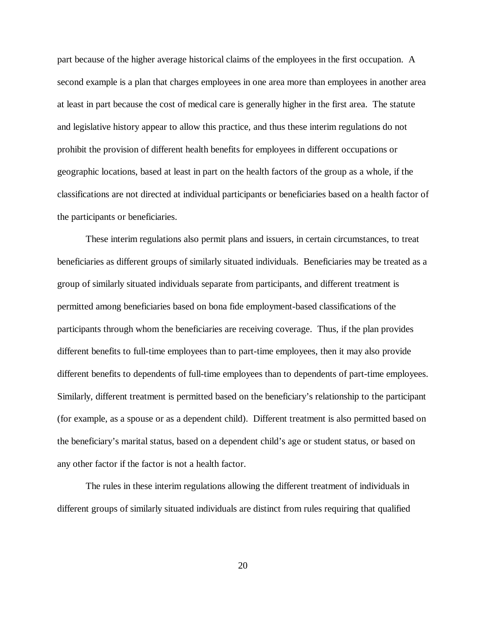part because of the higher average historical claims of the employees in the first occupation. A second example is a plan that charges employees in one area more than employees in another area at least in part because the cost of medical care is generally higher in the first area. The statute and legislative history appear to allow this practice, and thus these interim regulations do not prohibit the provision of different health benefits for employees in different occupations or geographic locations, based at least in part on the health factors of the group as a whole, if the classifications are not directed at individual participants or beneficiaries based on a health factor of the participants or beneficiaries.

These interim regulations also permit plans and issuers, in certain circumstances, to treat beneficiaries as different groups of similarly situated individuals. Beneficiaries may be treated as a group of similarly situated individuals separate from participants, and different treatment is permitted among beneficiaries based on bona fide employment-based classifications of the participants through whom the beneficiaries are receiving coverage. Thus, if the plan provides different benefits to full-time employees than to part-time employees, then it may also provide different benefits to dependents of full-time employees than to dependents of part-time employees. Similarly, different treatment is permitted based on the beneficiary's relationship to the participant (for example, as a spouse or as a dependent child). Different treatment is also permitted based on the beneficiary's marital status, based on a dependent child's age or student status, or based on any other factor if the factor is not a health factor.

The rules in these interim regulations allowing the different treatment of individuals in different groups of similarly situated individuals are distinct from rules requiring that qualified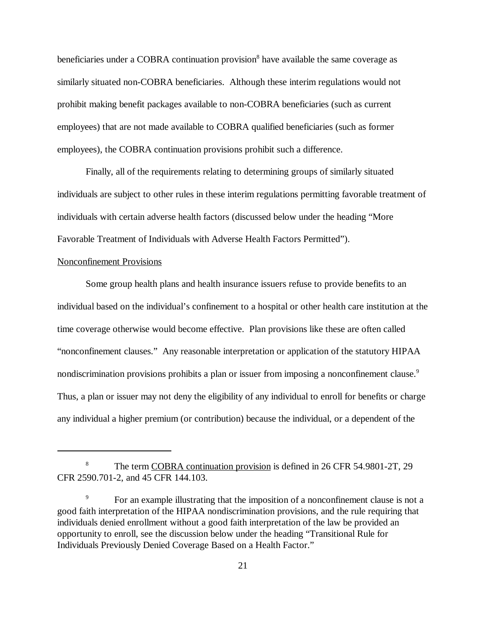beneficiaries under a COBRA continuation provision<sup>8</sup> have available the same coverage as similarly situated non-COBRA beneficiaries. Although these interim regulations would not prohibit making benefit packages available to non-COBRA beneficiaries (such as current employees) that are not made available to COBRA qualified beneficiaries (such as former employees), the COBRA continuation provisions prohibit such a difference.

Finally, all of the requirements relating to determining groups of similarly situated individuals are subject to other rules in these interim regulations permitting favorable treatment of individuals with certain adverse health factors (discussed below under the heading "More Favorable Treatment of Individuals with Adverse Health Factors Permitted").

## Nonconfinement Provisions

Some group health plans and health insurance issuers refuse to provide benefits to an individual based on the individual's confinement to a hospital or other health care institution at the time coverage otherwise would become effective. Plan provisions like these are often called "nonconfinement clauses." Any reasonable interpretation or application of the statutory HIPAA nondiscrimination provisions prohibits a plan or issuer from imposing a nonconfinement clause.<sup>9</sup> Thus, a plan or issuer may not deny the eligibility of any individual to enroll for benefits or charge any individual a higher premium (or contribution) because the individual, or a dependent of the

<sup>&</sup>lt;sup>8</sup> The term COBRA continuation provision is defined in 26 CFR 54.9801-2T, 29 CFR 2590.701-2, and 45 CFR 144.103.

For an example illustrating that the imposition of a nonconfinement clause is not a good faith interpretation of the HIPAA nondiscrimination provisions, and the rule requiring that individuals denied enrollment without a good faith interpretation of the law be provided an opportunity to enroll, see the discussion below under the heading "Transitional Rule for Individuals Previously Denied Coverage Based on a Health Factor."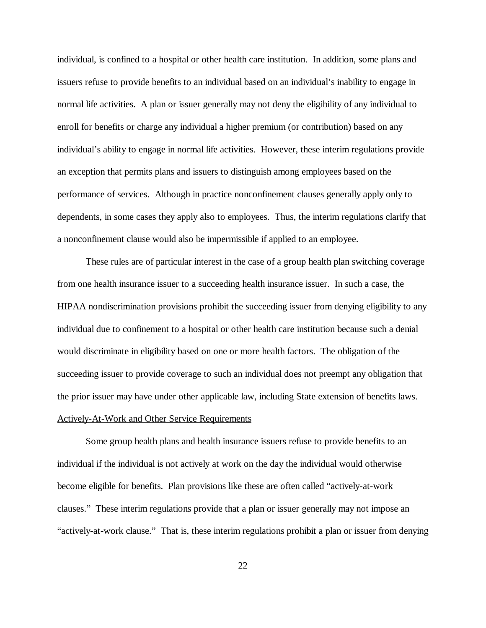individual, is confined to a hospital or other health care institution. In addition, some plans and issuers refuse to provide benefits to an individual based on an individual's inability to engage in normal life activities. A plan or issuer generally may not deny the eligibility of any individual to enroll for benefits or charge any individual a higher premium (or contribution) based on any individual's ability to engage in normal life activities. However, these interim regulations provide an exception that permits plans and issuers to distinguish among employees based on the performance of services. Although in practice nonconfinement clauses generally apply only to dependents, in some cases they apply also to employees. Thus, the interim regulations clarify that a nonconfinement clause would also be impermissible if applied to an employee.

These rules are of particular interest in the case of a group health plan switching coverage from one health insurance issuer to a succeeding health insurance issuer. In such a case, the HIPAA nondiscrimination provisions prohibit the succeeding issuer from denying eligibility to any individual due to confinement to a hospital or other health care institution because such a denial would discriminate in eligibility based on one or more health factors. The obligation of the succeeding issuer to provide coverage to such an individual does not preempt any obligation that the prior issuer may have under other applicable law, including State extension of benefits laws. Actively-At-Work and Other Service Requirements

Some group health plans and health insurance issuers refuse to provide benefits to an individual if the individual is not actively at work on the day the individual would otherwise become eligible for benefits. Plan provisions like these are often called "actively-at-work clauses." These interim regulations provide that a plan or issuer generally may not impose an "actively-at-work clause." That is, these interim regulations prohibit a plan or issuer from denying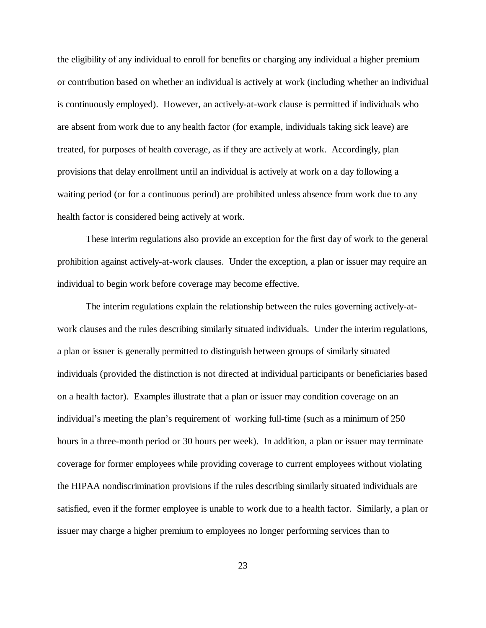the eligibility of any individual to enroll for benefits or charging any individual a higher premium or contribution based on whether an individual is actively at work (including whether an individual is continuously employed). However, an actively-at-work clause is permitted if individuals who are absent from work due to any health factor (for example, individuals taking sick leave) are treated, for purposes of health coverage, as if they are actively at work. Accordingly, plan provisions that delay enrollment until an individual is actively at work on a day following a waiting period (or for a continuous period) are prohibited unless absence from work due to any health factor is considered being actively at work.

These interim regulations also provide an exception for the first day of work to the general prohibition against actively-at-work clauses. Under the exception, a plan or issuer may require an individual to begin work before coverage may become effective.

The interim regulations explain the relationship between the rules governing actively-atwork clauses and the rules describing similarly situated individuals. Under the interim regulations, a plan or issuer is generally permitted to distinguish between groups of similarly situated individuals (provided the distinction is not directed at individual participants or beneficiaries based on a health factor). Examples illustrate that a plan or issuer may condition coverage on an individual's meeting the plan's requirement of working full-time (such as a minimum of 250 hours in a three-month period or 30 hours per week). In addition, a plan or issuer may terminate coverage for former employees while providing coverage to current employees without violating the HIPAA nondiscrimination provisions if the rules describing similarly situated individuals are satisfied, even if the former employee is unable to work due to a health factor. Similarly, a plan or issuer may charge a higher premium to employees no longer performing services than to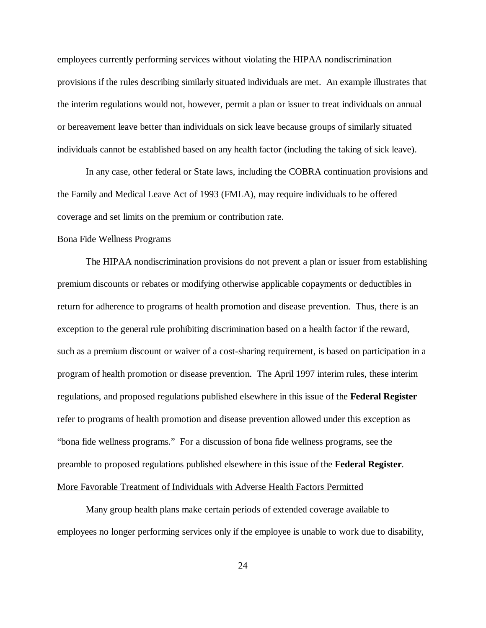employees currently performing services without violating the HIPAA nondiscrimination provisions if the rules describing similarly situated individuals are met. An example illustrates that the interim regulations would not, however, permit a plan or issuer to treat individuals on annual or bereavement leave better than individuals on sick leave because groups of similarly situated individuals cannot be established based on any health factor (including the taking of sick leave).

In any case, other federal or State laws, including the COBRA continuation provisions and the Family and Medical Leave Act of 1993 (FMLA), may require individuals to be offered coverage and set limits on the premium or contribution rate.

#### Bona Fide Wellness Programs

The HIPAA nondiscrimination provisions do not prevent a plan or issuer from establishing premium discounts or rebates or modifying otherwise applicable copayments or deductibles in return for adherence to programs of health promotion and disease prevention. Thus, there is an exception to the general rule prohibiting discrimination based on a health factor if the reward, such as a premium discount or waiver of a cost-sharing requirement, is based on participation in a program of health promotion or disease prevention. The April 1997 interim rules, these interim regulations, and proposed regulations published elsewhere in this issue of the **Federal Register** refer to programs of health promotion and disease prevention allowed under this exception as "bona fide wellness programs." For a discussion of bona fide wellness programs, see the preamble to proposed regulations published elsewhere in this issue of the **Federal Register**. More Favorable Treatment of Individuals with Adverse Health Factors Permitted

Many group health plans make certain periods of extended coverage available to employees no longer performing services only if the employee is unable to work due to disability,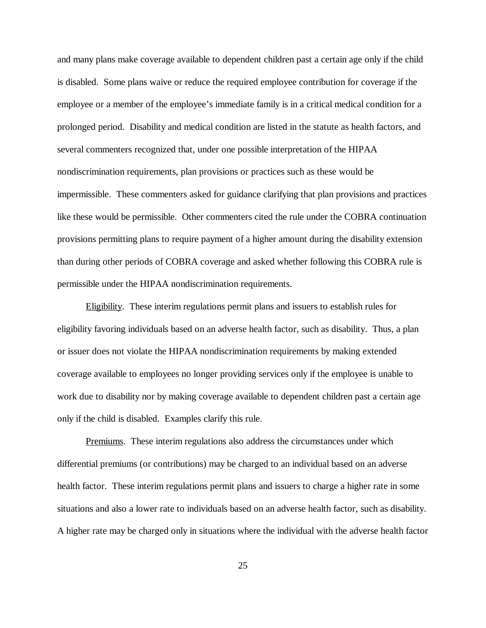and many plans make coverage available to dependent children past a certain age only if the child is disabled. Some plans waive or reduce the required employee contribution for coverage if the employee or a member of the employee's immediate family is in a critical medical condition for a prolonged period. Disability and medical condition are listed in the statute as health factors, and several commenters recognized that, under one possible interpretation of the HIPAA nondiscrimination requirements, plan provisions or practices such as these would be impermissible. These commenters asked for guidance clarifying that plan provisions and practices like these would be permissible. Other commenters cited the rule under the COBRA continuation provisions permitting plans to require payment of a higher amount during the disability extension than during other periods of COBRA coverage and asked whether following this COBRA rule is permissible under the HIPAA nondiscrimination requirements.

Eligibility. These interim regulations permit plans and issuers to establish rules for eligibility favoring individuals based on an adverse health factor, such as disability. Thus, a plan or issuer does not violate the HIPAA nondiscrimination requirements by making extended coverage available to employees no longer providing services only if the employee is unable to work due to disability nor by making coverage available to dependent children past a certain age only if the child is disabled. Examples clarify this rule.

Premiums. These interim regulations also address the circumstances under which differential premiums (or contributions) may be charged to an individual based on an adverse health factor. These interim regulations permit plans and issuers to charge a higher rate in some situations and also a lower rate to individuals based on an adverse health factor, such as disability. A higher rate may be charged only in situations where the individual with the adverse health factor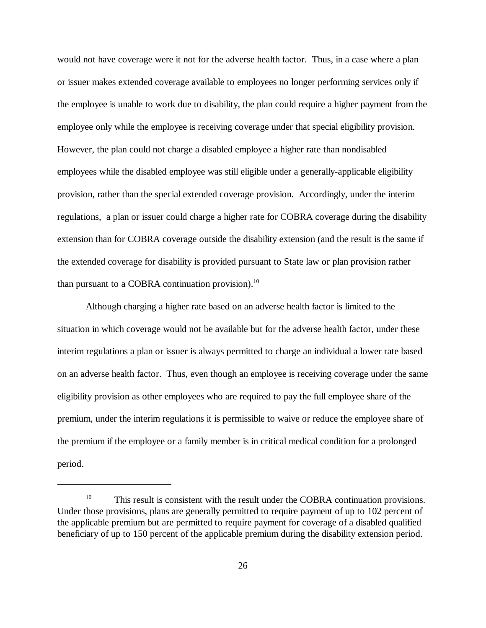would not have coverage were it not for the adverse health factor. Thus, in a case where a plan or issuer makes extended coverage available to employees no longer performing services only if the employee is unable to work due to disability, the plan could require a higher payment from the employee only while the employee is receiving coverage under that special eligibility provision. However, the plan could not charge a disabled employee a higher rate than nondisabled employees while the disabled employee was still eligible under a generally-applicable eligibility provision, rather than the special extended coverage provision. Accordingly, under the interim regulations, a plan or issuer could charge a higher rate for COBRA coverage during the disability extension than for COBRA coverage outside the disability extension (and the result is the same if the extended coverage for disability is provided pursuant to State law or plan provision rather than pursuant to a COBRA continuation provision). $^{10}$ 

Although charging a higher rate based on an adverse health factor is limited to the situation in which coverage would not be available but for the adverse health factor, under these interim regulations a plan or issuer is always permitted to charge an individual a lower rate based on an adverse health factor. Thus, even though an employee is receiving coverage under the same eligibility provision as other employees who are required to pay the full employee share of the premium, under the interim regulations it is permissible to waive or reduce the employee share of the premium if the employee or a family member is in critical medical condition for a prolonged period.

 $10$  This result is consistent with the result under the COBRA continuation provisions. Under those provisions, plans are generally permitted to require payment of up to 102 percent of the applicable premium but are permitted to require payment for coverage of a disabled qualified beneficiary of up to 150 percent of the applicable premium during the disability extension period.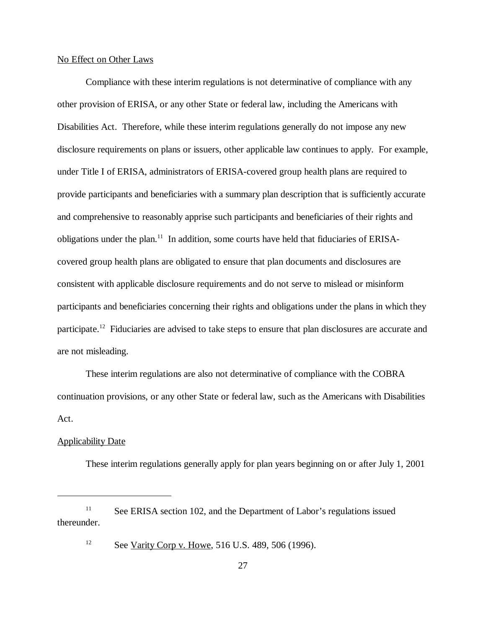## No Effect on Other Laws

Compliance with these interim regulations is not determinative of compliance with any other provision of ERISA, or any other State or federal law, including the Americans with Disabilities Act. Therefore, while these interim regulations generally do not impose any new disclosure requirements on plans or issuers, other applicable law continues to apply. For example, under Title I of ERISA, administrators of ERISA-covered group health plans are required to provide participants and beneficiaries with a summary plan description that is sufficiently accurate and comprehensive to reasonably apprise such participants and beneficiaries of their rights and obligations under the plan.<sup>11</sup> In addition, some courts have held that fiduciaries of ERISAcovered group health plans are obligated to ensure that plan documents and disclosures are consistent with applicable disclosure requirements and do not serve to mislead or misinform participants and beneficiaries concerning their rights and obligations under the plans in which they participate.<sup>12</sup> Fiduciaries are advised to take steps to ensure that plan disclosures are accurate and are not misleading.

These interim regulations are also not determinative of compliance with the COBRA continuation provisions, or any other State or federal law, such as the Americans with Disabilities Act.

## Applicability Date

These interim regulations generally apply for plan years beginning on or after July 1, 2001

 $See$  ERISA section 102, and the Department of Labor's regulations issued thereunder.

<sup>&</sup>lt;sup>12</sup> See <u>Varity Corp v. Howe</u>, 516 U.S. 489, 506 (1996).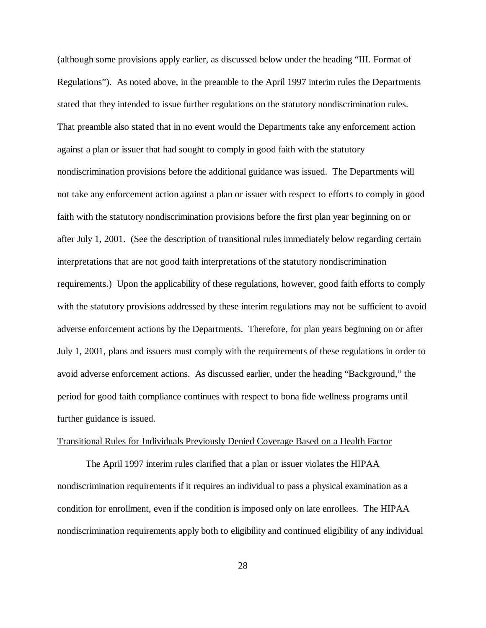(although some provisions apply earlier, as discussed below under the heading "III. Format of Regulations"). As noted above, in the preamble to the April 1997 interim rules the Departments stated that they intended to issue further regulations on the statutory nondiscrimination rules. That preamble also stated that in no event would the Departments take any enforcement action against a plan or issuer that had sought to comply in good faith with the statutory nondiscrimination provisions before the additional guidance was issued. The Departments will not take any enforcement action against a plan or issuer with respect to efforts to comply in good faith with the statutory nondiscrimination provisions before the first plan year beginning on or after July 1, 2001. (See the description of transitional rules immediately below regarding certain interpretations that are not good faith interpretations of the statutory nondiscrimination requirements.) Upon the applicability of these regulations, however, good faith efforts to comply with the statutory provisions addressed by these interim regulations may not be sufficient to avoid adverse enforcement actions by the Departments. Therefore, for plan years beginning on or after July 1, 2001, plans and issuers must comply with the requirements of these regulations in order to avoid adverse enforcement actions. As discussed earlier, under the heading "Background," the period for good faith compliance continues with respect to bona fide wellness programs until further guidance is issued.

## Transitional Rules for Individuals Previously Denied Coverage Based on a Health Factor

The April 1997 interim rules clarified that a plan or issuer violates the HIPAA nondiscrimination requirements if it requires an individual to pass a physical examination as a condition for enrollment, even if the condition is imposed only on late enrollees. The HIPAA nondiscrimination requirements apply both to eligibility and continued eligibility of any individual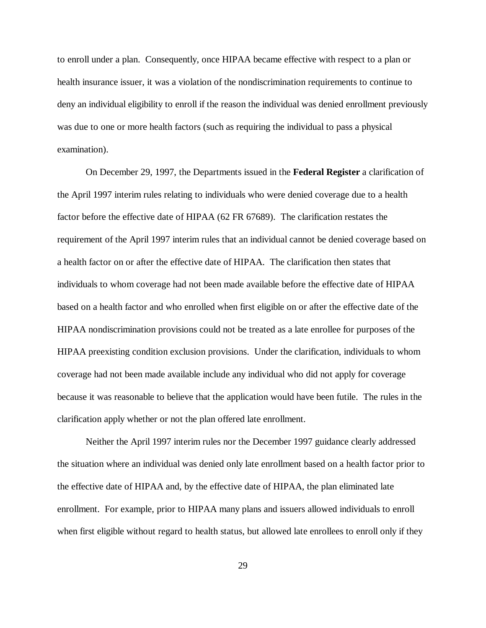to enroll under a plan. Consequently, once HIPAA became effective with respect to a plan or health insurance issuer, it was a violation of the nondiscrimination requirements to continue to deny an individual eligibility to enroll if the reason the individual was denied enrollment previously was due to one or more health factors (such as requiring the individual to pass a physical examination).

On December 29, 1997, the Departments issued in the **Federal Register** a clarification of the April 1997 interim rules relating to individuals who were denied coverage due to a health factor before the effective date of HIPAA (62 FR 67689). The clarification restates the requirement of the April 1997 interim rules that an individual cannot be denied coverage based on a health factor on or after the effective date of HIPAA. The clarification then states that individuals to whom coverage had not been made available before the effective date of HIPAA based on a health factor and who enrolled when first eligible on or after the effective date of the HIPAA nondiscrimination provisions could not be treated as a late enrollee for purposes of the HIPAA preexisting condition exclusion provisions. Under the clarification, individuals to whom coverage had not been made available include any individual who did not apply for coverage because it was reasonable to believe that the application would have been futile. The rules in the clarification apply whether or not the plan offered late enrollment.

Neither the April 1997 interim rules nor the December 1997 guidance clearly addressed the situation where an individual was denied only late enrollment based on a health factor prior to the effective date of HIPAA and, by the effective date of HIPAA, the plan eliminated late enrollment. For example, prior to HIPAA many plans and issuers allowed individuals to enroll when first eligible without regard to health status, but allowed late enrollees to enroll only if they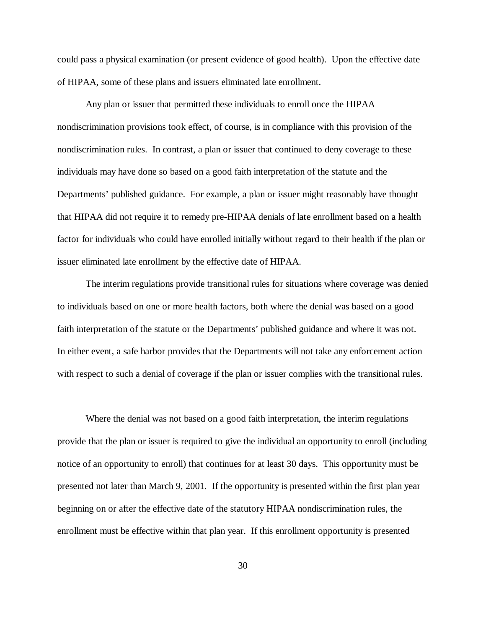could pass a physical examination (or present evidence of good health). Upon the effective date of HIPAA, some of these plans and issuers eliminated late enrollment.

Any plan or issuer that permitted these individuals to enroll once the HIPAA nondiscrimination provisions took effect, of course, is in compliance with this provision of the nondiscrimination rules. In contrast, a plan or issuer that continued to deny coverage to these individuals may have done so based on a good faith interpretation of the statute and the Departments' published guidance. For example, a plan or issuer might reasonably have thought that HIPAA did not require it to remedy pre-HIPAA denials of late enrollment based on a health factor for individuals who could have enrolled initially without regard to their health if the plan or issuer eliminated late enrollment by the effective date of HIPAA.

The interim regulations provide transitional rules for situations where coverage was denied to individuals based on one or more health factors, both where the denial was based on a good faith interpretation of the statute or the Departments' published guidance and where it was not. In either event, a safe harbor provides that the Departments will not take any enforcement action with respect to such a denial of coverage if the plan or issuer complies with the transitional rules.

Where the denial was not based on a good faith interpretation, the interim regulations provide that the plan or issuer is required to give the individual an opportunity to enroll (including notice of an opportunity to enroll) that continues for at least 30 days. This opportunity must be presented not later than March 9, 2001. If the opportunity is presented within the first plan year beginning on or after the effective date of the statutory HIPAA nondiscrimination rules, the enrollment must be effective within that plan year. If this enrollment opportunity is presented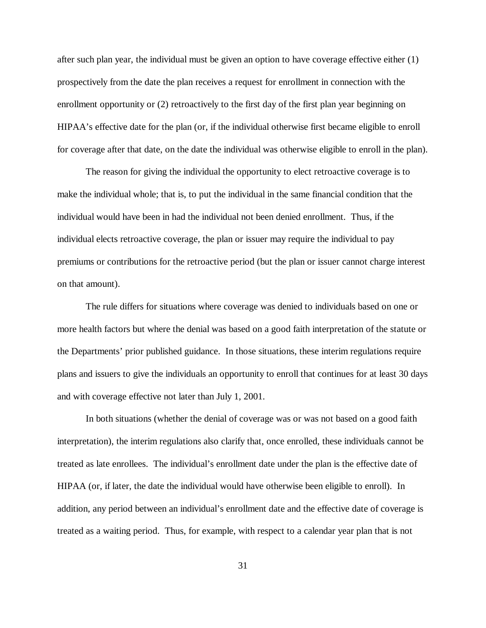after such plan year, the individual must be given an option to have coverage effective either (1) prospectively from the date the plan receives a request for enrollment in connection with the enrollment opportunity or (2) retroactively to the first day of the first plan year beginning on HIPAA's effective date for the plan (or, if the individual otherwise first became eligible to enroll for coverage after that date, on the date the individual was otherwise eligible to enroll in the plan).

The reason for giving the individual the opportunity to elect retroactive coverage is to make the individual whole; that is, to put the individual in the same financial condition that the individual would have been in had the individual not been denied enrollment. Thus, if the individual elects retroactive coverage, the plan or issuer may require the individual to pay premiums or contributions for the retroactive period (but the plan or issuer cannot charge interest on that amount).

The rule differs for situations where coverage was denied to individuals based on one or more health factors but where the denial was based on a good faith interpretation of the statute or the Departments' prior published guidance. In those situations, these interim regulations require plans and issuers to give the individuals an opportunity to enroll that continues for at least 30 days and with coverage effective not later than July 1, 2001.

In both situations (whether the denial of coverage was or was not based on a good faith interpretation), the interim regulations also clarify that, once enrolled, these individuals cannot be treated as late enrollees. The individual's enrollment date under the plan is the effective date of HIPAA (or, if later, the date the individual would have otherwise been eligible to enroll). In addition, any period between an individual's enrollment date and the effective date of coverage is treated as a waiting period. Thus, for example, with respect to a calendar year plan that is not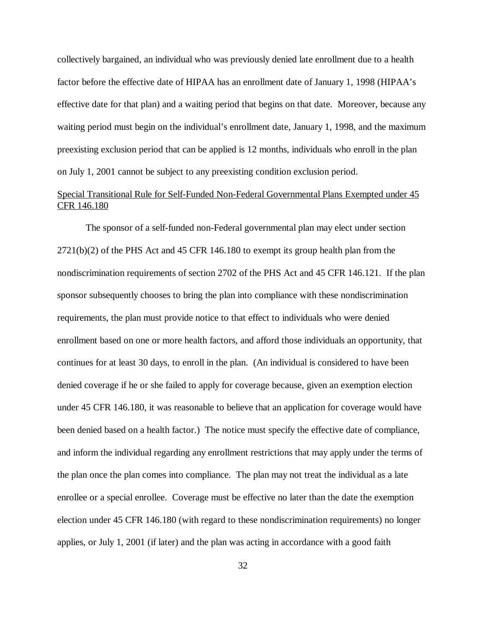collectively bargained, an individual who was previously denied late enrollment due to a health factor before the effective date of HIPAA has an enrollment date of January 1, 1998 (HIPAA's effective date for that plan) and a waiting period that begins on that date. Moreover, because any waiting period must begin on the individual's enrollment date, January 1, 1998, and the maximum preexisting exclusion period that can be applied is 12 months, individuals who enroll in the plan on July 1, 2001 cannot be subject to any preexisting condition exclusion period.

# Special Transitional Rule for Self-Funded Non-Federal Governmental Plans Exempted under 45 CFR 146.180

The sponsor of a self-funded non-Federal governmental plan may elect under section 2721(b)(2) of the PHS Act and 45 CFR 146.180 to exempt its group health plan from the nondiscrimination requirements of section 2702 of the PHS Act and 45 CFR 146.121. If the plan sponsor subsequently chooses to bring the plan into compliance with these nondiscrimination requirements, the plan must provide notice to that effect to individuals who were denied enrollment based on one or more health factors, and afford those individuals an opportunity, that continues for at least 30 days, to enroll in the plan. (An individual is considered to have been denied coverage if he or she failed to apply for coverage because, given an exemption election under 45 CFR 146.180, it was reasonable to believe that an application for coverage would have been denied based on a health factor.) The notice must specify the effective date of compliance, and inform the individual regarding any enrollment restrictions that may apply under the terms of the plan once the plan comes into compliance. The plan may not treat the individual as a late enrollee or a special enrollee. Coverage must be effective no later than the date the exemption election under 45 CFR 146.180 (with regard to these nondiscrimination requirements) no longer applies, or July 1, 2001 (if later) and the plan was acting in accordance with a good faith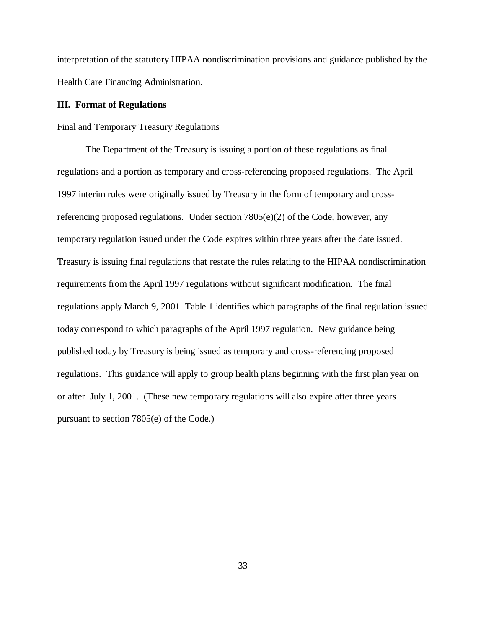interpretation of the statutory HIPAA nondiscrimination provisions and guidance published by the Health Care Financing Administration.

## **III. Format of Regulations**

## Final and Temporary Treasury Regulations

The Department of the Treasury is issuing a portion of these regulations as final regulations and a portion as temporary and cross-referencing proposed regulations. The April 1997 interim rules were originally issued by Treasury in the form of temporary and crossreferencing proposed regulations. Under section  $7805(e)(2)$  of the Code, however, any temporary regulation issued under the Code expires within three years after the date issued. Treasury is issuing final regulations that restate the rules relating to the HIPAA nondiscrimination requirements from the April 1997 regulations without significant modification. The final regulations apply March 9, 2001. Table 1 identifies which paragraphs of the final regulation issued today correspond to which paragraphs of the April 1997 regulation. New guidance being published today by Treasury is being issued as temporary and cross-referencing proposed regulations. This guidance will apply to group health plans beginning with the first plan year on or after July 1, 2001. (These new temporary regulations will also expire after three years pursuant to section 7805(e) of the Code.)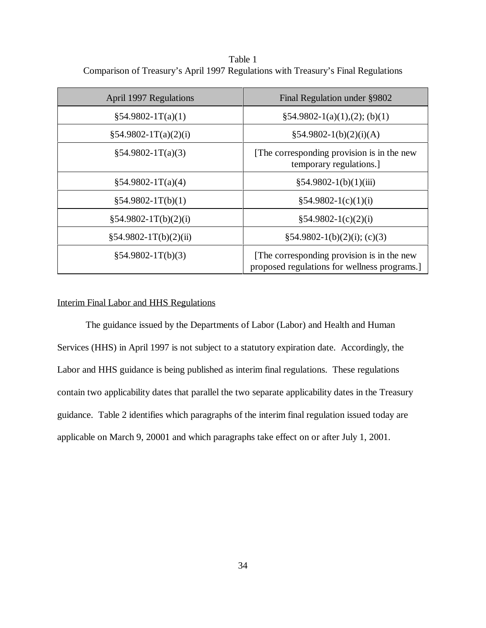Table 1 Comparison of Treasury's April 1997 Regulations with Treasury's Final Regulations

| April 1997 Regulations  | Final Regulation under §9802                                                              |  |
|-------------------------|-------------------------------------------------------------------------------------------|--|
| $$54.9802-1T(a)(1)$     | $§54.9802-1(a)(1),(2); (b)(1)$                                                            |  |
| $§54.9802-1T(a)(2)(i)$  | $\S 54.9802 - 1(b)(2)(i)(A)$                                                              |  |
| $§54.9802-1T(a)(3)$     | [The corresponding provision is in the new<br>temporary regulations.                      |  |
| $§54.9802-1T(a)(4)$     | $§54.9802-1(b)(1)(iii)$                                                                   |  |
| $§54.9802-1T(b)(1)$     | $$54.9802-1(c)(1)(i)$                                                                     |  |
| $§54.9802-1T(b)(2)(i)$  | $$54.9802-1(c)(2)(i)$                                                                     |  |
| $§54.9802-1T(b)(2)(ii)$ | $\S 54.9802 - 1(b)(2)(i); (c)(3)$                                                         |  |
| $§54.9802-1T(b)(3)$     | [The corresponding provision is in the new<br>proposed regulations for wellness programs. |  |

# Interim Final Labor and HHS Regulations

The guidance issued by the Departments of Labor (Labor) and Health and Human Services (HHS) in April 1997 is not subject to a statutory expiration date. Accordingly, the Labor and HHS guidance is being published as interim final regulations. These regulations contain two applicability dates that parallel the two separate applicability dates in the Treasury guidance. Table 2 identifies which paragraphs of the interim final regulation issued today are applicable on March 9, 20001 and which paragraphs take effect on or after July 1, 2001.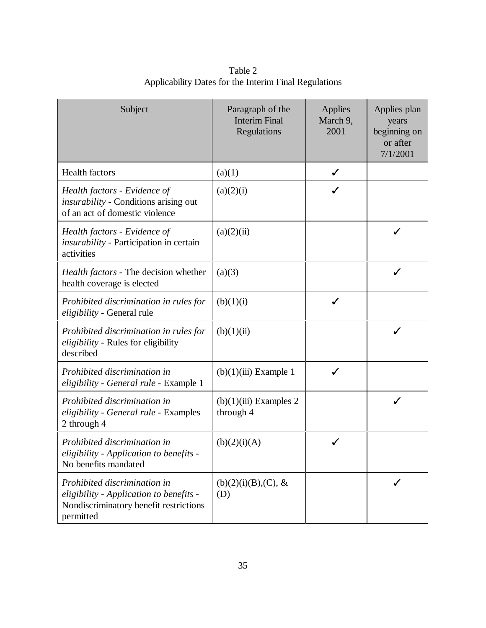| Subject                                                                                                                        | Paragraph of the<br><b>Interim Final</b><br>Regulations | <b>Applies</b><br>March 9,<br>2001 | Applies plan<br>years<br>beginning on<br>or after<br>7/1/2001 |
|--------------------------------------------------------------------------------------------------------------------------------|---------------------------------------------------------|------------------------------------|---------------------------------------------------------------|
| <b>Health factors</b>                                                                                                          | (a)(1)                                                  | ✓                                  |                                                               |
| Health factors - Evidence of<br><i>insurability</i> - Conditions arising out<br>of an act of domestic violence                 | (a)(2)(i)                                               |                                    |                                                               |
| Health factors - Evidence of<br><i>insurability</i> - Participation in certain<br>activities                                   | (a)(2)(ii)                                              |                                    |                                                               |
| Health factors - The decision whether<br>health coverage is elected                                                            | (a)(3)                                                  |                                    | ✓                                                             |
| Prohibited discrimination in rules for<br>eligibility - General rule                                                           | (b)(1)(i)                                               | ✓                                  |                                                               |
| Prohibited discrimination in rules for<br>eligibility - Rules for eligibility<br>described                                     | (b)(1)(ii)                                              |                                    | ✓                                                             |
| Prohibited discrimination in<br>eligibility - General rule - Example 1                                                         | $(b)(1)(iii)$ Example 1                                 | ℐ                                  |                                                               |
| Prohibited discrimination in<br>eligibility - General rule - Examples<br>2 through 4                                           | $(b)(1)(iii)$ Examples 2<br>through 4                   |                                    | ✓                                                             |
| Prohibited discrimination in<br>eligibility - Application to benefits -<br>No benefits mandated                                | (b)(2)(i)(A)                                            |                                    |                                                               |
| Prohibited discrimination in<br>eligibility - Application to benefits -<br>Nondiscriminatory benefit restrictions<br>permitted | $(b)(2)(i)(B),(C), \&$<br>(D)                           |                                    | ✓                                                             |

Table 2 Applicability Dates for the Interim Final Regulations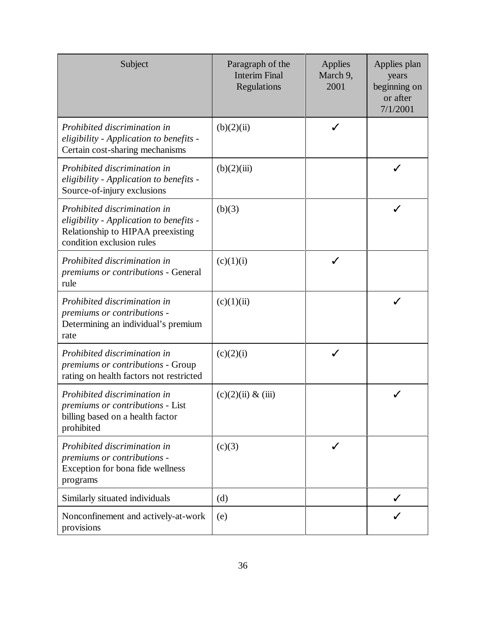| Subject                                                                                                                                   | Paragraph of the<br><b>Interim Final</b><br>Regulations | Applies<br>March 9,<br>2001 | Applies plan<br>years<br>beginning on<br>or after<br>7/1/2001 |
|-------------------------------------------------------------------------------------------------------------------------------------------|---------------------------------------------------------|-----------------------------|---------------------------------------------------------------|
| Prohibited discrimination in<br>eligibility - Application to benefits -<br>Certain cost-sharing mechanisms                                | (b)(2)(ii)                                              | ✓                           |                                                               |
| Prohibited discrimination in<br>eligibility - Application to benefits -<br>Source-of-injury exclusions                                    | (b)(2)(iii)                                             |                             | √                                                             |
| Prohibited discrimination in<br>eligibility - Application to benefits -<br>Relationship to HIPAA preexisting<br>condition exclusion rules | (b)(3)                                                  |                             | ✓                                                             |
| Prohibited discrimination in<br>premiums or contributions - General<br>rule                                                               | (c)(1)(i)                                               | ✓                           |                                                               |
| Prohibited discrimination in<br>premiums or contributions -<br>Determining an individual's premium<br>rate                                | (c)(1)(ii)                                              |                             | ✓                                                             |
| Prohibited discrimination in<br>premiums or contributions - Group<br>rating on health factors not restricted                              | (c)(2)(i)                                               |                             |                                                               |
| Prohibited discrimination in<br><i>premiums or contributions - List</i><br>billing based on a health factor<br>prohibited                 | (c)(2)(ii) & (iii)                                      |                             |                                                               |
| Prohibited discrimination in<br>premiums or contributions -<br>Exception for bona fide wellness<br>programs                               | (c)(3)                                                  | ✓                           |                                                               |
| Similarly situated individuals                                                                                                            | (d)                                                     |                             | ✓                                                             |
| Nonconfinement and actively-at-work<br>provisions                                                                                         | (e)                                                     |                             | ✓                                                             |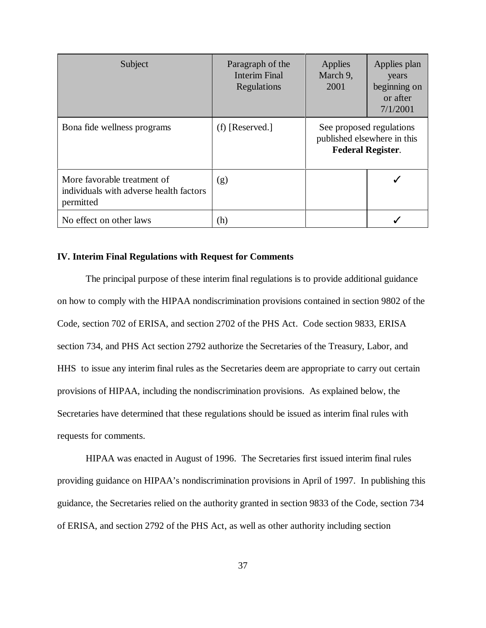| Subject                                                                             | Paragraph of the<br><b>Interim Final</b><br>Regulations | Applies<br>March 9,<br>2001                                                         | Applies plan<br>years<br>beginning on<br>or after<br>7/1/2001 |
|-------------------------------------------------------------------------------------|---------------------------------------------------------|-------------------------------------------------------------------------------------|---------------------------------------------------------------|
| Bona fide wellness programs                                                         | $(f)$ [Reserved.]                                       | See proposed regulations<br>published elsewhere in this<br><b>Federal Register.</b> |                                                               |
| More favorable treatment of<br>individuals with adverse health factors<br>permitted | (g)                                                     |                                                                                     |                                                               |
| No effect on other laws                                                             | (h)                                                     |                                                                                     |                                                               |

# **IV. Interim Final Regulations with Request for Comments**

The principal purpose of these interim final regulations is to provide additional guidance on how to comply with the HIPAA nondiscrimination provisions contained in section 9802 of the Code, section 702 of ERISA, and section 2702 of the PHS Act. Code section 9833, ERISA section 734, and PHS Act section 2792 authorize the Secretaries of the Treasury, Labor, and HHS to issue any interim final rules as the Secretaries deem are appropriate to carry out certain provisions of HIPAA, including the nondiscrimination provisions. As explained below, the Secretaries have determined that these regulations should be issued as interim final rules with requests for comments.

HIPAA was enacted in August of 1996. The Secretaries first issued interim final rules providing guidance on HIPAA's nondiscrimination provisions in April of 1997. In publishing this guidance, the Secretaries relied on the authority granted in section 9833 of the Code, section 734 of ERISA, and section 2792 of the PHS Act, as well as other authority including section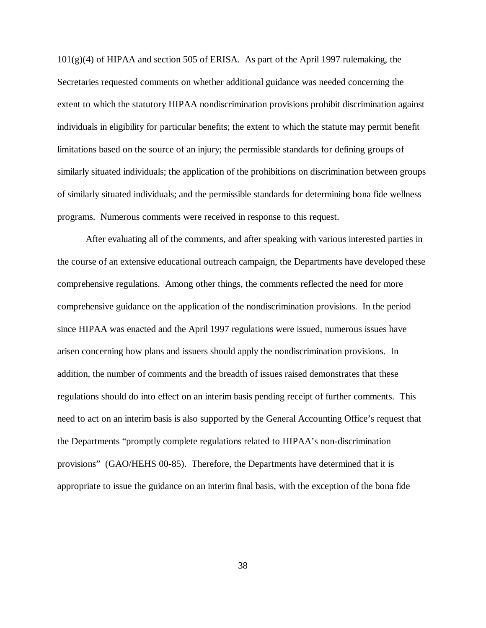$101(g)(4)$  of HIPAA and section 505 of ERISA. As part of the April 1997 rulemaking, the Secretaries requested comments on whether additional guidance was needed concerning the extent to which the statutory HIPAA nondiscrimination provisions prohibit discrimination against individuals in eligibility for particular benefits; the extent to which the statute may permit benefit limitations based on the source of an injury; the permissible standards for defining groups of similarly situated individuals; the application of the prohibitions on discrimination between groups of similarly situated individuals; and the permissible standards for determining bona fide wellness programs. Numerous comments were received in response to this request.

After evaluating all of the comments, and after speaking with various interested parties in the course of an extensive educational outreach campaign, the Departments have developed these comprehensive regulations. Among other things, the comments reflected the need for more comprehensive guidance on the application of the nondiscrimination provisions. In the period since HIPAA was enacted and the April 1997 regulations were issued, numerous issues have arisen concerning how plans and issuers should apply the nondiscrimination provisions. In addition, the number of comments and the breadth of issues raised demonstrates that these regulations should do into effect on an interim basis pending receipt of further comments. This need to act on an interim basis is also supported by the General Accounting Office's request that the Departments "promptly complete regulations related to HIPAA's non-discrimination provisions" (GAO/HEHS 00-85). Therefore, the Departments have determined that it is appropriate to issue the guidance on an interim final basis, with the exception of the bona fide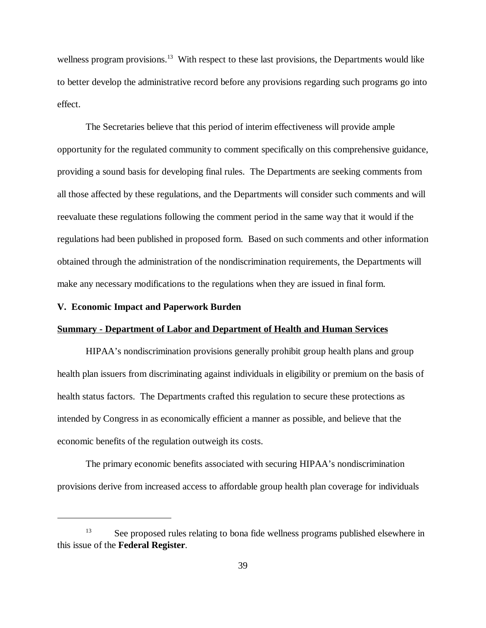wellness program provisions.<sup>13</sup> With respect to these last provisions, the Departments would like to better develop the administrative record before any provisions regarding such programs go into effect.

The Secretaries believe that this period of interim effectiveness will provide ample opportunity for the regulated community to comment specifically on this comprehensive guidance, providing a sound basis for developing final rules. The Departments are seeking comments from all those affected by these regulations, and the Departments will consider such comments and will reevaluate these regulations following the comment period in the same way that it would if the regulations had been published in proposed form. Based on such comments and other information obtained through the administration of the nondiscrimination requirements, the Departments will make any necessary modifications to the regulations when they are issued in final form.

### **V. Economic Impact and Paperwork Burden**

#### **Summary - Department of Labor and Department of Health and Human Services**

HIPAA's nondiscrimination provisions generally prohibit group health plans and group health plan issuers from discriminating against individuals in eligibility or premium on the basis of health status factors. The Departments crafted this regulation to secure these protections as intended by Congress in as economically efficient a manner as possible, and believe that the economic benefits of the regulation outweigh its costs.

The primary economic benefits associated with securing HIPAA's nondiscrimination provisions derive from increased access to affordable group health plan coverage for individuals

<sup>&</sup>lt;sup>13</sup> See proposed rules relating to bona fide wellness programs published elsewhere in this issue of the **Federal Register**.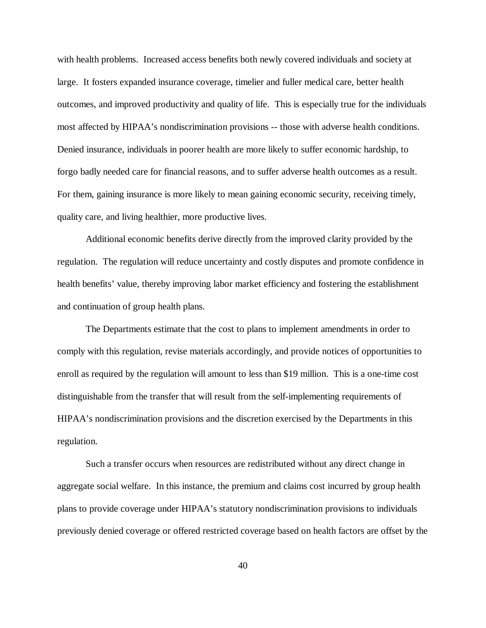with health problems. Increased access benefits both newly covered individuals and society at large. It fosters expanded insurance coverage, timelier and fuller medical care, better health outcomes, and improved productivity and quality of life. This is especially true for the individuals most affected by HIPAA's nondiscrimination provisions -- those with adverse health conditions. Denied insurance, individuals in poorer health are more likely to suffer economic hardship, to forgo badly needed care for financial reasons, and to suffer adverse health outcomes as a result. For them, gaining insurance is more likely to mean gaining economic security, receiving timely, quality care, and living healthier, more productive lives.

Additional economic benefits derive directly from the improved clarity provided by the regulation. The regulation will reduce uncertainty and costly disputes and promote confidence in health benefits' value, thereby improving labor market efficiency and fostering the establishment and continuation of group health plans.

The Departments estimate that the cost to plans to implement amendments in order to comply with this regulation, revise materials accordingly, and provide notices of opportunities to enroll as required by the regulation will amount to less than \$19 million. This is a one-time cost distinguishable from the transfer that will result from the self-implementing requirements of HIPAA's nondiscrimination provisions and the discretion exercised by the Departments in this regulation.

Such a transfer occurs when resources are redistributed without any direct change in aggregate social welfare. In this instance, the premium and claims cost incurred by group health plans to provide coverage under HIPAA's statutory nondiscrimination provisions to individuals previously denied coverage or offered restricted coverage based on health factors are offset by the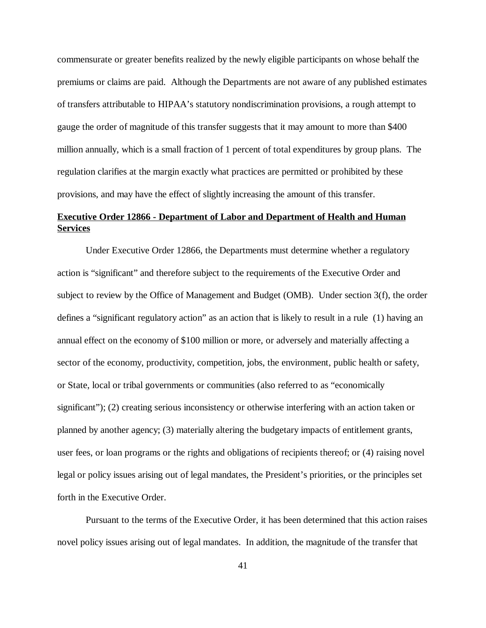commensurate or greater benefits realized by the newly eligible participants on whose behalf the premiums or claims are paid. Although the Departments are not aware of any published estimates of transfers attributable to HIPAA's statutory nondiscrimination provisions, a rough attempt to gauge the order of magnitude of this transfer suggests that it may amount to more than \$400 million annually, which is a small fraction of 1 percent of total expenditures by group plans. The regulation clarifies at the margin exactly what practices are permitted or prohibited by these provisions, and may have the effect of slightly increasing the amount of this transfer.

# **Executive Order 12866 - Department of Labor and Department of Health and Human Services**

Under Executive Order 12866, the Departments must determine whether a regulatory action is "significant" and therefore subject to the requirements of the Executive Order and subject to review by the Office of Management and Budget (OMB). Under section 3(f), the order defines a "significant regulatory action" as an action that is likely to result in a rule (1) having an annual effect on the economy of \$100 million or more, or adversely and materially affecting a sector of the economy, productivity, competition, jobs, the environment, public health or safety, or State, local or tribal governments or communities (also referred to as "economically significant"); (2) creating serious inconsistency or otherwise interfering with an action taken or planned by another agency; (3) materially altering the budgetary impacts of entitlement grants, user fees, or loan programs or the rights and obligations of recipients thereof; or (4) raising novel legal or policy issues arising out of legal mandates, the President's priorities, or the principles set forth in the Executive Order.

Pursuant to the terms of the Executive Order, it has been determined that this action raises novel policy issues arising out of legal mandates. In addition, the magnitude of the transfer that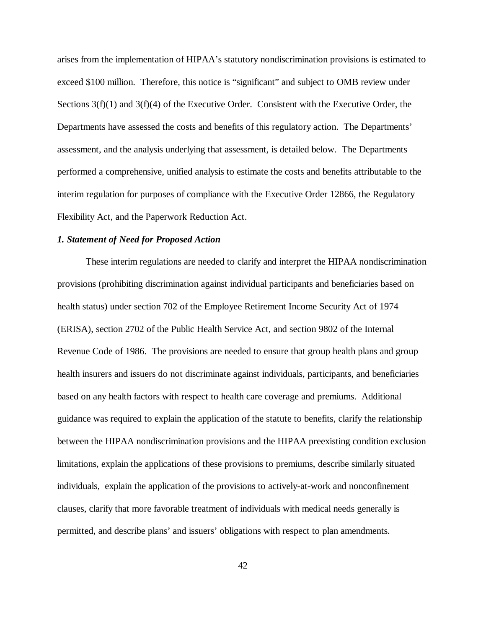arises from the implementation of HIPAA's statutory nondiscrimination provisions is estimated to exceed \$100 million. Therefore, this notice is "significant" and subject to OMB review under Sections  $3(f)(1)$  and  $3(f)(4)$  of the Executive Order. Consistent with the Executive Order, the Departments have assessed the costs and benefits of this regulatory action. The Departments' assessment, and the analysis underlying that assessment, is detailed below. The Departments performed a comprehensive, unified analysis to estimate the costs and benefits attributable to the interim regulation for purposes of compliance with the Executive Order 12866, the Regulatory Flexibility Act, and the Paperwork Reduction Act.

### *1. Statement of Need for Proposed Action*

These interim regulations are needed to clarify and interpret the HIPAA nondiscrimination provisions (prohibiting discrimination against individual participants and beneficiaries based on health status) under section 702 of the Employee Retirement Income Security Act of 1974 (ERISA), section 2702 of the Public Health Service Act, and section 9802 of the Internal Revenue Code of 1986. The provisions are needed to ensure that group health plans and group health insurers and issuers do not discriminate against individuals, participants, and beneficiaries based on any health factors with respect to health care coverage and premiums. Additional guidance was required to explain the application of the statute to benefits, clarify the relationship between the HIPAA nondiscrimination provisions and the HIPAA preexisting condition exclusion limitations, explain the applications of these provisions to premiums, describe similarly situated individuals, explain the application of the provisions to actively-at-work and nonconfinement clauses, clarify that more favorable treatment of individuals with medical needs generally is permitted, and describe plans' and issuers' obligations with respect to plan amendments.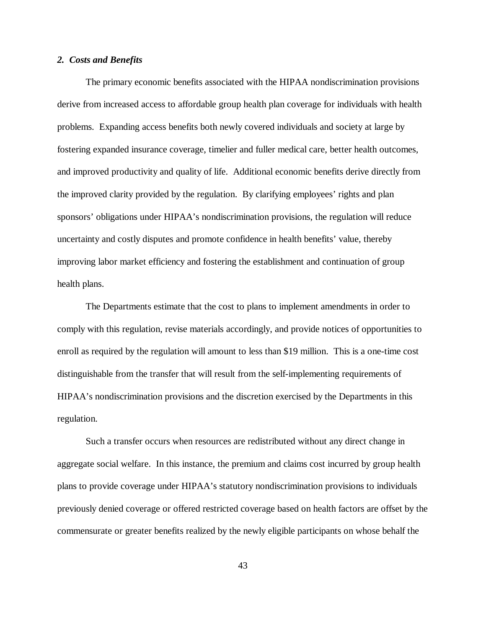#### *2. Costs and Benefits*

The primary economic benefits associated with the HIPAA nondiscrimination provisions derive from increased access to affordable group health plan coverage for individuals with health problems. Expanding access benefits both newly covered individuals and society at large by fostering expanded insurance coverage, timelier and fuller medical care, better health outcomes, and improved productivity and quality of life. Additional economic benefits derive directly from the improved clarity provided by the regulation. By clarifying employees' rights and plan sponsors' obligations under HIPAA's nondiscrimination provisions, the regulation will reduce uncertainty and costly disputes and promote confidence in health benefits' value, thereby improving labor market efficiency and fostering the establishment and continuation of group health plans.

The Departments estimate that the cost to plans to implement amendments in order to comply with this regulation, revise materials accordingly, and provide notices of opportunities to enroll as required by the regulation will amount to less than \$19 million. This is a one-time cost distinguishable from the transfer that will result from the self-implementing requirements of HIPAA's nondiscrimination provisions and the discretion exercised by the Departments in this regulation.

Such a transfer occurs when resources are redistributed without any direct change in aggregate social welfare. In this instance, the premium and claims cost incurred by group health plans to provide coverage under HIPAA's statutory nondiscrimination provisions to individuals previously denied coverage or offered restricted coverage based on health factors are offset by the commensurate or greater benefits realized by the newly eligible participants on whose behalf the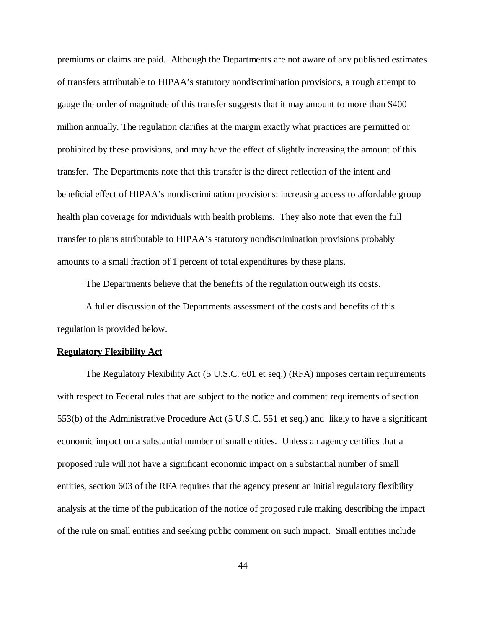premiums or claims are paid. Although the Departments are not aware of any published estimates of transfers attributable to HIPAA's statutory nondiscrimination provisions, a rough attempt to gauge the order of magnitude of this transfer suggests that it may amount to more than \$400 million annually. The regulation clarifies at the margin exactly what practices are permitted or prohibited by these provisions, and may have the effect of slightly increasing the amount of this transfer. The Departments note that this transfer is the direct reflection of the intent and beneficial effect of HIPAA's nondiscrimination provisions: increasing access to affordable group health plan coverage for individuals with health problems. They also note that even the full transfer to plans attributable to HIPAA's statutory nondiscrimination provisions probably amounts to a small fraction of 1 percent of total expenditures by these plans.

The Departments believe that the benefits of the regulation outweigh its costs.

A fuller discussion of the Departments assessment of the costs and benefits of this regulation is provided below.

#### **Regulatory Flexibility Act**

The Regulatory Flexibility Act (5 U.S.C. 601 et seq.) (RFA) imposes certain requirements with respect to Federal rules that are subject to the notice and comment requirements of section 553(b) of the Administrative Procedure Act (5 U.S.C. 551 et seq.) and likely to have a significant economic impact on a substantial number of small entities. Unless an agency certifies that a proposed rule will not have a significant economic impact on a substantial number of small entities, section 603 of the RFA requires that the agency present an initial regulatory flexibility analysis at the time of the publication of the notice of proposed rule making describing the impact of the rule on small entities and seeking public comment on such impact. Small entities include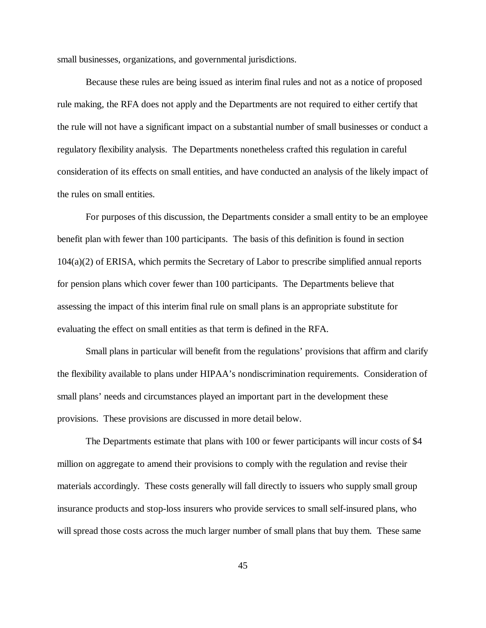small businesses, organizations, and governmental jurisdictions.

Because these rules are being issued as interim final rules and not as a notice of proposed rule making, the RFA does not apply and the Departments are not required to either certify that the rule will not have a significant impact on a substantial number of small businesses or conduct a regulatory flexibility analysis. The Departments nonetheless crafted this regulation in careful consideration of its effects on small entities, and have conducted an analysis of the likely impact of the rules on small entities.

For purposes of this discussion, the Departments consider a small entity to be an employee benefit plan with fewer than 100 participants. The basis of this definition is found in section 104(a)(2) of ERISA, which permits the Secretary of Labor to prescribe simplified annual reports for pension plans which cover fewer than 100 participants. The Departments believe that assessing the impact of this interim final rule on small plans is an appropriate substitute for evaluating the effect on small entities as that term is defined in the RFA.

Small plans in particular will benefit from the regulations' provisions that affirm and clarify the flexibility available to plans under HIPAA's nondiscrimination requirements. Consideration of small plans' needs and circumstances played an important part in the development these provisions. These provisions are discussed in more detail below.

The Departments estimate that plans with 100 or fewer participants will incur costs of \$4 million on aggregate to amend their provisions to comply with the regulation and revise their materials accordingly. These costs generally will fall directly to issuers who supply small group insurance products and stop-loss insurers who provide services to small self-insured plans, who will spread those costs across the much larger number of small plans that buy them. These same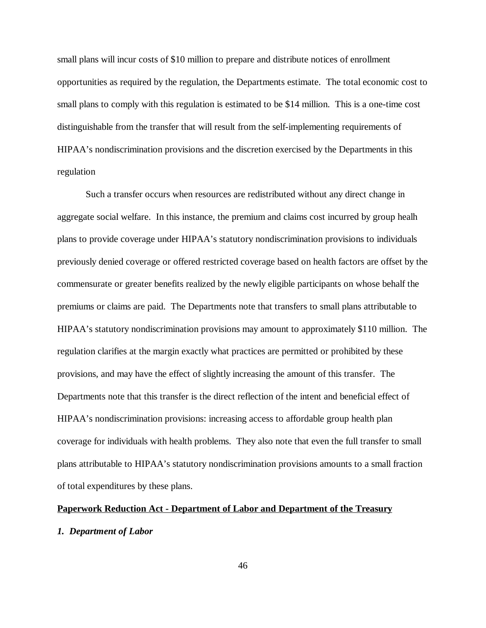small plans will incur costs of \$10 million to prepare and distribute notices of enrollment opportunities as required by the regulation, the Departments estimate. The total economic cost to small plans to comply with this regulation is estimated to be \$14 million. This is a one-time cost distinguishable from the transfer that will result from the self-implementing requirements of HIPAA's nondiscrimination provisions and the discretion exercised by the Departments in this regulation

Such a transfer occurs when resources are redistributed without any direct change in aggregate social welfare. In this instance, the premium and claims cost incurred by group healh plans to provide coverage under HIPAA's statutory nondiscrimination provisions to individuals previously denied coverage or offered restricted coverage based on health factors are offset by the commensurate or greater benefits realized by the newly eligible participants on whose behalf the premiums or claims are paid. The Departments note that transfers to small plans attributable to HIPAA's statutory nondiscrimination provisions may amount to approximately \$110 million. The regulation clarifies at the margin exactly what practices are permitted or prohibited by these provisions, and may have the effect of slightly increasing the amount of this transfer. The Departments note that this transfer is the direct reflection of the intent and beneficial effect of HIPAA's nondiscrimination provisions: increasing access to affordable group health plan coverage for individuals with health problems. They also note that even the full transfer to small plans attributable to HIPAA's statutory nondiscrimination provisions amounts to a small fraction of total expenditures by these plans.

# **Paperwork Reduction Act - Department of Labor and Department of the Treasury**

### *1. Department of Labor*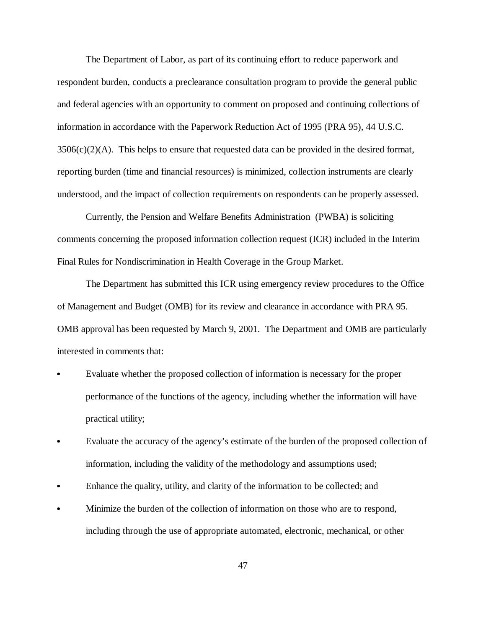The Department of Labor, as part of its continuing effort to reduce paperwork and respondent burden, conducts a preclearance consultation program to provide the general public and federal agencies with an opportunity to comment on proposed and continuing collections of information in accordance with the Paperwork Reduction Act of 1995 (PRA 95), 44 U.S.C.  $3506(c)(2)$ (A). This helps to ensure that requested data can be provided in the desired format, reporting burden (time and financial resources) is minimized, collection instruments are clearly understood, and the impact of collection requirements on respondents can be properly assessed.

Currently, the Pension and Welfare Benefits Administration (PWBA) is soliciting comments concerning the proposed information collection request (ICR) included in the Interim Final Rules for Nondiscrimination in Health Coverage in the Group Market.

The Department has submitted this ICR using emergency review procedures to the Office of Management and Budget (OMB) for its review and clearance in accordance with PRA 95. OMB approval has been requested by March 9, 2001. The Department and OMB are particularly interested in comments that:

- Evaluate whether the proposed collection of information is necessary for the proper performance of the functions of the agency, including whether the information will have practical utility;
- Evaluate the accuracy of the agency's estimate of the burden of the proposed collection of information, including the validity of the methodology and assumptions used;
- Enhance the quality, utility, and clarity of the information to be collected; and
- Minimize the burden of the collection of information on those who are to respond, including through the use of appropriate automated, electronic, mechanical, or other

47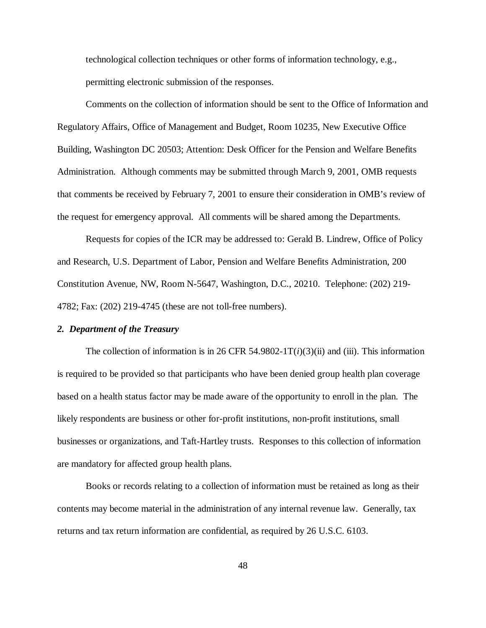technological collection techniques or other forms of information technology, e.g., permitting electronic submission of the responses.

Comments on the collection of information should be sent to the Office of Information and Regulatory Affairs, Office of Management and Budget, Room 10235, New Executive Office Building, Washington DC 20503; Attention: Desk Officer for the Pension and Welfare Benefits Administration. Although comments may be submitted through March 9, 2001, OMB requests that comments be received by February 7, 2001 to ensure their consideration in OMB's review of the request for emergency approval. All comments will be shared among the Departments.

Requests for copies of the ICR may be addressed to: Gerald B. Lindrew, Office of Policy and Research, U.S. Department of Labor, Pension and Welfare Benefits Administration, 200 Constitution Avenue, NW, Room N-5647, Washington, D.C., 20210. Telephone: (202) 219- 4782; Fax: (202) 219-4745 (these are not toll-free numbers).

### *2. Department of the Treasury*

The collection of information is in 26 CFR 54.9802-1T $(i)(3)(ii)$  and (iii). This information is required to be provided so that participants who have been denied group health plan coverage based on a health status factor may be made aware of the opportunity to enroll in the plan. The likely respondents are business or other for-profit institutions, non-profit institutions, small businesses or organizations, and Taft-Hartley trusts. Responses to this collection of information are mandatory for affected group health plans.

Books or records relating to a collection of information must be retained as long as their contents may become material in the administration of any internal revenue law. Generally, tax returns and tax return information are confidential, as required by 26 U.S.C. 6103.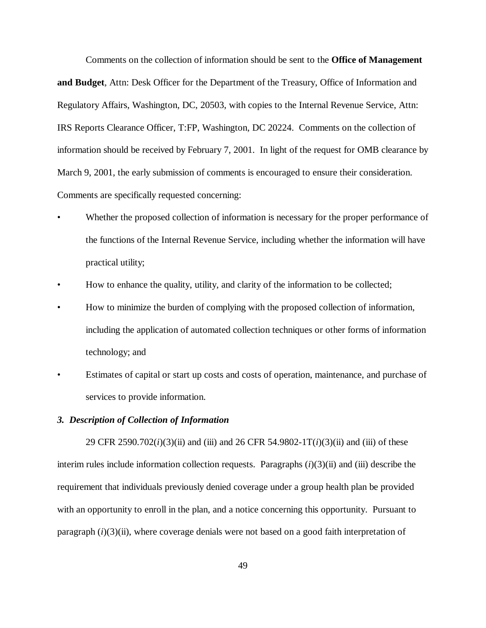Comments on the collection of information should be sent to the **Office of Management and Budget**, Attn: Desk Officer for the Department of the Treasury, Office of Information and Regulatory Affairs, Washington, DC, 20503, with copies to the Internal Revenue Service, Attn: IRS Reports Clearance Officer, T:FP, Washington, DC 20224. Comments on the collection of information should be received by February 7, 2001. In light of the request for OMB clearance by March 9, 2001, the early submission of comments is encouraged to ensure their consideration. Comments are specifically requested concerning:

- Whether the proposed collection of information is necessary for the proper performance of the functions of the Internal Revenue Service, including whether the information will have practical utility;
- How to enhance the quality, utility, and clarity of the information to be collected;
- How to minimize the burden of complying with the proposed collection of information, including the application of automated collection techniques or other forms of information technology; and
- Estimates of capital or start up costs and costs of operation, maintenance, and purchase of services to provide information.

### *3. Description of Collection of Information*

29 CFR 2590.702(*i*)(3)(ii) and (iii) and 26 CFR 54.9802-1T(*i*)(3)(ii) and (iii) of these interim rules include information collection requests. Paragraphs (*i*)(3)(ii) and (iii) describe the requirement that individuals previously denied coverage under a group health plan be provided with an opportunity to enroll in the plan, and a notice concerning this opportunity. Pursuant to paragraph (*i*)(3)(ii), where coverage denials were not based on a good faith interpretation of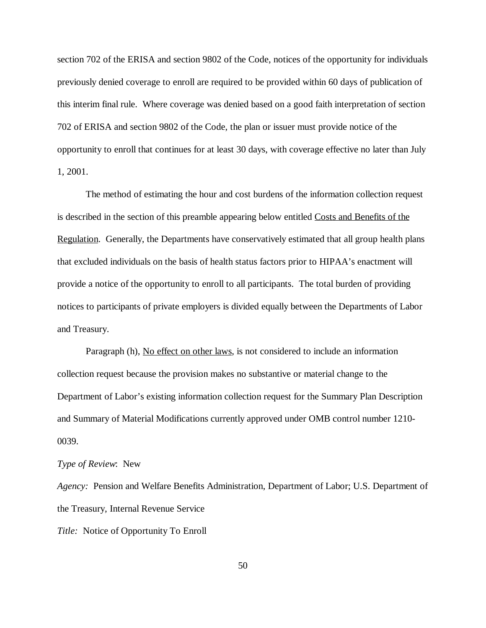section 702 of the ERISA and section 9802 of the Code, notices of the opportunity for individuals previously denied coverage to enroll are required to be provided within 60 days of publication of this interim final rule. Where coverage was denied based on a good faith interpretation of section 702 of ERISA and section 9802 of the Code, the plan or issuer must provide notice of the opportunity to enroll that continues for at least 30 days, with coverage effective no later than July 1, 2001.

The method of estimating the hour and cost burdens of the information collection request is described in the section of this preamble appearing below entitled Costs and Benefits of the Regulation. Generally, the Departments have conservatively estimated that all group health plans that excluded individuals on the basis of health status factors prior to HIPAA's enactment will provide a notice of the opportunity to enroll to all participants. The total burden of providing notices to participants of private employers is divided equally between the Departments of Labor and Treasury.

Paragraph (h), No effect on other laws, is not considered to include an information collection request because the provision makes no substantive or material change to the Department of Labor's existing information collection request for the Summary Plan Description and Summary of Material Modifications currently approved under OMB control number 1210- 0039.

### *Type of Review*: New

*Agency:* Pension and Welfare Benefits Administration, Department of Labor; U.S. Department of the Treasury, Internal Revenue Service *Title:* Notice of Opportunity To Enroll

50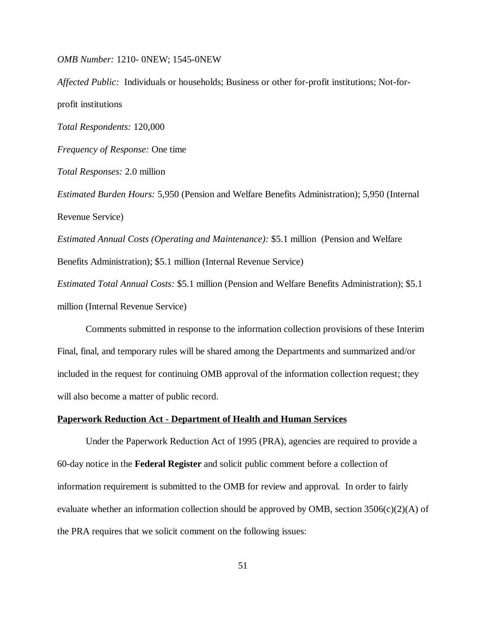*OMB Number:* 1210- 0NEW; 1545-0NEW

*Affected Public:* Individuals or households; Business or other for-profit institutions; Not-forprofit institutions *Total Respondents:* 120,000 *Frequency of Response:* One time *Total Responses:* 2.0 million *Estimated Burden Hours:* 5,950 (Pension and Welfare Benefits Administration); 5,950 (Internal Revenue Service) *Estimated Annual Costs (Operating and Maintenance):* \$5.1 million (Pension and Welfare Benefits Administration); \$5.1 million (Internal Revenue Service) *Estimated Total Annual Costs:* \$5.1 million (Pension and Welfare Benefits Administration); \$5.1 million (Internal Revenue Service)

Comments submitted in response to the information collection provisions of these Interim Final, final, and temporary rules will be shared among the Departments and summarized and/or included in the request for continuing OMB approval of the information collection request; they will also become a matter of public record.

### **Paperwork Reduction Act - Department of Health and Human Services**

Under the Paperwork Reduction Act of 1995 (PRA), agencies are required to provide a 60-day notice in the **Federal Register** and solicit public comment before a collection of information requirement is submitted to the OMB for review and approval. In order to fairly evaluate whether an information collection should be approved by OMB, section  $3506(c)(2)(A)$  of the PRA requires that we solicit comment on the following issues: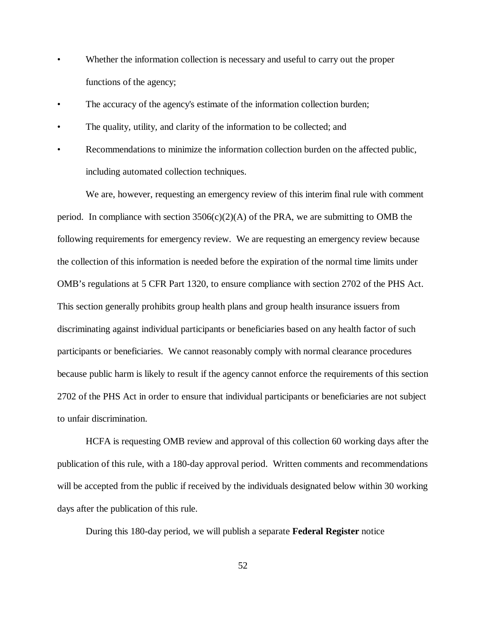- Whether the information collection is necessary and useful to carry out the proper functions of the agency;
- The accuracy of the agency's estimate of the information collection burden;
- The quality, utility, and clarity of the information to be collected; and
- Recommendations to minimize the information collection burden on the affected public, including automated collection techniques.

We are, however, requesting an emergency review of this interim final rule with comment period. In compliance with section  $3506(c)(2)(A)$  of the PRA, we are submitting to OMB the following requirements for emergency review. We are requesting an emergency review because the collection of this information is needed before the expiration of the normal time limits under OMB's regulations at 5 CFR Part 1320, to ensure compliance with section 2702 of the PHS Act. This section generally prohibits group health plans and group health insurance issuers from discriminating against individual participants or beneficiaries based on any health factor of such participants or beneficiaries. We cannot reasonably comply with normal clearance procedures because public harm is likely to result if the agency cannot enforce the requirements of this section 2702 of the PHS Act in order to ensure that individual participants or beneficiaries are not subject to unfair discrimination.

HCFA is requesting OMB review and approval of this collection 60 working days after the publication of this rule, with a 180-day approval period. Written comments and recommendations will be accepted from the public if received by the individuals designated below within 30 working days after the publication of this rule.

During this 180-day period, we will publish a separate **Federal Register** notice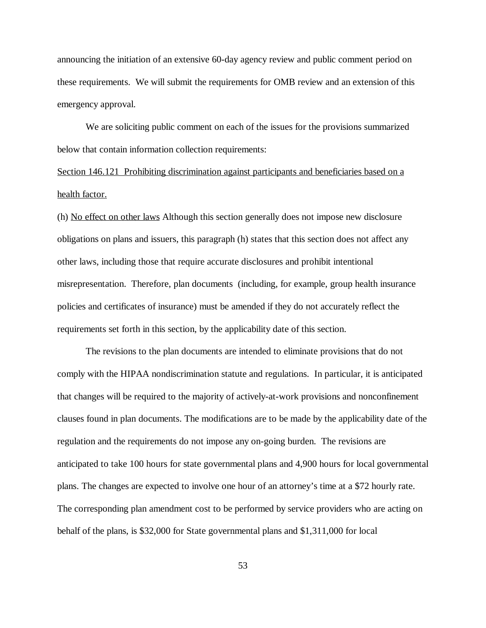announcing the initiation of an extensive 60-day agency review and public comment period on these requirements. We will submit the requirements for OMB review and an extension of this emergency approval.

We are soliciting public comment on each of the issues for the provisions summarized below that contain information collection requirements:

Section 146.121 Prohibiting discrimination against participants and beneficiaries based on a health factor.

(h) No effect on other laws Although this section generally does not impose new disclosure obligations on plans and issuers, this paragraph (h) states that this section does not affect any other laws, including those that require accurate disclosures and prohibit intentional misrepresentation. Therefore, plan documents (including, for example, group health insurance policies and certificates of insurance) must be amended if they do not accurately reflect the requirements set forth in this section, by the applicability date of this section.

The revisions to the plan documents are intended to eliminate provisions that do not comply with the HIPAA nondiscrimination statute and regulations. In particular, it is anticipated that changes will be required to the majority of actively-at-work provisions and nonconfinement clauses found in plan documents. The modifications are to be made by the applicability date of the regulation and the requirements do not impose any on-going burden. The revisions are anticipated to take 100 hours for state governmental plans and 4,900 hours for local governmental plans. The changes are expected to involve one hour of an attorney's time at a \$72 hourly rate. The corresponding plan amendment cost to be performed by service providers who are acting on behalf of the plans, is \$32,000 for State governmental plans and \$1,311,000 for local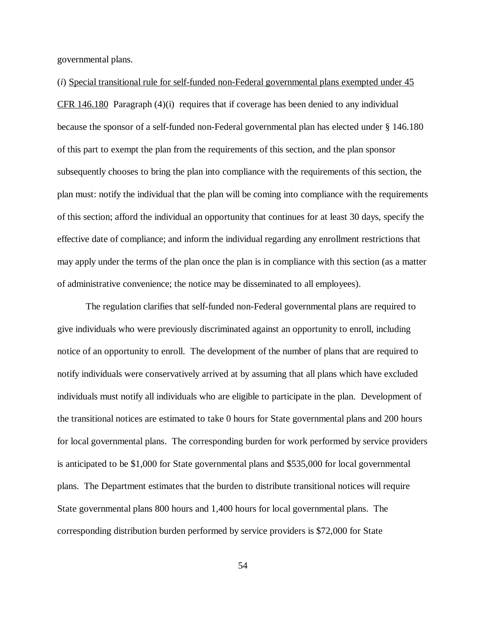governmental plans.

(*i*) Special transitional rule for self-funded non-Federal governmental plans exempted under 45 CFR 146.180 Paragraph (4)(i) requires that if coverage has been denied to any individual because the sponsor of a self-funded non-Federal governmental plan has elected under § 146.180 of this part to exempt the plan from the requirements of this section, and the plan sponsor subsequently chooses to bring the plan into compliance with the requirements of this section, the plan must: notify the individual that the plan will be coming into compliance with the requirements of this section; afford the individual an opportunity that continues for at least 30 days, specify the effective date of compliance; and inform the individual regarding any enrollment restrictions that may apply under the terms of the plan once the plan is in compliance with this section (as a matter of administrative convenience; the notice may be disseminated to all employees).

The regulation clarifies that self-funded non-Federal governmental plans are required to give individuals who were previously discriminated against an opportunity to enroll, including notice of an opportunity to enroll. The development of the number of plans that are required to notify individuals were conservatively arrived at by assuming that all plans which have excluded individuals must notify all individuals who are eligible to participate in the plan. Development of the transitional notices are estimated to take 0 hours for State governmental plans and 200 hours for local governmental plans. The corresponding burden for work performed by service providers is anticipated to be \$1,000 for State governmental plans and \$535,000 for local governmental plans. The Department estimates that the burden to distribute transitional notices will require State governmental plans 800 hours and 1,400 hours for local governmental plans. The corresponding distribution burden performed by service providers is \$72,000 for State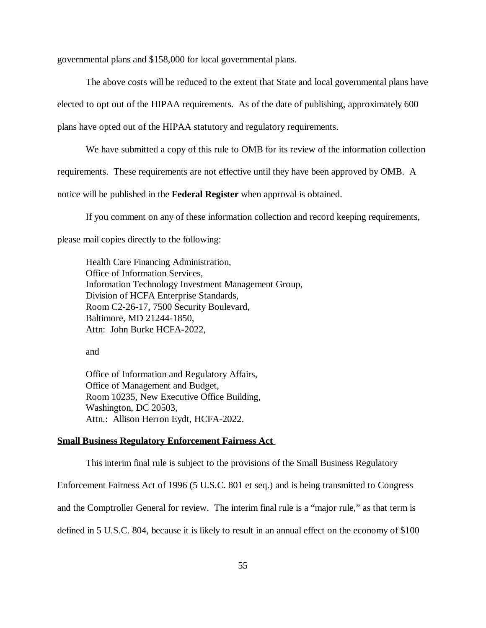governmental plans and \$158,000 for local governmental plans.

The above costs will be reduced to the extent that State and local governmental plans have

elected to opt out of the HIPAA requirements. As of the date of publishing, approximately 600

plans have opted out of the HIPAA statutory and regulatory requirements.

We have submitted a copy of this rule to OMB for its review of the information collection requirements. These requirements are not effective until they have been approved by OMB. A

notice will be published in the **Federal Register** when approval is obtained.

If you comment on any of these information collection and record keeping requirements,

please mail copies directly to the following:

Health Care Financing Administration, Office of Information Services, Information Technology Investment Management Group, Division of HCFA Enterprise Standards, Room C2-26-17, 7500 Security Boulevard, Baltimore, MD 21244-1850, Attn: John Burke HCFA-2022,

and

Office of Information and Regulatory Affairs, Office of Management and Budget, Room 10235, New Executive Office Building, Washington, DC 20503, Attn.: Allison Herron Eydt, HCFA-2022.

# **Small Business Regulatory Enforcement Fairness Act**

This interim final rule is subject to the provisions of the Small Business Regulatory

Enforcement Fairness Act of 1996 (5 U.S.C. 801 et seq.) and is being transmitted to Congress

and the Comptroller General for review. The interim final rule is a "major rule," as that term is

defined in 5 U.S.C. 804, because it is likely to result in an annual effect on the economy of \$100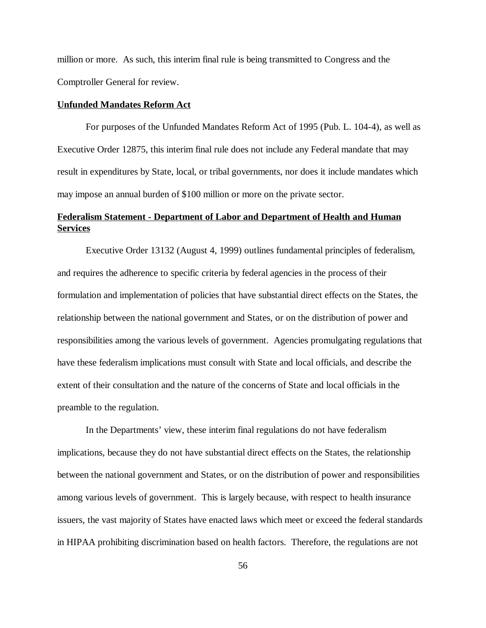million or more. As such, this interim final rule is being transmitted to Congress and the Comptroller General for review.

### **Unfunded Mandates Reform Act**

For purposes of the Unfunded Mandates Reform Act of 1995 (Pub. L. 104-4), as well as Executive Order 12875, this interim final rule does not include any Federal mandate that may result in expenditures by State, local, or tribal governments, nor does it include mandates which may impose an annual burden of \$100 million or more on the private sector.

# **Federalism Statement - Department of Labor and Department of Health and Human Services**

Executive Order 13132 (August 4, 1999) outlines fundamental principles of federalism, and requires the adherence to specific criteria by federal agencies in the process of their formulation and implementation of policies that have substantial direct effects on the States, the relationship between the national government and States, or on the distribution of power and responsibilities among the various levels of government. Agencies promulgating regulations that have these federalism implications must consult with State and local officials, and describe the extent of their consultation and the nature of the concerns of State and local officials in the preamble to the regulation.

In the Departments' view, these interim final regulations do not have federalism implications, because they do not have substantial direct effects on the States, the relationship between the national government and States, or on the distribution of power and responsibilities among various levels of government. This is largely because, with respect to health insurance issuers, the vast majority of States have enacted laws which meet or exceed the federal standards in HIPAA prohibiting discrimination based on health factors. Therefore, the regulations are not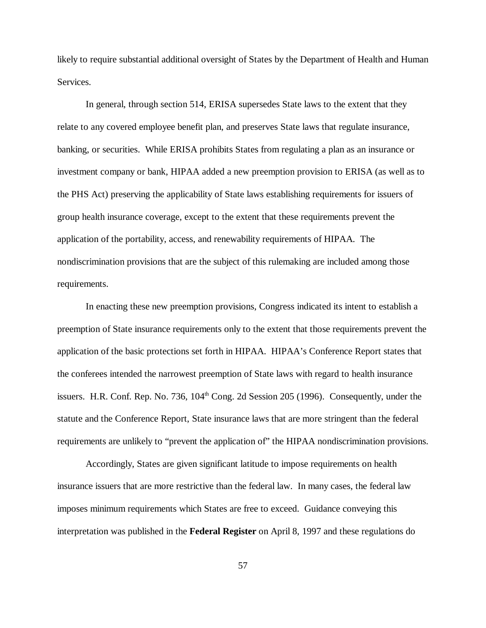likely to require substantial additional oversight of States by the Department of Health and Human Services.

In general, through section 514, ERISA supersedes State laws to the extent that they relate to any covered employee benefit plan, and preserves State laws that regulate insurance, banking, or securities. While ERISA prohibits States from regulating a plan as an insurance or investment company or bank, HIPAA added a new preemption provision to ERISA (as well as to the PHS Act) preserving the applicability of State laws establishing requirements for issuers of group health insurance coverage, except to the extent that these requirements prevent the application of the portability, access, and renewability requirements of HIPAA. The nondiscrimination provisions that are the subject of this rulemaking are included among those requirements.

In enacting these new preemption provisions, Congress indicated its intent to establish a preemption of State insurance requirements only to the extent that those requirements prevent the application of the basic protections set forth in HIPAA. HIPAA's Conference Report states that the conferees intended the narrowest preemption of State laws with regard to health insurance issuers. H.R. Conf. Rep. No. 736,  $104<sup>th</sup>$  Cong. 2d Session 205 (1996). Consequently, under the statute and the Conference Report, State insurance laws that are more stringent than the federal requirements are unlikely to "prevent the application of" the HIPAA nondiscrimination provisions.

Accordingly, States are given significant latitude to impose requirements on health insurance issuers that are more restrictive than the federal law. In many cases, the federal law imposes minimum requirements which States are free to exceed. Guidance conveying this interpretation was published in the **Federal Register** on April 8, 1997 and these regulations do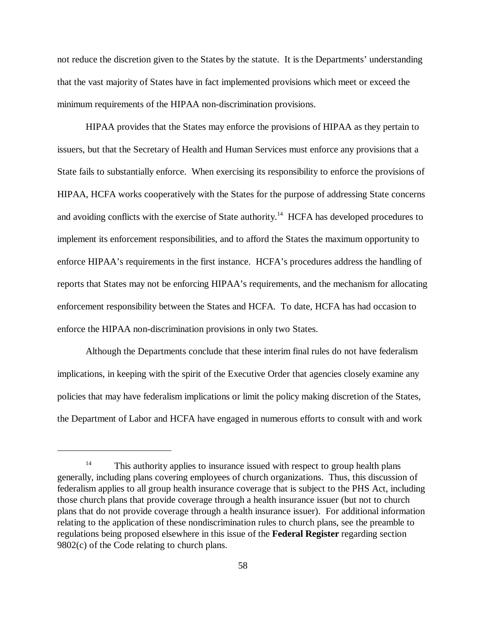not reduce the discretion given to the States by the statute. It is the Departments' understanding that the vast majority of States have in fact implemented provisions which meet or exceed the minimum requirements of the HIPAA non-discrimination provisions.

HIPAA provides that the States may enforce the provisions of HIPAA as they pertain to issuers, but that the Secretary of Health and Human Services must enforce any provisions that a State fails to substantially enforce. When exercising its responsibility to enforce the provisions of HIPAA, HCFA works cooperatively with the States for the purpose of addressing State concerns and avoiding conflicts with the exercise of State authority.<sup>14</sup> HCFA has developed procedures to implement its enforcement responsibilities, and to afford the States the maximum opportunity to enforce HIPAA's requirements in the first instance. HCFA's procedures address the handling of reports that States may not be enforcing HIPAA's requirements, and the mechanism for allocating enforcement responsibility between the States and HCFA. To date, HCFA has had occasion to enforce the HIPAA non-discrimination provisions in only two States.

Although the Departments conclude that these interim final rules do not have federalism implications, in keeping with the spirit of the Executive Order that agencies closely examine any policies that may have federalism implications or limit the policy making discretion of the States, the Department of Labor and HCFA have engaged in numerous efforts to consult with and work

 $14$  This authority applies to insurance issued with respect to group health plans generally, including plans covering employees of church organizations. Thus, this discussion of federalism applies to all group health insurance coverage that is subject to the PHS Act, including those church plans that provide coverage through a health insurance issuer (but not to church plans that do not provide coverage through a health insurance issuer). For additional information relating to the application of these nondiscrimination rules to church plans, see the preamble to regulations being proposed elsewhere in this issue of the **Federal Register** regarding section 9802(c) of the Code relating to church plans.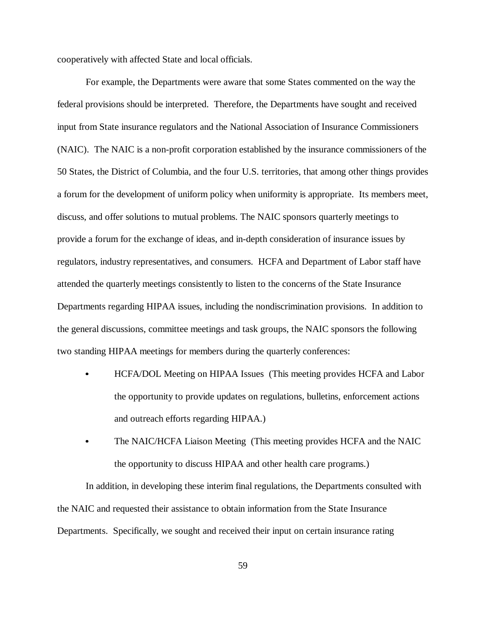cooperatively with affected State and local officials.

 $\bullet$ 

For example, the Departments were aware that some States commented on the way the federal provisions should be interpreted. Therefore, the Departments have sought and received input from State insurance regulators and the National Association of Insurance Commissioners (NAIC). The NAIC is a non-profit corporation established by the insurance commissioners of the 50 States, the District of Columbia, and the four U.S. territories, that among other things provides a forum for the development of uniform policy when uniformity is appropriate. Its members meet, discuss, and offer solutions to mutual problems. The NAIC sponsors quarterly meetings to provide a forum for the exchange of ideas, and in-depth consideration of insurance issues by regulators, industry representatives, and consumers. HCFA and Department of Labor staff have attended the quarterly meetings consistently to listen to the concerns of the State Insurance Departments regarding HIPAA issues, including the nondiscrimination provisions. In addition to the general discussions, committee meetings and task groups, the NAIC sponsors the following two standing HIPAA meetings for members during the quarterly conferences:

- HCFA/DOL Meeting on HIPAA Issues (This meeting provides HCFA and Labor the opportunity to provide updates on regulations, bulletins, enforcement actions and outreach efforts regarding HIPAA.)
- $\bullet$  The NAIC/HCFA Liaison Meeting (This meeting provides HCFA and the NAIC the opportunity to discuss HIPAA and other health care programs.)

In addition, in developing these interim final regulations, the Departments consulted with the NAIC and requested their assistance to obtain information from the State Insurance Departments. Specifically, we sought and received their input on certain insurance rating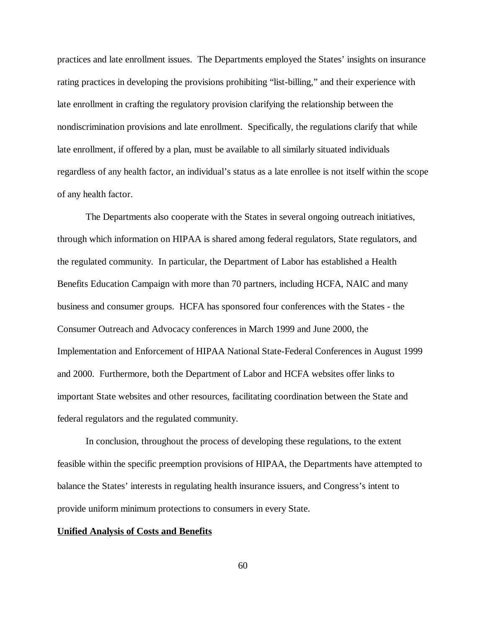practices and late enrollment issues. The Departments employed the States' insights on insurance rating practices in developing the provisions prohibiting "list-billing," and their experience with late enrollment in crafting the regulatory provision clarifying the relationship between the nondiscrimination provisions and late enrollment. Specifically, the regulations clarify that while late enrollment, if offered by a plan, must be available to all similarly situated individuals regardless of any health factor, an individual's status as a late enrollee is not itself within the scope of any health factor.

The Departments also cooperate with the States in several ongoing outreach initiatives, through which information on HIPAA is shared among federal regulators, State regulators, and the regulated community. In particular, the Department of Labor has established a Health Benefits Education Campaign with more than 70 partners, including HCFA, NAIC and many business and consumer groups. HCFA has sponsored four conferences with the States - the Consumer Outreach and Advocacy conferences in March 1999 and June 2000, the Implementation and Enforcement of HIPAA National State-Federal Conferences in August 1999 and 2000. Furthermore, both the Department of Labor and HCFA websites offer links to important State websites and other resources, facilitating coordination between the State and federal regulators and the regulated community.

In conclusion, throughout the process of developing these regulations, to the extent feasible within the specific preemption provisions of HIPAA, the Departments have attempted to balance the States' interests in regulating health insurance issuers, and Congress's intent to provide uniform minimum protections to consumers in every State.

### **Unified Analysis of Costs and Benefits**

60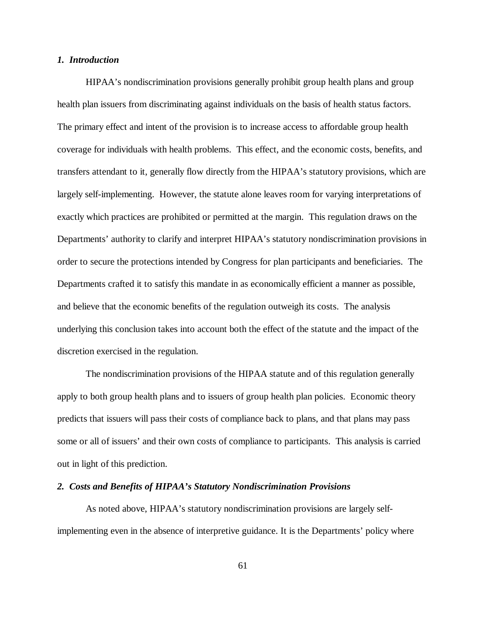## *1. Introduction*

HIPAA's nondiscrimination provisions generally prohibit group health plans and group health plan issuers from discriminating against individuals on the basis of health status factors. The primary effect and intent of the provision is to increase access to affordable group health coverage for individuals with health problems. This effect, and the economic costs, benefits, and transfers attendant to it, generally flow directly from the HIPAA's statutory provisions, which are largely self-implementing. However, the statute alone leaves room for varying interpretations of exactly which practices are prohibited or permitted at the margin. This regulation draws on the Departments' authority to clarify and interpret HIPAA's statutory nondiscrimination provisions in order to secure the protections intended by Congress for plan participants and beneficiaries. The Departments crafted it to satisfy this mandate in as economically efficient a manner as possible, and believe that the economic benefits of the regulation outweigh its costs. The analysis underlying this conclusion takes into account both the effect of the statute and the impact of the discretion exercised in the regulation.

The nondiscrimination provisions of the HIPAA statute and of this regulation generally apply to both group health plans and to issuers of group health plan policies. Economic theory predicts that issuers will pass their costs of compliance back to plans, and that plans may pass some or all of issuers' and their own costs of compliance to participants. This analysis is carried out in light of this prediction.

### *2. Costs and Benefits of HIPAA's Statutory Nondiscrimination Provisions*

As noted above, HIPAA's statutory nondiscrimination provisions are largely selfimplementing even in the absence of interpretive guidance. It is the Departments' policy where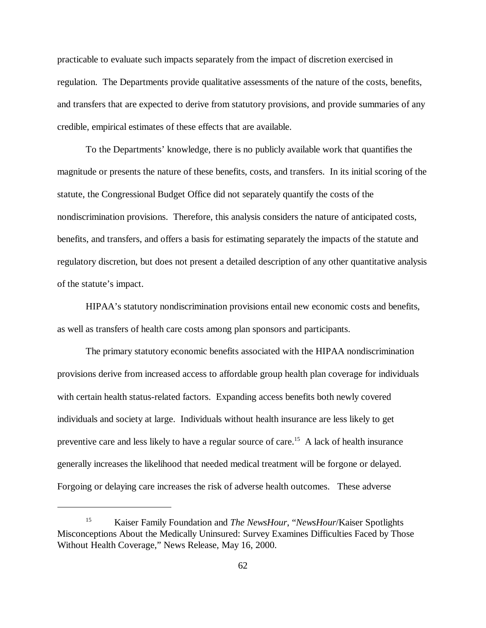practicable to evaluate such impacts separately from the impact of discretion exercised in regulation. The Departments provide qualitative assessments of the nature of the costs, benefits, and transfers that are expected to derive from statutory provisions, and provide summaries of any credible, empirical estimates of these effects that are available.

To the Departments' knowledge, there is no publicly available work that quantifies the magnitude or presents the nature of these benefits, costs, and transfers. In its initial scoring of the statute, the Congressional Budget Office did not separately quantify the costs of the nondiscrimination provisions. Therefore, this analysis considers the nature of anticipated costs, benefits, and transfers, and offers a basis for estimating separately the impacts of the statute and regulatory discretion, but does not present a detailed description of any other quantitative analysis of the statute's impact.

HIPAA's statutory nondiscrimination provisions entail new economic costs and benefits, as well as transfers of health care costs among plan sponsors and participants.

The primary statutory economic benefits associated with the HIPAA nondiscrimination provisions derive from increased access to affordable group health plan coverage for individuals with certain health status-related factors. Expanding access benefits both newly covered individuals and society at large. Individuals without health insurance are less likely to get preventive care and less likely to have a regular source of care.<sup>15</sup> A lack of health insurance generally increases the likelihood that needed medical treatment will be forgone or delayed. Forgoing or delaying care increases the risk of adverse health outcomes. These adverse

<sup>&</sup>lt;sup>15</sup> Kaiser Family Foundation and *The NewsHour*, "*NewsHour*/Kaiser Spotlights Misconceptions About the Medically Uninsured: Survey Examines Difficulties Faced by Those Without Health Coverage," News Release, May 16, 2000.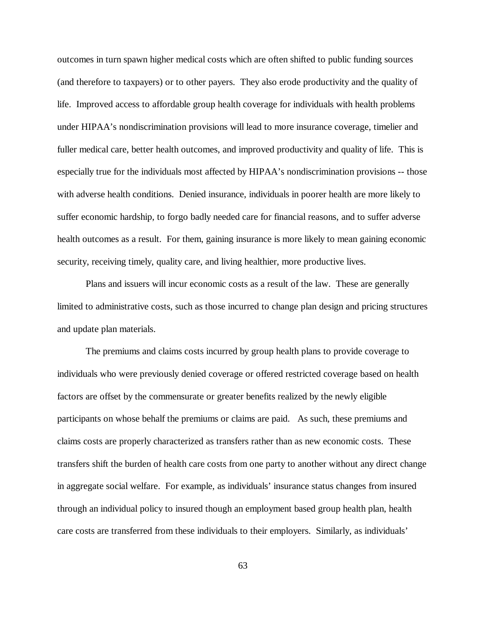outcomes in turn spawn higher medical costs which are often shifted to public funding sources (and therefore to taxpayers) or to other payers. They also erode productivity and the quality of life. Improved access to affordable group health coverage for individuals with health problems under HIPAA's nondiscrimination provisions will lead to more insurance coverage, timelier and fuller medical care, better health outcomes, and improved productivity and quality of life. This is especially true for the individuals most affected by HIPAA's nondiscrimination provisions -- those with adverse health conditions. Denied insurance, individuals in poorer health are more likely to suffer economic hardship, to forgo badly needed care for financial reasons, and to suffer adverse health outcomes as a result. For them, gaining insurance is more likely to mean gaining economic security, receiving timely, quality care, and living healthier, more productive lives.

Plans and issuers will incur economic costs as a result of the law. These are generally limited to administrative costs, such as those incurred to change plan design and pricing structures and update plan materials.

The premiums and claims costs incurred by group health plans to provide coverage to individuals who were previously denied coverage or offered restricted coverage based on health factors are offset by the commensurate or greater benefits realized by the newly eligible participants on whose behalf the premiums or claims are paid. As such, these premiums and claims costs are properly characterized as transfers rather than as new economic costs. These transfers shift the burden of health care costs from one party to another without any direct change in aggregate social welfare. For example, as individuals' insurance status changes from insured through an individual policy to insured though an employment based group health plan, health care costs are transferred from these individuals to their employers. Similarly, as individuals'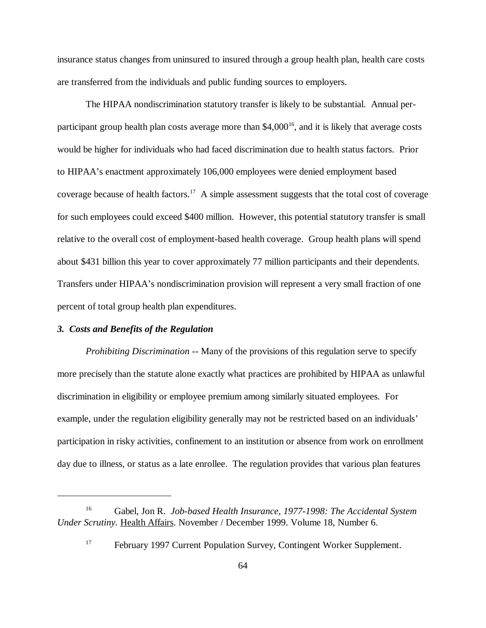insurance status changes from uninsured to insured through a group health plan, health care costs are transferred from the individuals and public funding sources to employers.

The HIPAA nondiscrimination statutory transfer is likely to be substantial. Annual perparticipant group health plan costs average more than  $$4,000^{16}$ , and it is likely that average costs would be higher for individuals who had faced discrimination due to health status factors. Prior to HIPAA's enactment approximately 106,000 employees were denied employment based coverage because of health factors.<sup>17</sup> A simple assessment suggests that the total cost of coverage for such employees could exceed \$400 million. However, this potential statutory transfer is small relative to the overall cost of employment-based health coverage. Group health plans will spend about \$431 billion this year to cover approximately 77 million participants and their dependents. Transfers under HIPAA's nondiscrimination provision will represent a very small fraction of one percent of total group health plan expenditures.

## *3. Costs and Benefits of the Regulation*

*Prohibiting Discrimination* -- Many of the provisions of this regulation serve to specify more precisely than the statute alone exactly what practices are prohibited by HIPAA as unlawful discrimination in eligibility or employee premium among similarly situated employees. For example, under the regulation eligibility generally may not be restricted based on an individuals' participation in risky activities, confinement to an institution or absence from work on enrollment day due to illness, or status as a late enrollee. The regulation provides that various plan features

Gabel, Jon R. *Job-based Health Insurance, 1977-1998: The Accidental System* <sup>16</sup> *Under Scrutiny.* Health Affairs. November / December 1999. Volume 18, Number 6.

<sup>&</sup>lt;sup>17</sup> February 1997 Current Population Survey, Contingent Worker Supplement.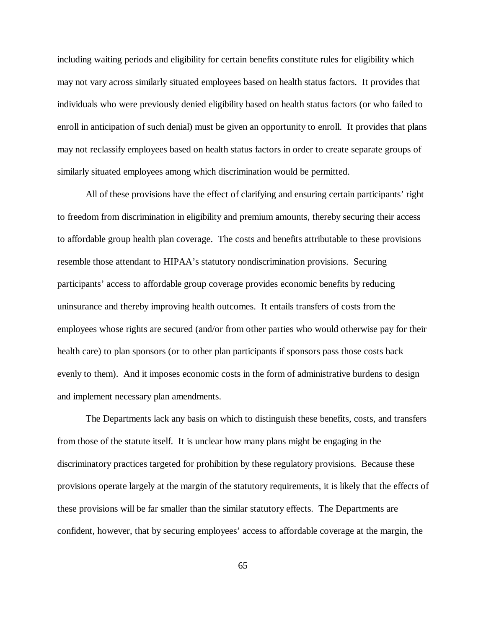including waiting periods and eligibility for certain benefits constitute rules for eligibility which may not vary across similarly situated employees based on health status factors. It provides that individuals who were previously denied eligibility based on health status factors (or who failed to enroll in anticipation of such denial) must be given an opportunity to enroll. It provides that plans may not reclassify employees based on health status factors in order to create separate groups of similarly situated employees among which discrimination would be permitted.

All of these provisions have the effect of clarifying and ensuring certain participants' right to freedom from discrimination in eligibility and premium amounts, thereby securing their access to affordable group health plan coverage. The costs and benefits attributable to these provisions resemble those attendant to HIPAA's statutory nondiscrimination provisions. Securing participants' access to affordable group coverage provides economic benefits by reducing uninsurance and thereby improving health outcomes. It entails transfers of costs from the employees whose rights are secured (and/or from other parties who would otherwise pay for their health care) to plan sponsors (or to other plan participants if sponsors pass those costs back evenly to them). And it imposes economic costs in the form of administrative burdens to design and implement necessary plan amendments.

The Departments lack any basis on which to distinguish these benefits, costs, and transfers from those of the statute itself. It is unclear how many plans might be engaging in the discriminatory practices targeted for prohibition by these regulatory provisions. Because these provisions operate largely at the margin of the statutory requirements, it is likely that the effects of these provisions will be far smaller than the similar statutory effects. The Departments are confident, however, that by securing employees' access to affordable coverage at the margin, the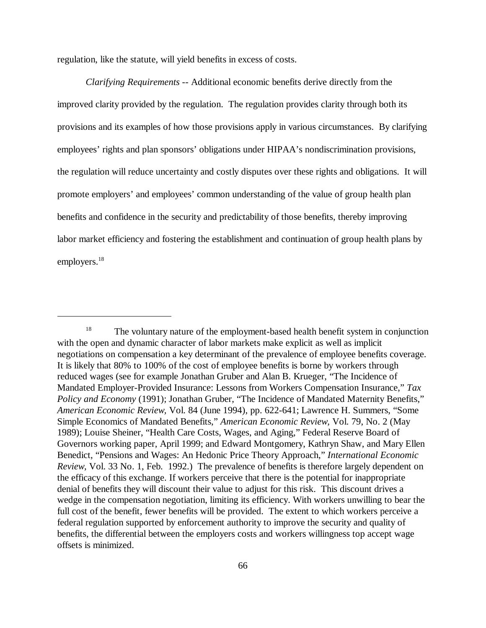regulation, like the statute, will yield benefits in excess of costs.

*Clarifying Requirements* -- Additional economic benefits derive directly from the improved clarity provided by the regulation. The regulation provides clarity through both its provisions and its examples of how those provisions apply in various circumstances. By clarifying employees' rights and plan sponsors' obligations under HIPAA's nondiscrimination provisions, the regulation will reduce uncertainty and costly disputes over these rights and obligations. It will promote employers' and employees' common understanding of the value of group health plan benefits and confidence in the security and predictability of those benefits, thereby improving labor market efficiency and fostering the establishment and continuation of group health plans by employers.<sup>18</sup>

<sup>&</sup>lt;sup>18</sup> The voluntary nature of the employment-based health benefit system in conjunction with the open and dynamic character of labor markets make explicit as well as implicit negotiations on compensation a key determinant of the prevalence of employee benefits coverage. It is likely that 80% to 100% of the cost of employee benefits is borne by workers through reduced wages (see for example Jonathan Gruber and Alan B. Krueger, "The Incidence of Mandated Employer-Provided Insurance: Lessons from Workers Compensation Insurance," *Tax Policy and Economy* (1991); Jonathan Gruber, "The Incidence of Mandated Maternity Benefits," *American Economic Review,* Vol. 84 (June 1994), pp. 622-641; Lawrence H. Summers, "Some Simple Economics of Mandated Benefits," *American Economic Review,* Vol. 79, No. 2 (May 1989); Louise Sheiner, "Health Care Costs, Wages, and Aging," Federal Reserve Board of Governors working paper, April 1999; and Edward Montgomery, Kathryn Shaw, and Mary Ellen Benedict, "Pensions and Wages: An Hedonic Price Theory Approach," *International Economic Review,* Vol. 33 No. 1, Feb. 1992.) The prevalence of benefits is therefore largely dependent on the efficacy of this exchange. If workers perceive that there is the potential for inappropriate denial of benefits they will discount their value to adjust for this risk. This discount drives a wedge in the compensation negotiation, limiting its efficiency. With workers unwilling to bear the full cost of the benefit, fewer benefits will be provided. The extent to which workers perceive a federal regulation supported by enforcement authority to improve the security and quality of benefits, the differential between the employers costs and workers willingness top accept wage offsets is minimized.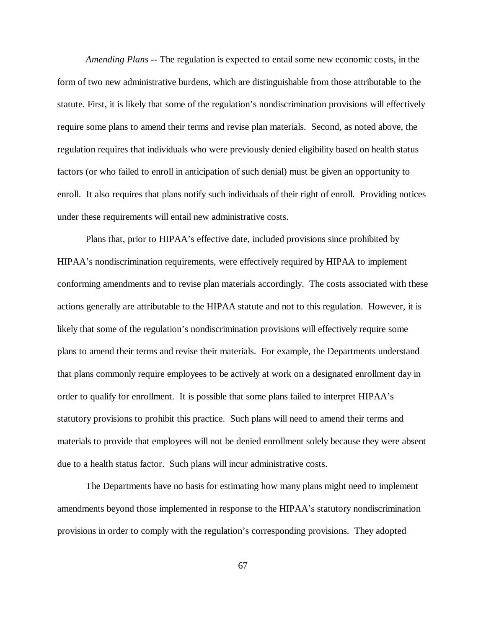*Amending Plans* -- The regulation is expected to entail some new economic costs, in the form of two new administrative burdens, which are distinguishable from those attributable to the statute. First, it is likely that some of the regulation's nondiscrimination provisions will effectively require some plans to amend their terms and revise plan materials. Second, as noted above, the regulation requires that individuals who were previously denied eligibility based on health status factors (or who failed to enroll in anticipation of such denial) must be given an opportunity to enroll. It also requires that plans notify such individuals of their right of enroll. Providing notices under these requirements will entail new administrative costs.

Plans that, prior to HIPAA's effective date, included provisions since prohibited by HIPAA's nondiscrimination requirements, were effectively required by HIPAA to implement conforming amendments and to revise plan materials accordingly. The costs associated with these actions generally are attributable to the HIPAA statute and not to this regulation. However, it is likely that some of the regulation's nondiscrimination provisions will effectively require some plans to amend their terms and revise their materials. For example, the Departments understand that plans commonly require employees to be actively at work on a designated enrollment day in order to qualify for enrollment. It is possible that some plans failed to interpret HIPAA's statutory provisions to prohibit this practice. Such plans will need to amend their terms and materials to provide that employees will not be denied enrollment solely because they were absent due to a health status factor. Such plans will incur administrative costs.

The Departments have no basis for estimating how many plans might need to implement amendments beyond those implemented in response to the HIPAA's statutory nondiscrimination provisions in order to comply with the regulation's corresponding provisions. They adopted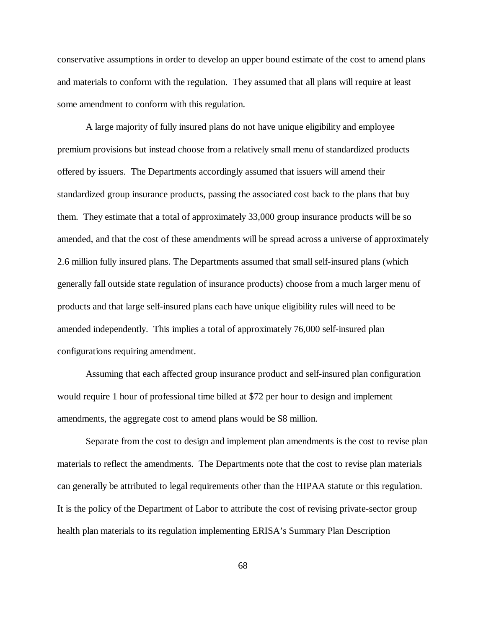conservative assumptions in order to develop an upper bound estimate of the cost to amend plans and materials to conform with the regulation. They assumed that all plans will require at least some amendment to conform with this regulation.

A large majority of fully insured plans do not have unique eligibility and employee premium provisions but instead choose from a relatively small menu of standardized products offered by issuers. The Departments accordingly assumed that issuers will amend their standardized group insurance products, passing the associated cost back to the plans that buy them. They estimate that a total of approximately 33,000 group insurance products will be so amended, and that the cost of these amendments will be spread across a universe of approximately 2.6 million fully insured plans. The Departments assumed that small self-insured plans (which generally fall outside state regulation of insurance products) choose from a much larger menu of products and that large self-insured plans each have unique eligibility rules will need to be amended independently. This implies a total of approximately 76,000 self-insured plan configurations requiring amendment.

Assuming that each affected group insurance product and self-insured plan configuration would require 1 hour of professional time billed at \$72 per hour to design and implement amendments, the aggregate cost to amend plans would be \$8 million.

Separate from the cost to design and implement plan amendments is the cost to revise plan materials to reflect the amendments. The Departments note that the cost to revise plan materials can generally be attributed to legal requirements other than the HIPAA statute or this regulation. It is the policy of the Department of Labor to attribute the cost of revising private-sector group health plan materials to its regulation implementing ERISA's Summary Plan Description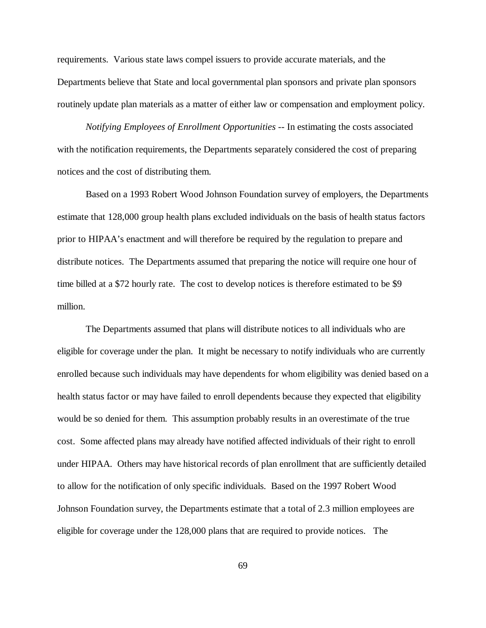requirements. Various state laws compel issuers to provide accurate materials, and the Departments believe that State and local governmental plan sponsors and private plan sponsors routinely update plan materials as a matter of either law or compensation and employment policy.

*Notifying Employees of Enrollment Opportunities* -- In estimating the costs associated with the notification requirements, the Departments separately considered the cost of preparing notices and the cost of distributing them.

Based on a 1993 Robert Wood Johnson Foundation survey of employers, the Departments estimate that 128,000 group health plans excluded individuals on the basis of health status factors prior to HIPAA's enactment and will therefore be required by the regulation to prepare and distribute notices. The Departments assumed that preparing the notice will require one hour of time billed at a \$72 hourly rate. The cost to develop notices is therefore estimated to be \$9 million.

The Departments assumed that plans will distribute notices to all individuals who are eligible for coverage under the plan. It might be necessary to notify individuals who are currently enrolled because such individuals may have dependents for whom eligibility was denied based on a health status factor or may have failed to enroll dependents because they expected that eligibility would be so denied for them. This assumption probably results in an overestimate of the true cost. Some affected plans may already have notified affected individuals of their right to enroll under HIPAA. Others may have historical records of plan enrollment that are sufficiently detailed to allow for the notification of only specific individuals. Based on the 1997 Robert Wood Johnson Foundation survey, the Departments estimate that a total of 2.3 million employees are eligible for coverage under the 128,000 plans that are required to provide notices. The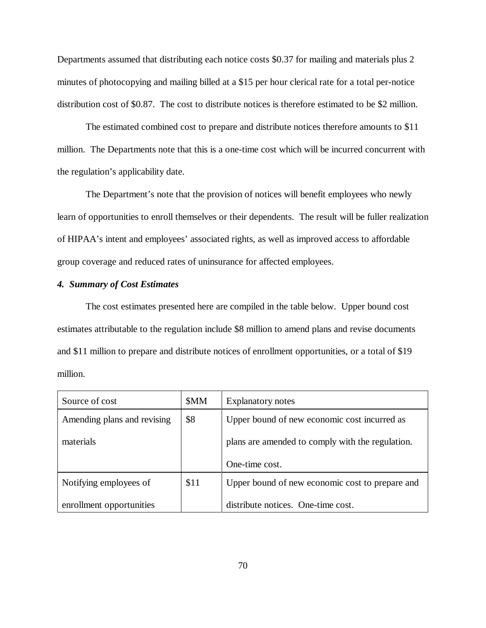Departments assumed that distributing each notice costs \$0.37 for mailing and materials plus 2 minutes of photocopying and mailing billed at a \$15 per hour clerical rate for a total per-notice distribution cost of \$0.87. The cost to distribute notices is therefore estimated to be \$2 million.

The estimated combined cost to prepare and distribute notices therefore amounts to \$11 million. The Departments note that this is a one-time cost which will be incurred concurrent with the regulation's applicability date.

The Department's note that the provision of notices will benefit employees who newly learn of opportunities to enroll themselves or their dependents. The result will be fuller realization of HIPAA's intent and employees' associated rights, as well as improved access to affordable group coverage and reduced rates of uninsurance for affected employees.

# *4. Summary of Cost Estimates*

The cost estimates presented here are compiled in the table below. Upper bound cost estimates attributable to the regulation include \$8 million to amend plans and revise documents and \$11 million to prepare and distribute notices of enrollment opportunities, or a total of \$19 million.

| Source of cost              | \$MM | <b>Explanatory notes</b>                         |
|-----------------------------|------|--------------------------------------------------|
| Amending plans and revising | \$8  | Upper bound of new economic cost incurred as     |
| materials                   |      | plans are amended to comply with the regulation. |
|                             |      | One-time cost.                                   |
| Notifying employees of      | \$11 | Upper bound of new economic cost to prepare and  |
| enrollment opportunities    |      | distribute notices. One-time cost.               |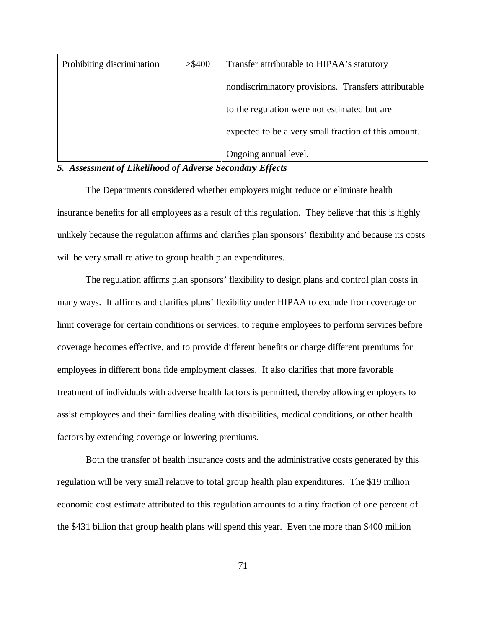| Prohibiting discrimination | > \$400 | Transfer attributable to HIPAA's statutory           |
|----------------------------|---------|------------------------------------------------------|
|                            |         | nondiscriminatory provisions. Transfers attributable |
|                            |         | to the regulation were not estimated but are         |
|                            |         | expected to be a very small fraction of this amount. |
|                            |         | Ongoing annual level.                                |

# *5. Assessment of Likelihood of Adverse Secondary Effects*

The Departments considered whether employers might reduce or eliminate health insurance benefits for all employees as a result of this regulation. They believe that this is highly unlikely because the regulation affirms and clarifies plan sponsors' flexibility and because its costs will be very small relative to group health plan expenditures.

The regulation affirms plan sponsors' flexibility to design plans and control plan costs in many ways. It affirms and clarifies plans' flexibility under HIPAA to exclude from coverage or limit coverage for certain conditions or services, to require employees to perform services before coverage becomes effective, and to provide different benefits or charge different premiums for employees in different bona fide employment classes. It also clarifies that more favorable treatment of individuals with adverse health factors is permitted, thereby allowing employers to assist employees and their families dealing with disabilities, medical conditions, or other health factors by extending coverage or lowering premiums.

Both the transfer of health insurance costs and the administrative costs generated by this regulation will be very small relative to total group health plan expenditures. The \$19 million economic cost estimate attributed to this regulation amounts to a tiny fraction of one percent of the \$431 billion that group health plans will spend this year. Even the more than \$400 million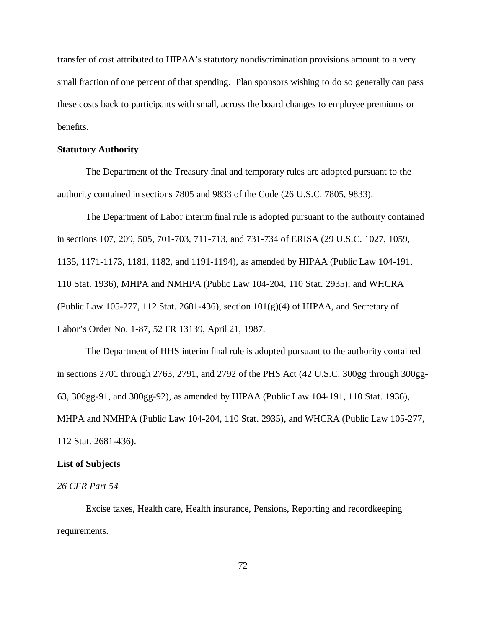transfer of cost attributed to HIPAA's statutory nondiscrimination provisions amount to a very small fraction of one percent of that spending. Plan sponsors wishing to do so generally can pass these costs back to participants with small, across the board changes to employee premiums or benefits.

### **Statutory Authority**

The Department of the Treasury final and temporary rules are adopted pursuant to the authority contained in sections 7805 and 9833 of the Code (26 U.S.C. 7805, 9833).

The Department of Labor interim final rule is adopted pursuant to the authority contained in sections 107, 209, 505, 701-703, 711-713, and 731-734 of ERISA (29 U.S.C. 1027, 1059, 1135, 1171-1173, 1181, 1182, and 1191-1194), as amended by HIPAA (Public Law 104-191, 110 Stat. 1936), MHPA and NMHPA (Public Law 104-204, 110 Stat. 2935), and WHCRA (Public Law 105-277, 112 Stat. 2681-436), section  $101(g)(4)$  of HIPAA, and Secretary of Labor's Order No. 1-87, 52 FR 13139, April 21, 1987.

The Department of HHS interim final rule is adopted pursuant to the authority contained in sections 2701 through 2763, 2791, and 2792 of the PHS Act (42 U.S.C. 300gg through 300gg-63, 300gg-91, and 300gg-92), as amended by HIPAA (Public Law 104-191, 110 Stat. 1936), MHPA and NMHPA (Public Law 104-204, 110 Stat. 2935), and WHCRA (Public Law 105-277, 112 Stat. 2681-436).

### **List of Subjects**

### *26 CFR Part 54*

Excise taxes, Health care, Health insurance, Pensions, Reporting and recordkeeping requirements.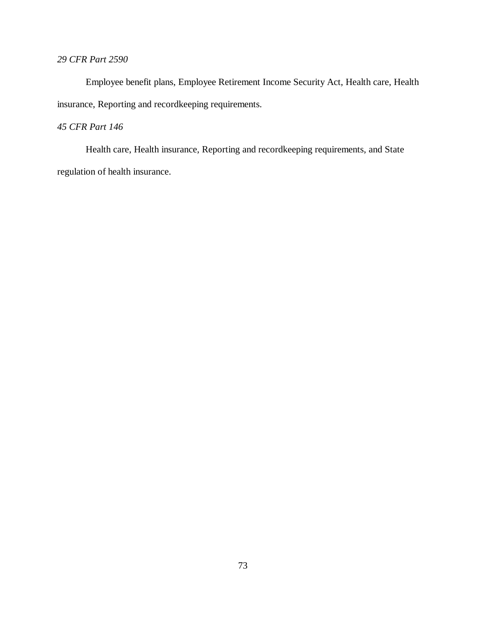# *29 CFR Part 2590*

Employee benefit plans, Employee Retirement Income Security Act, Health care, Health insurance, Reporting and recordkeeping requirements.

# *45 CFR Part 146*

Health care, Health insurance, Reporting and recordkeeping requirements, and State regulation of health insurance.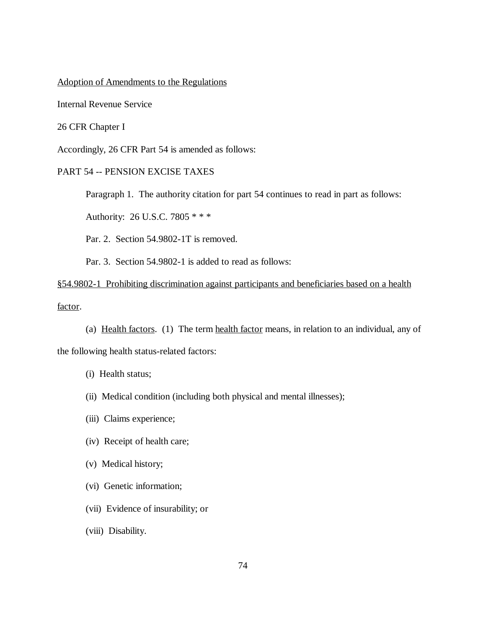#### Adoption of Amendments to the Regulations

Internal Revenue Service

26 CFR Chapter I

Accordingly, 26 CFR Part 54 is amended as follows:

## PART 54 -- PENSION EXCISE TAXES

Paragraph 1. The authority citation for part 54 continues to read in part as follows:

Authority: 26 U.S.C. 7805 \* \* \*

Par. 2. Section 54.9802-1T is removed.

Par. 3. Section 54.9802-1 is added to read as follows:

# §54.9802-1 Prohibiting discrimination against participants and beneficiaries based on a health factor.

(a) Health factors. (1) The term health factor means, in relation to an individual, any of

the following health status-related factors:

- (i) Health status;
- (ii) Medical condition (including both physical and mental illnesses);
- (iii) Claims experience;
- (iv) Receipt of health care;
- (v) Medical history;
- (vi) Genetic information;
- (vii) Evidence of insurability; or
- (viii) Disability.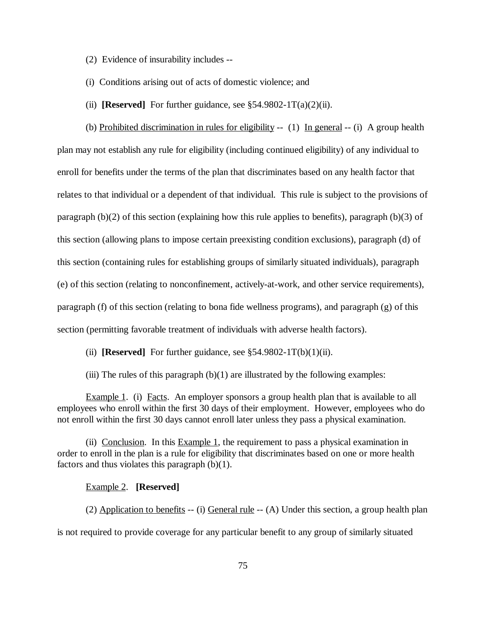- (2) Evidence of insurability includes --
- (i) Conditions arising out of acts of domestic violence; and
- (ii) **[Reserved]** For further guidance, see  $\S$ 54.9802-1T(a)(2)(ii).

(b) Prohibited discrimination in rules for eligibility  $-(-1)$  In general  $-(-i)$  A group health plan may not establish any rule for eligibility (including continued eligibility) of any individual to enroll for benefits under the terms of the plan that discriminates based on any health factor that relates to that individual or a dependent of that individual. This rule is subject to the provisions of paragraph (b)(2) of this section (explaining how this rule applies to benefits), paragraph (b)(3) of this section (allowing plans to impose certain preexisting condition exclusions), paragraph (d) of this section (containing rules for establishing groups of similarly situated individuals), paragraph (e) of this section (relating to nonconfinement, actively-at-work, and other service requirements), paragraph (f) of this section (relating to bona fide wellness programs), and paragraph (g) of this

section (permitting favorable treatment of individuals with adverse health factors).

(ii) **[Reserved]** For further guidance, see  $\S$ 54.9802-1T(b)(1)(ii).

(iii) The rules of this paragraph  $(b)(1)$  are illustrated by the following examples:

Example 1. (i) Facts. An employer sponsors a group health plan that is available to all employees who enroll within the first 30 days of their employment. However, employees who do not enroll within the first 30 days cannot enroll later unless they pass a physical examination.

(ii) Conclusion. In this Example 1, the requirement to pass a physical examination in order to enroll in the plan is a rule for eligibility that discriminates based on one or more health factors and thus violates this paragraph (b)(1).

#### Example 2. **[Reserved]**

(2) Application to benefits -- (i) General rule -- (A) Under this section, a group health plan is not required to provide coverage for any particular benefit to any group of similarly situated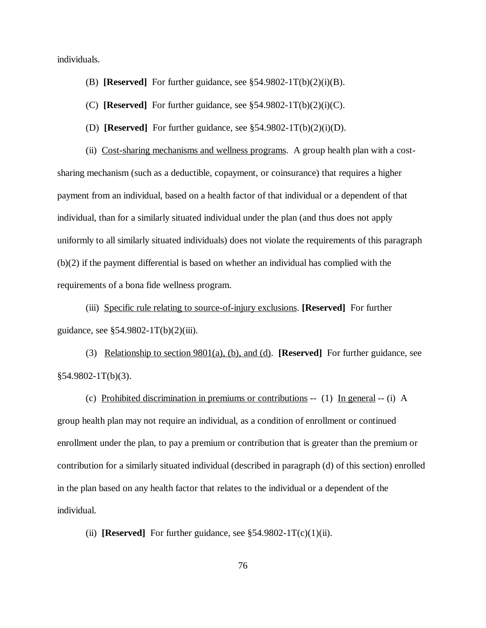individuals.

- (B) **[Reserved]** For further guidance, see  $\S 54.9802 1 T(b)(2)(i)(B)$ .
- (C) **[Reserved]** For further guidance, see  $\S 54.9802 1 T(b)(2)(i)(C)$ .
- (D) **[Reserved]** For further guidance, see §54.9802-1T(b)(2)(i)(D).

(ii) Cost-sharing mechanisms and wellness programs. A group health plan with a costsharing mechanism (such as a deductible, copayment, or coinsurance) that requires a higher payment from an individual, based on a health factor of that individual or a dependent of that individual, than for a similarly situated individual under the plan (and thus does not apply uniformly to all similarly situated individuals) does not violate the requirements of this paragraph (b)(2) if the payment differential is based on whether an individual has complied with the requirements of a bona fide wellness program.

(iii) Specific rule relating to source-of-injury exclusions. **[Reserved]** For further guidance, see §54.9802-1T(b)(2)(iii).

(3) Relationship to section 9801(a), (b), and (d). **[Reserved]** For further guidance, see  $§54.9802-1T(b)(3).$ 

(c) Prohibited discrimination in premiums or contributions -- (1) In general -- (i) A group health plan may not require an individual, as a condition of enrollment or continued enrollment under the plan, to pay a premium or contribution that is greater than the premium or contribution for a similarly situated individual (described in paragraph (d) of this section) enrolled in the plan based on any health factor that relates to the individual or a dependent of the individual.

(ii) **[Reserved]** For further guidance, see  $\S 54.9802 - 1T(c)(1)(ii)$ .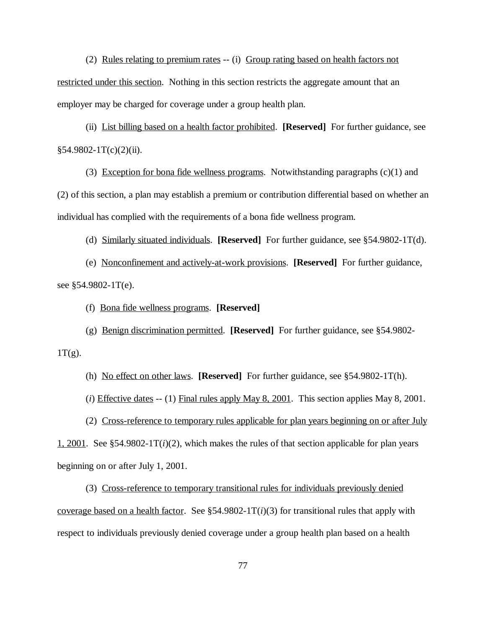(2) Rules relating to premium rates -- (i) Group rating based on health factors not restricted under this section. Nothing in this section restricts the aggregate amount that an employer may be charged for coverage under a group health plan.

(ii) List billing based on a health factor prohibited. **[Reserved]** For further guidance, see  $§54.9802-1T(c)(2)(ii).$ 

(3) Exception for bona fide wellness programs. Notwithstanding paragraphs  $(c)(1)$  and (2) of this section, a plan may establish a premium or contribution differential based on whether an individual has complied with the requirements of a bona fide wellness program.

(d) Similarly situated individuals. **[Reserved]** For further guidance, see §54.9802-1T(d).

(e) Nonconfinement and actively-at-work provisions. **[Reserved]** For further guidance, see §54.9802-1T(e).

(f) Bona fide wellness programs. **[Reserved]**

(g) Benign discrimination permitted. **[Reserved]** For further guidance, see §54.9802-

 $1T(g)$ .

(h) No effect on other laws. **[Reserved]** For further guidance, see §54.9802-1T(h).

(*i*) Effective dates -- (1) Final rules apply May 8, 2001. This section applies May 8, 2001.

(2) Cross-reference to temporary rules applicable for plan years beginning on or after July

1, 2001. See §54.9802-1T(*i*)(2), which makes the rules of that section applicable for plan years beginning on or after July 1, 2001.

(3) Cross-reference to temporary transitional rules for individuals previously denied coverage based on a health factor. See  $\S$ 54.9802-1T( $i$ )(3) for transitional rules that apply with respect to individuals previously denied coverage under a group health plan based on a health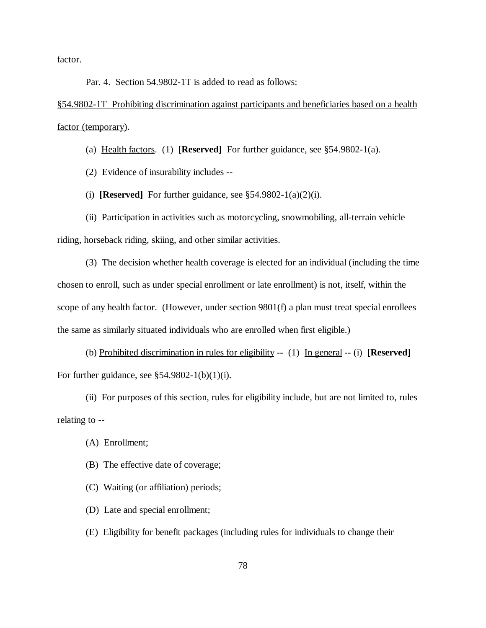factor.

Par. 4. Section 54.9802-1T is added to read as follows:

§54.9802-1T Prohibiting discrimination against participants and beneficiaries based on a health factor (temporary).

(a) Health factors. (1) **[Reserved]** For further guidance, see §54.9802-1(a).

(2) Evidence of insurability includes --

(i) **[Reserved]** For further guidance, see  $\S 54.9802 - 1$ (a)(2)(i).

(ii) Participation in activities such as motorcycling, snowmobiling, all-terrain vehicle riding, horseback riding, skiing, and other similar activities.

(3) The decision whether health coverage is elected for an individual (including the time chosen to enroll, such as under special enrollment or late enrollment) is not, itself, within the scope of any health factor. (However, under section 9801(f) a plan must treat special enrollees the same as similarly situated individuals who are enrolled when first eligible.)

(b) Prohibited discrimination in rules for eligibility -- (1) In general -- (i) **[Reserved]**  For further guidance, see  $$54.9802-1(b)(1)(i)$ .

(ii) For purposes of this section, rules for eligibility include, but are not limited to, rules relating to --

- (A) Enrollment;
- (B) The effective date of coverage;
- (C) Waiting (or affiliation) periods;
- (D) Late and special enrollment;
- (E) Eligibility for benefit packages (including rules for individuals to change their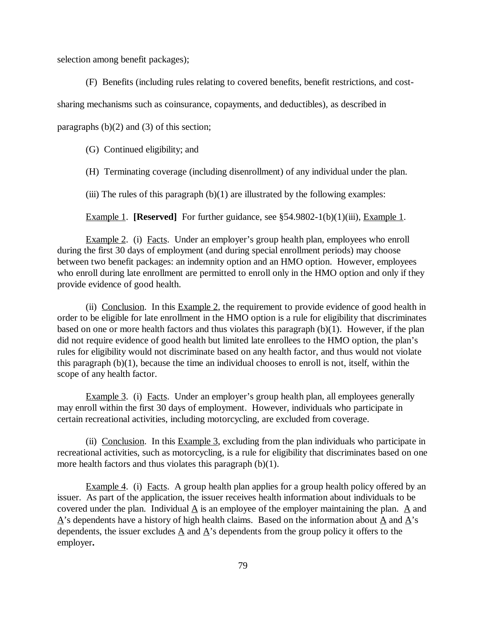selection among benefit packages);

(F) Benefits (including rules relating to covered benefits, benefit restrictions, and cost-

sharing mechanisms such as coinsurance, copayments, and deductibles), as described in

paragraphs  $(b)(2)$  and  $(3)$  of this section;

(G) Continued eligibility; and

(H) Terminating coverage (including disenrollment) of any individual under the plan.

(iii) The rules of this paragraph  $(b)(1)$  are illustrated by the following examples:

Example 1. **[Reserved]** For further guidance, see §54.9802-1(b)(1)(iii), Example 1.

Example 2. (i) Facts. Under an employer's group health plan, employees who enroll during the first 30 days of employment (and during special enrollment periods) may choose between two benefit packages: an indemnity option and an HMO option. However, employees who enroll during late enrollment are permitted to enroll only in the HMO option and only if they provide evidence of good health.

(ii) Conclusion. In this  $Example 2$ , the requirement to provide evidence of good health in order to be eligible for late enrollment in the HMO option is a rule for eligibility that discriminates based on one or more health factors and thus violates this paragraph (b)(1). However, if the plan did not require evidence of good health but limited late enrollees to the HMO option, the plan's rules for eligibility would not discriminate based on any health factor, and thus would not violate this paragraph (b)(1), because the time an individual chooses to enroll is not, itself, within the scope of any health factor.

Example 3. (i) Facts. Under an employer's group health plan, all employees generally may enroll within the first 30 days of employment. However, individuals who participate in certain recreational activities, including motorcycling, are excluded from coverage.

(ii) Conclusion. In this Example 3, excluding from the plan individuals who participate in recreational activities, such as motorcycling, is a rule for eligibility that discriminates based on one more health factors and thus violates this paragraph (b)(1).

Example 4. (i) Facts. A group health plan applies for a group health policy offered by an issuer. As part of the application, the issuer receives health information about individuals to be covered under the plan. Individual  $\underline{A}$  is an employee of the employer maintaining the plan.  $\underline{A}$  and  $\overrightarrow{A}$ 's dependents have a history of high health claims. Based on the information about  $\overrightarrow{A}$  and  $\overrightarrow{A}$ 's dependents, the issuer excludes  $\underline{A}$  and  $\underline{A}$ 's dependents from the group policy it offers to the employer**.**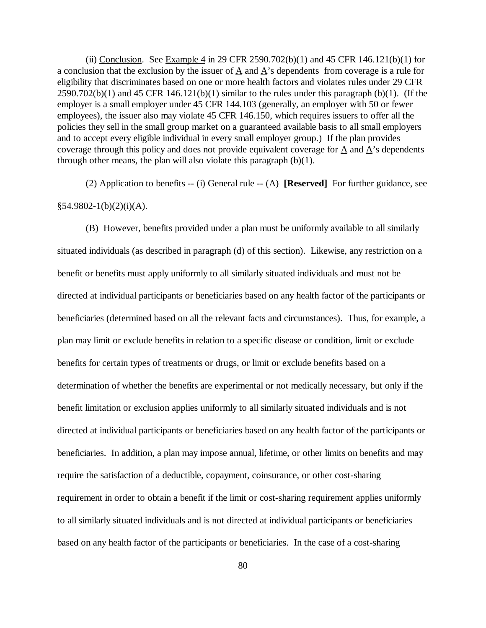(ii) Conclusion. See Example 4 in 29 CFR 2590.702(b)(1) and 45 CFR 146.121(b)(1) for a conclusion that the exclusion by the issuer of A and A's dependents from coverage is a rule for eligibility that discriminates based on one or more health factors and violates rules under 29 CFR  $2590.702(b)(1)$  and 45 CFR 146.121(b)(1) similar to the rules under this paragraph (b)(1). (If the employer is a small employer under 45 CFR 144.103 (generally, an employer with 50 or fewer employees), the issuer also may violate 45 CFR 146.150, which requires issuers to offer all the policies they sell in the small group market on a guaranteed available basis to all small employers and to accept every eligible individual in every small employer group.) If the plan provides coverage through this policy and does not provide equivalent coverage for A and A's dependents through other means, the plan will also violate this paragraph  $(b)(1)$ .

(2) Application to benefits -- (i) General rule -- (A) **[Reserved]** For further guidance, see  $§54.9802-1(b)(2)(i)(A).$ 

(B) However, benefits provided under a plan must be uniformly available to all similarly situated individuals (as described in paragraph (d) of this section). Likewise, any restriction on a benefit or benefits must apply uniformly to all similarly situated individuals and must not be directed at individual participants or beneficiaries based on any health factor of the participants or beneficiaries (determined based on all the relevant facts and circumstances). Thus, for example, a plan may limit or exclude benefits in relation to a specific disease or condition, limit or exclude benefits for certain types of treatments or drugs, or limit or exclude benefits based on a determination of whether the benefits are experimental or not medically necessary, but only if the benefit limitation or exclusion applies uniformly to all similarly situated individuals and is not directed at individual participants or beneficiaries based on any health factor of the participants or beneficiaries. In addition, a plan may impose annual, lifetime, or other limits on benefits and may require the satisfaction of a deductible, copayment, coinsurance, or other cost-sharing requirement in order to obtain a benefit if the limit or cost-sharing requirement applies uniformly to all similarly situated individuals and is not directed at individual participants or beneficiaries based on any health factor of the participants or beneficiaries. In the case of a cost-sharing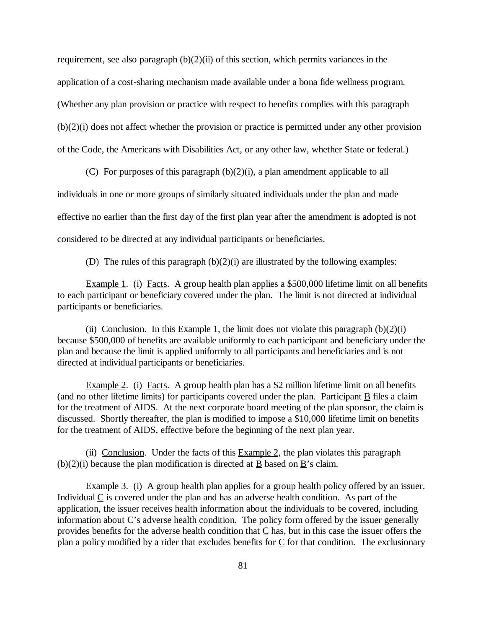requirement, see also paragraph  $(b)(2)(ii)$  of this section, which permits variances in the application of a cost-sharing mechanism made available under a bona fide wellness program. (Whether any plan provision or practice with respect to benefits complies with this paragraph (b)(2)(i) does not affect whether the provision or practice is permitted under any other provision of the Code, the Americans with Disabilities Act, or any other law, whether State or federal.)

(C) For purposes of this paragraph (b)(2)(i), a plan amendment applicable to all individuals in one or more groups of similarly situated individuals under the plan and made effective no earlier than the first day of the first plan year after the amendment is adopted is not considered to be directed at any individual participants or beneficiaries.

(D) The rules of this paragraph (b)(2)(i) are illustrated by the following examples:

Example 1. (i) Facts. A group health plan applies a \$500,000 lifetime limit on all benefits to each participant or beneficiary covered under the plan. The limit is not directed at individual participants or beneficiaries.

(ii) Conclusion. In this Example 1, the limit does not violate this paragraph  $(b)(2)(i)$ because \$500,000 of benefits are available uniformly to each participant and beneficiary under the plan and because the limit is applied uniformly to all participants and beneficiaries and is not directed at individual participants or beneficiaries.

Example 2. (i) Facts. A group health plan has a \$2 million lifetime limit on all benefits (and no other lifetime limits) for participants covered under the plan. Participant  $\underline{B}$  files a claim for the treatment of AIDS. At the next corporate board meeting of the plan sponsor, the claim is discussed. Shortly thereafter, the plan is modified to impose a \$10,000 lifetime limit on benefits for the treatment of AIDS, effective before the beginning of the next plan year.

(ii) Conclusion. Under the facts of this  $Example 2$ , the plan violates this paragraph  $(b)(2)(i)$  because the plan modification is directed at B based on B's claim.

Example 3. (i) A group health plan applies for a group health policy offered by an issuer. Individual  $\underline{C}$  is covered under the plan and has an adverse health condition. As part of the application, the issuer receives health information about the individuals to be covered, including information about  $\underline{C}$ 's adverse health condition. The policy form offered by the issuer generally provides benefits for the adverse health condition that  $C$  has, but in this case the issuer offers the plan a policy modified by a rider that excludes benefits for C for that condition. The exclusionary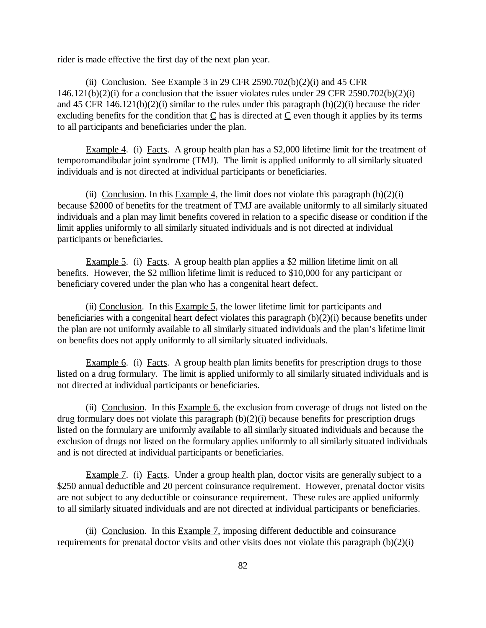rider is made effective the first day of the next plan year.

(ii) Conclusion. See Example  $3$  in 29 CFR 2590.702(b)(2)(i) and 45 CFR  $146.121(b)(2)(i)$  for a conclusion that the issuer violates rules under 29 CFR 2590.702(b)(2)(i) and 45 CFR 146.121(b)(2)(i) similar to the rules under this paragraph (b)(2)(i) because the rider excluding benefits for the condition that  $C$  has is directed at  $C$  even though it applies by its terms to all participants and beneficiaries under the plan.

Example 4. (i) Facts. A group health plan has a \$2,000 lifetime limit for the treatment of temporomandibular joint syndrome (TMJ). The limit is applied uniformly to all similarly situated individuals and is not directed at individual participants or beneficiaries.

(ii) Conclusion. In this Example 4, the limit does not violate this paragraph  $(b)(2)(i)$ because \$2000 of benefits for the treatment of TMJ are available uniformly to all similarly situated individuals and a plan may limit benefits covered in relation to a specific disease or condition if the limit applies uniformly to all similarly situated individuals and is not directed at individual participants or beneficiaries.

Example 5. (i) Facts. A group health plan applies a \$2 million lifetime limit on all benefits. However, the \$2 million lifetime limit is reduced to \$10,000 for any participant or beneficiary covered under the plan who has a congenital heart defect.

(ii) Conclusion. In this Example 5, the lower lifetime limit for participants and beneficiaries with a congenital heart defect violates this paragraph (b)(2)(i) because benefits under the plan are not uniformly available to all similarly situated individuals and the plan's lifetime limit on benefits does not apply uniformly to all similarly situated individuals.

Example 6. (i) Facts. A group health plan limits benefits for prescription drugs to those listed on a drug formulary. The limit is applied uniformly to all similarly situated individuals and is not directed at individual participants or beneficiaries.

(ii) Conclusion. In this Example 6, the exclusion from coverage of drugs not listed on the drug formulary does not violate this paragraph (b)(2)(i) because benefits for prescription drugs listed on the formulary are uniformly available to all similarly situated individuals and because the exclusion of drugs not listed on the formulary applies uniformly to all similarly situated individuals and is not directed at individual participants or beneficiaries.

Example 7. (i) Facts. Under a group health plan, doctor visits are generally subject to a \$250 annual deductible and 20 percent coinsurance requirement. However, prenatal doctor visits are not subject to any deductible or coinsurance requirement. These rules are applied uniformly to all similarly situated individuals and are not directed at individual participants or beneficiaries.

(ii) Conclusion. In this Example 7, imposing different deductible and coinsurance requirements for prenatal doctor visits and other visits does not violate this paragraph (b)(2)(i)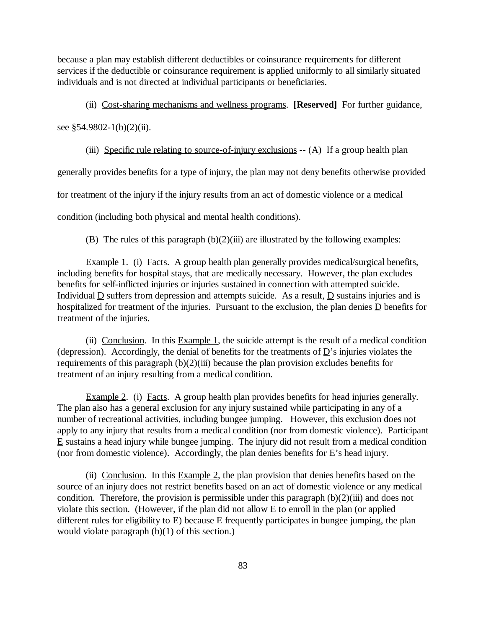because a plan may establish different deductibles or coinsurance requirements for different services if the deductible or coinsurance requirement is applied uniformly to all similarly situated individuals and is not directed at individual participants or beneficiaries.

(ii) Cost-sharing mechanisms and wellness programs. **[Reserved]** For further guidance,

see  $$54.9802-1(b)(2)(ii)$ .

(iii) Specific rule relating to source-of-injury exclusions -- (A) If a group health plan

generally provides benefits for a type of injury, the plan may not deny benefits otherwise provided for treatment of the injury if the injury results from an act of domestic violence or a medical condition (including both physical and mental health conditions).

(B) The rules of this paragraph  $(b)(2)(iii)$  are illustrated by the following examples:

Example 1. (i) Facts. A group health plan generally provides medical/surgical benefits, including benefits for hospital stays, that are medically necessary. However, the plan excludes benefits for self-inflicted injuries or injuries sustained in connection with attempted suicide. Individual  $\underline{D}$  suffers from depression and attempts suicide. As a result,  $\underline{D}$  sustains injuries and is hospitalized for treatment of the injuries. Pursuant to the exclusion, the plan denies D benefits for treatment of the injuries.

(ii) Conclusion. In this Example 1, the suicide attempt is the result of a medical condition (depression). Accordingly, the denial of benefits for the treatments of  $\underline{D}$ 's injuries violates the requirements of this paragraph  $(b)(2)(iii)$  because the plan provision excludes benefits for treatment of an injury resulting from a medical condition.

Example 2. (i) Facts. A group health plan provides benefits for head injuries generally. The plan also has a general exclusion for any injury sustained while participating in any of a number of recreational activities, including bungee jumping. However, this exclusion does not apply to any injury that results from a medical condition (nor from domestic violence). Participant E sustains a head injury while bungee jumping. The injury did not result from a medical condition (nor from domestic violence). Accordingly, the plan denies benefits for  $\underline{E}$ 's head injury.

(ii) Conclusion. In this Example 2, the plan provision that denies benefits based on the source of an injury does not restrict benefits based on an act of domestic violence or any medical condition. Therefore, the provision is permissible under this paragraph  $(b)(2)(iii)$  and does not violate this section. (However, if the plan did not allow  $E$  to enroll in the plan (or applied different rules for eligibility to E) because E frequently participates in bungee jumping, the plan would violate paragraph (b)(1) of this section.)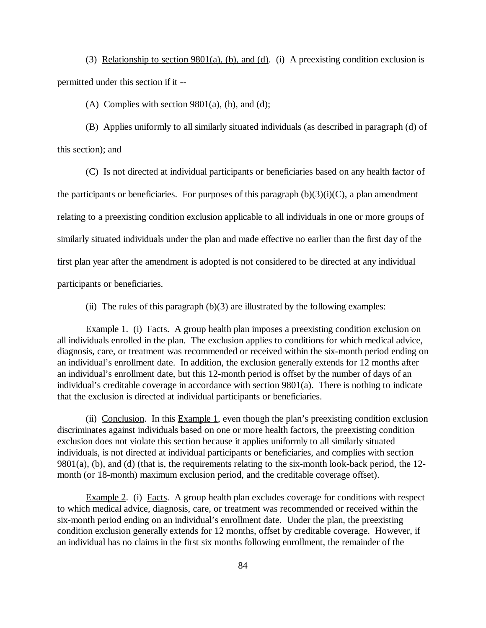(3) Relationship to section  $9801(a)$ , (b), and (d). (i) A preexisting condition exclusion is permitted under this section if it --

(A) Complies with section  $9801(a)$ , (b), and (d);

(B) Applies uniformly to all similarly situated individuals (as described in paragraph (d) of this section); and

(C) Is not directed at individual participants or beneficiaries based on any health factor of the participants or beneficiaries. For purposes of this paragraph  $(b)(3)(i)(C)$ , a plan amendment relating to a preexisting condition exclusion applicable to all individuals in one or more groups of similarly situated individuals under the plan and made effective no earlier than the first day of the first plan year after the amendment is adopted is not considered to be directed at any individual participants or beneficiaries.

(ii) The rules of this paragraph  $(b)(3)$  are illustrated by the following examples:

Example 1. (i) Facts. A group health plan imposes a preexisting condition exclusion on all individuals enrolled in the plan. The exclusion applies to conditions for which medical advice, diagnosis, care, or treatment was recommended or received within the six-month period ending on an individual's enrollment date. In addition, the exclusion generally extends for 12 months after an individual's enrollment date, but this 12-month period is offset by the number of days of an individual's creditable coverage in accordance with section 9801(a). There is nothing to indicate that the exclusion is directed at individual participants or beneficiaries.

(ii) Conclusion. In this Example 1, even though the plan's preexisting condition exclusion discriminates against individuals based on one or more health factors, the preexisting condition exclusion does not violate this section because it applies uniformly to all similarly situated individuals, is not directed at individual participants or beneficiaries, and complies with section 9801(a), (b), and (d) (that is, the requirements relating to the six-month look-back period, the 12 month (or 18-month) maximum exclusion period, and the creditable coverage offset).

Example 2. (i) Facts. A group health plan excludes coverage for conditions with respect to which medical advice, diagnosis, care, or treatment was recommended or received within the six-month period ending on an individual's enrollment date. Under the plan, the preexisting condition exclusion generally extends for 12 months, offset by creditable coverage. However, if an individual has no claims in the first six months following enrollment, the remainder of the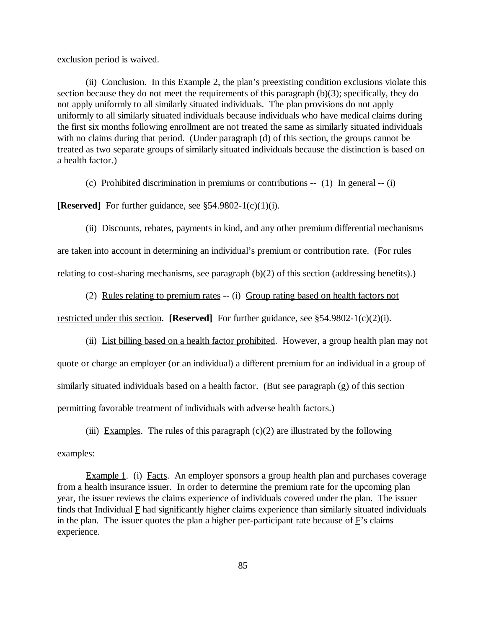exclusion period is waived.

(ii) Conclusion. In this Example 2, the plan's preexisting condition exclusions violate this section because they do not meet the requirements of this paragraph (b)(3); specifically, they do not apply uniformly to all similarly situated individuals. The plan provisions do not apply uniformly to all similarly situated individuals because individuals who have medical claims during the first six months following enrollment are not treated the same as similarly situated individuals with no claims during that period. (Under paragraph (d) of this section, the groups cannot be treated as two separate groups of similarly situated individuals because the distinction is based on a health factor.)

(c) Prohibited discrimination in premiums or contributions -- (1) In general -- (i)

**[Reserved]** For further guidance, see §54.9802-1(c)(1)(i).

(ii) Discounts, rebates, payments in kind, and any other premium differential mechanisms

are taken into account in determining an individual's premium or contribution rate. (For rules

relating to cost-sharing mechanisms, see paragraph (b)(2) of this section (addressing benefits).)

(2) Rules relating to premium rates -- (i) Group rating based on health factors not

restricted under this section. **[Reserved]** For further guidance, see §54.9802-1(c)(2)(i).

(ii) List billing based on a health factor prohibited. However, a group health plan may not

quote or charge an employer (or an individual) a different premium for an individual in a group of similarly situated individuals based on a health factor. (But see paragraph (g) of this section permitting favorable treatment of individuals with adverse health factors.)

(iii) Examples. The rules of this paragraph  $(c)(2)$  are illustrated by the following examples:

Example 1. (i) Facts. An employer sponsors a group health plan and purchases coverage from a health insurance issuer. In order to determine the premium rate for the upcoming plan year, the issuer reviews the claims experience of individuals covered under the plan. The issuer finds that Individual  $E$  had significantly higher claims experience than similarly situated individuals in the plan. The issuer quotes the plan a higher per-participant rate because of  $\vec{F}$ 's claims experience.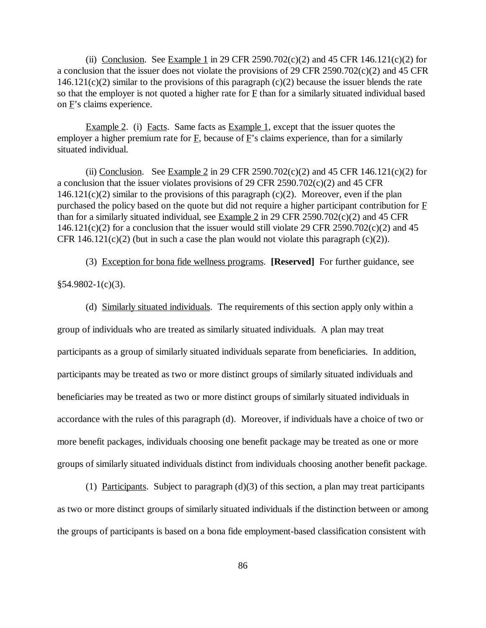(ii) Conclusion. See Example 1 in 29 CFR 2590.702 $(c)(2)$  and 45 CFR 146.121 $(c)(2)$  for a conclusion that the issuer does not violate the provisions of 29 CFR 2590.702(c)(2) and 45 CFR  $146.121(c)(2)$  similar to the provisions of this paragraph (c)(2) because the issuer blends the rate so that the employer is not quoted a higher rate for  $E$  than for a similarly situated individual based on F's claims experience.

Example 2. (i) Facts. Same facts as Example 1, except that the issuer quotes the employer a higher premium rate for F, because of F's claims experience, than for a similarly situated individual.

(ii) Conclusion. See Example 2 in 29 CFR 2590.702 $(c)(2)$  and 45 CFR 146.121 $(c)(2)$  for a conclusion that the issuer violates provisions of 29 CFR 2590.702(c)(2) and 45 CFR  $146.121(c)(2)$  similar to the provisions of this paragraph (c)(2). Moreover, even if the plan purchased the policy based on the quote but did not require a higher participant contribution for F than for a similarly situated individual, see Example 2 in 29 CFR 2590.702 $(c)(2)$  and 45 CFR  $146.121(c)(2)$  for a conclusion that the issuer would still violate 29 CFR 2590.702(c)(2) and 45 CFR 146.121(c)(2) (but in such a case the plan would not violate this paragraph (c)(2)).

(3) Exception for bona fide wellness programs. **[Reserved]** For further guidance, see

 $§54.9802-1(c)(3).$ 

(d) Similarly situated individuals. The requirements of this section apply only within a

group of individuals who are treated as similarly situated individuals. A plan may treat participants as a group of similarly situated individuals separate from beneficiaries. In addition, participants may be treated as two or more distinct groups of similarly situated individuals and beneficiaries may be treated as two or more distinct groups of similarly situated individuals in accordance with the rules of this paragraph (d). Moreover, if individuals have a choice of two or more benefit packages, individuals choosing one benefit package may be treated as one or more groups of similarly situated individuals distinct from individuals choosing another benefit package.

(1) Participants. Subject to paragraph  $(d)(3)$  of this section, a plan may treat participants as two or more distinct groups of similarly situated individuals if the distinction between or among the groups of participants is based on a bona fide employment-based classification consistent with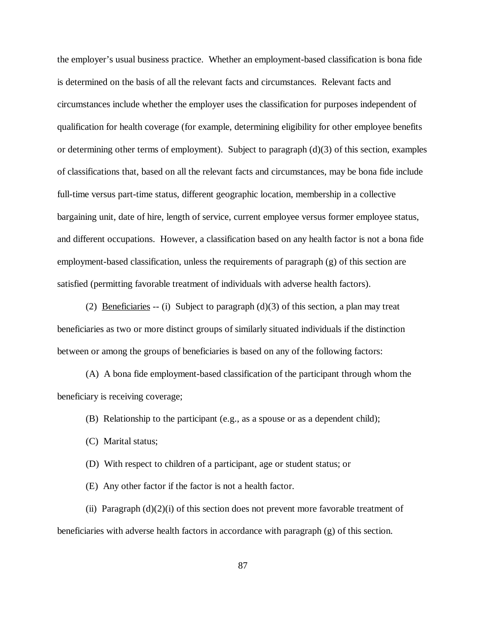the employer's usual business practice. Whether an employment-based classification is bona fide is determined on the basis of all the relevant facts and circumstances. Relevant facts and circumstances include whether the employer uses the classification for purposes independent of qualification for health coverage (for example, determining eligibility for other employee benefits or determining other terms of employment). Subject to paragraph (d)(3) of this section, examples of classifications that, based on all the relevant facts and circumstances, may be bona fide include full-time versus part-time status, different geographic location, membership in a collective bargaining unit, date of hire, length of service, current employee versus former employee status, and different occupations. However, a classification based on any health factor is not a bona fide employment-based classification, unless the requirements of paragraph (g) of this section are satisfied (permitting favorable treatment of individuals with adverse health factors).

(2) Beneficiaries -- (i) Subject to paragraph  $(d)(3)$  of this section, a plan may treat beneficiaries as two or more distinct groups of similarly situated individuals if the distinction between or among the groups of beneficiaries is based on any of the following factors:

(A) A bona fide employment-based classification of the participant through whom the beneficiary is receiving coverage;

(B) Relationship to the participant (e.g., as a spouse or as a dependent child);

(C) Marital status;

(D) With respect to children of a participant, age or student status; or

(E) Any other factor if the factor is not a health factor.

(ii) Paragraph  $(d)(2)(i)$  of this section does not prevent more favorable treatment of beneficiaries with adverse health factors in accordance with paragraph (g) of this section.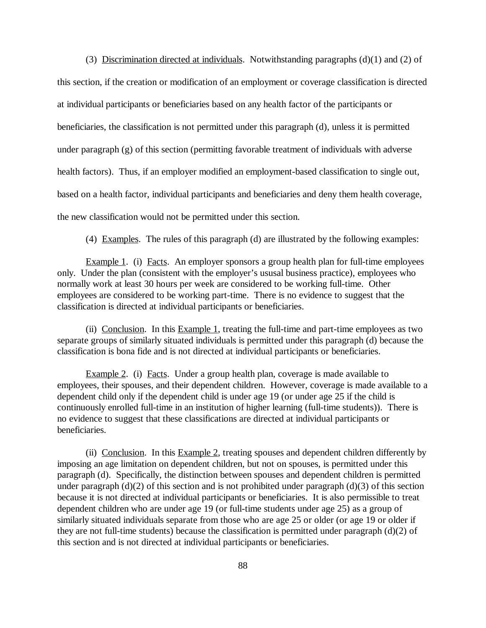(3) Discrimination directed at individuals. Notwithstanding paragraphs (d)(1) and (2) of this section, if the creation or modification of an employment or coverage classification is directed at individual participants or beneficiaries based on any health factor of the participants or beneficiaries, the classification is not permitted under this paragraph (d), unless it is permitted under paragraph  $(g)$  of this section (permitting favorable treatment of individuals with adverse health factors). Thus, if an employer modified an employment-based classification to single out, based on a health factor, individual participants and beneficiaries and deny them health coverage, the new classification would not be permitted under this section.

(4) Examples. The rules of this paragraph (d) are illustrated by the following examples:

Example 1. (i) Facts. An employer sponsors a group health plan for full-time employees only. Under the plan (consistent with the employer's ususal business practice), employees who normally work at least 30 hours per week are considered to be working full-time. Other employees are considered to be working part-time. There is no evidence to suggest that the classification is directed at individual participants or beneficiaries.

(ii) Conclusion. In this Example 1, treating the full-time and part-time employees as two separate groups of similarly situated individuals is permitted under this paragraph (d) because the classification is bona fide and is not directed at individual participants or beneficiaries.

Example 2. (i) Facts. Under a group health plan, coverage is made available to employees, their spouses, and their dependent children. However, coverage is made available to a dependent child only if the dependent child is under age 19 (or under age 25 if the child is continuously enrolled full-time in an institution of higher learning (full-time students)). There is no evidence to suggest that these classifications are directed at individual participants or beneficiaries.

(ii) Conclusion. In this Example 2, treating spouses and dependent children differently by imposing an age limitation on dependent children, but not on spouses, is permitted under this paragraph (d). Specifically, the distinction between spouses and dependent children is permitted under paragraph (d)(2) of this section and is not prohibited under paragraph (d)(3) of this section because it is not directed at individual participants or beneficiaries. It is also permissible to treat dependent children who are under age 19 (or full-time students under age 25) as a group of similarly situated individuals separate from those who are age 25 or older (or age 19 or older if they are not full-time students) because the classification is permitted under paragraph (d)(2) of this section and is not directed at individual participants or beneficiaries.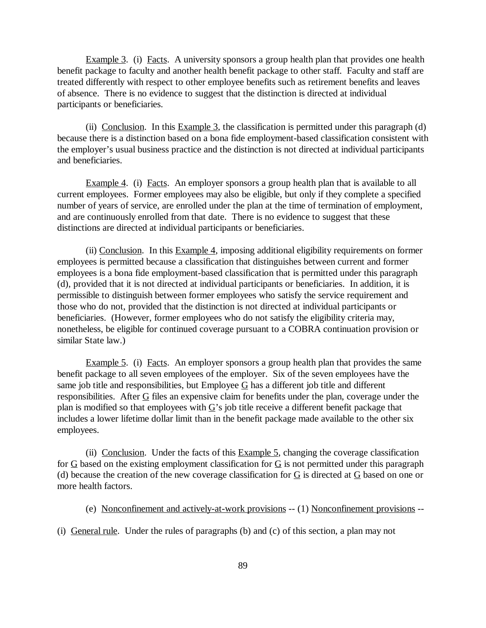Example 3. (i) Facts. A university sponsors a group health plan that provides one health benefit package to faculty and another health benefit package to other staff. Faculty and staff are treated differently with respect to other employee benefits such as retirement benefits and leaves of absence. There is no evidence to suggest that the distinction is directed at individual participants or beneficiaries.

(ii) Conclusion. In this Example 3, the classification is permitted under this paragraph  $(d)$ because there is a distinction based on a bona fide employment-based classification consistent with the employer's usual business practice and the distinction is not directed at individual participants and beneficiaries.

Example 4. (i) Facts. An employer sponsors a group health plan that is available to all current employees. Former employees may also be eligible, but only if they complete a specified number of years of service, are enrolled under the plan at the time of termination of employment, and are continuously enrolled from that date. There is no evidence to suggest that these distinctions are directed at individual participants or beneficiaries.

(ii) Conclusion. In this Example 4, imposing additional eligibility requirements on former employees is permitted because a classification that distinguishes between current and former employees is a bona fide employment-based classification that is permitted under this paragraph (d), provided that it is not directed at individual participants or beneficiaries. In addition, it is permissible to distinguish between former employees who satisfy the service requirement and those who do not, provided that the distinction is not directed at individual participants or beneficiaries. (However, former employees who do not satisfy the eligibility criteria may, nonetheless, be eligible for continued coverage pursuant to a COBRA continuation provision or similar State law.)

Example 5. (i) Facts. An employer sponsors a group health plan that provides the same benefit package to all seven employees of the employer. Six of the seven employees have the same job title and responsibilities, but Employee  $G$  has a different job title and different responsibilities. After  $G$  files an expensive claim for benefits under the plan, coverage under the plan is modified so that employees with  $G$ 's job title receive a different benefit package that includes a lower lifetime dollar limit than in the benefit package made available to the other six employees.

(ii) Conclusion. Under the facts of this  $Example 5$ , changing the coverage classification for G based on the existing employment classification for G is not permitted under this paragraph (d) because the creation of the new coverage classification for  $G$  is directed at  $G$  based on one or more health factors.

(e) Nonconfinement and actively-at-work provisions -- (1) Nonconfinement provisions --

(i) General rule. Under the rules of paragraphs (b) and (c) of this section, a plan may not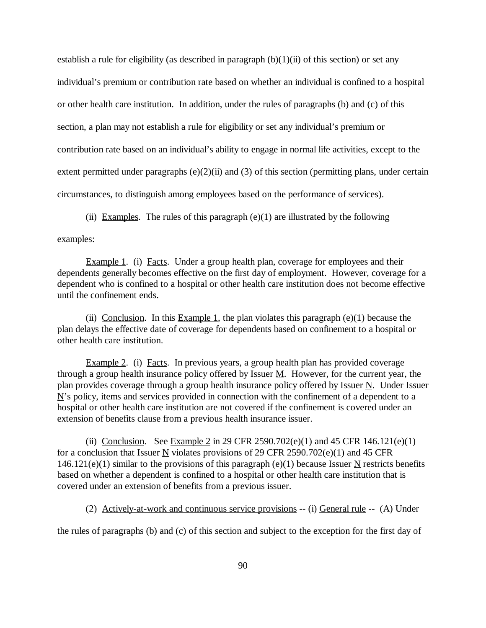establish a rule for eligibility (as described in paragraph  $(b)(1)(ii)$  of this section) or set any individual's premium or contribution rate based on whether an individual is confined to a hospital or other health care institution. In addition, under the rules of paragraphs (b) and (c) of this section, a plan may not establish a rule for eligibility or set any individual's premium or contribution rate based on an individual's ability to engage in normal life activities, except to the extent permitted under paragraphs  $(e)(2)(ii)$  and  $(3)$  of this section (permitting plans, under certain circumstances, to distinguish among employees based on the performance of services).

(ii) Examples. The rules of this paragraph  $(e)(1)$  are illustrated by the following

examples:

Example 1. (i) Facts. Under a group health plan, coverage for employees and their dependents generally becomes effective on the first day of employment. However, coverage for a dependent who is confined to a hospital or other health care institution does not become effective until the confinement ends.

(ii) Conclusion. In this Example 1, the plan violates this paragraph  $(e)(1)$  because the plan delays the effective date of coverage for dependents based on confinement to a hospital or other health care institution.

Example 2. (i) Facts. In previous years, a group health plan has provided coverage through a group health insurance policy offered by Issuer  $M$ . However, for the current year, the plan provides coverage through a group health insurance policy offered by Issuer  $N$ . Under Issuer  $N$ 's policy, items and services provided in connection with the confinement of a dependent to a hospital or other health care institution are not covered if the confinement is covered under an extension of benefits clause from a previous health insurance issuer.

(ii) Conclusion. See Example 2 in 29 CFR 2590.702(e)(1) and 45 CFR 146.121(e)(1) for a conclusion that Issuer  $\underline{N}$  violates provisions of 29 CFR 2590.702(e)(1) and 45 CFR  $146.121(e)(1)$  similar to the provisions of this paragraph (e)(1) because Issuer N restricts benefits based on whether a dependent is confined to a hospital or other health care institution that is covered under an extension of benefits from a previous issuer.

(2) Actively-at-work and continuous service provisions -- (i) General rule -- (A) Under

the rules of paragraphs (b) and (c) of this section and subject to the exception for the first day of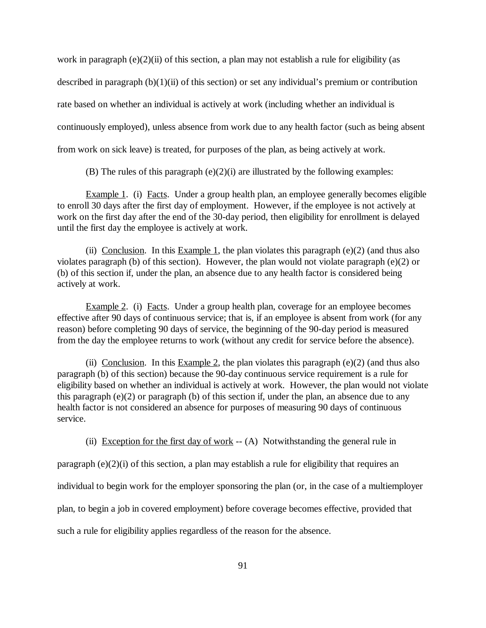work in paragraph  $(e)(2)$ (ii) of this section, a plan may not establish a rule for eligibility (as described in paragraph  $(b)(1)(ii)$  of this section) or set any individual's premium or contribution rate based on whether an individual is actively at work (including whether an individual is continuously employed), unless absence from work due to any health factor (such as being absent from work on sick leave) is treated, for purposes of the plan, as being actively at work.

(B) The rules of this paragraph  $(e)(2)(i)$  are illustrated by the following examples:

Example 1. (i) Facts. Under a group health plan, an employee generally becomes eligible to enroll 30 days after the first day of employment. However, if the employee is not actively at work on the first day after the end of the 30-day period, then eligibility for enrollment is delayed until the first day the employee is actively at work.

(ii) Conclusion. In this Example 1, the plan violates this paragraph  $(e)(2)$  (and thus also violates paragraph (b) of this section). However, the plan would not violate paragraph (e)(2) or (b) of this section if, under the plan, an absence due to any health factor is considered being actively at work.

Example 2. (i) Facts. Under a group health plan, coverage for an employee becomes effective after 90 days of continuous service; that is, if an employee is absent from work (for any reason) before completing 90 days of service, the beginning of the 90-day period is measured from the day the employee returns to work (without any credit for service before the absence).

(ii) Conclusion. In this Example 2, the plan violates this paragraph (e)(2) (and thus also paragraph (b) of this section) because the 90-day continuous service requirement is a rule for eligibility based on whether an individual is actively at work. However, the plan would not violate this paragraph (e)(2) or paragraph (b) of this section if, under the plan, an absence due to any health factor is not considered an absence for purposes of measuring 90 days of continuous service.

(ii) Exception for the first day of work  $-$  (A) Notwithstanding the general rule in

paragraph  $(e)(2)(i)$  of this section, a plan may establish a rule for eligibility that requires an individual to begin work for the employer sponsoring the plan (or, in the case of a multiemployer plan, to begin a job in covered employment) before coverage becomes effective, provided that such a rule for eligibility applies regardless of the reason for the absence.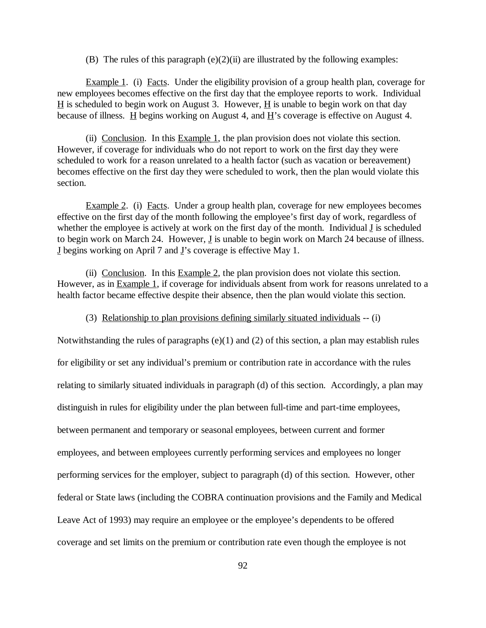(B) The rules of this paragraph  $(e)(2)(ii)$  are illustrated by the following examples:

Example 1. (i) Facts. Under the eligibility provision of a group health plan, coverage for new employees becomes effective on the first day that the employee reports to work. Individual  $H$  is scheduled to begin work on August 3. However,  $H$  is unable to begin work on that day because of illness.  $\underline{H}$  begins working on August 4, and  $\underline{H}$ 's coverage is effective on August 4.

(ii) Conclusion. In this Example 1, the plan provision does not violate this section. However, if coverage for individuals who do not report to work on the first day they were scheduled to work for a reason unrelated to a health factor (such as vacation or bereavement) becomes effective on the first day they were scheduled to work, then the plan would violate this section.

Example 2. (i) Facts. Under a group health plan, coverage for new employees becomes effective on the first day of the month following the employee's first day of work, regardless of whether the employee is actively at work on the first day of the month. Individual J is scheduled to begin work on March 24. However,  $\underline{J}$  is unable to begin work on March 24 because of illness. J begins working on April 7 and J's coverage is effective May 1.

(ii) Conclusion. In this  $Example 2$ , the plan provision does not violate this section. However, as in Example 1, if coverage for individuals absent from work for reasons unrelated to a health factor became effective despite their absence, then the plan would violate this section.

(3) Relationship to plan provisions defining similarly situated individuals -- (i)

Notwithstanding the rules of paragraphs (e)(1) and (2) of this section, a plan may establish rules for eligibility or set any individual's premium or contribution rate in accordance with the rules relating to similarly situated individuals in paragraph (d) of this section. Accordingly, a plan may distinguish in rules for eligibility under the plan between full-time and part-time employees, between permanent and temporary or seasonal employees, between current and former employees, and between employees currently performing services and employees no longer performing services for the employer, subject to paragraph (d) of this section. However, other federal or State laws (including the COBRA continuation provisions and the Family and Medical Leave Act of 1993) may require an employee or the employee's dependents to be offered coverage and set limits on the premium or contribution rate even though the employee is not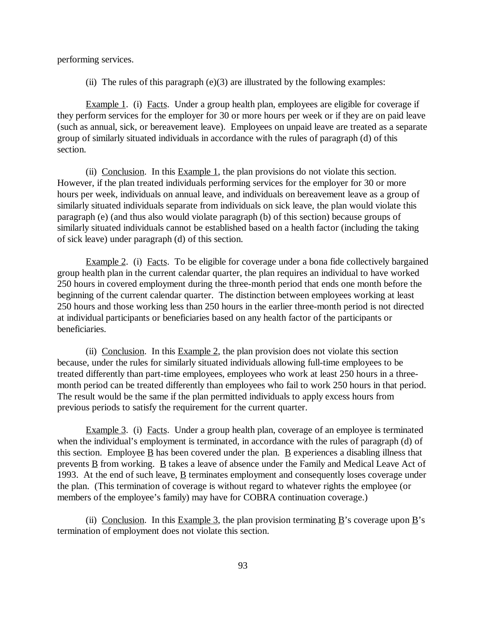performing services.

(ii) The rules of this paragraph  $(e)(3)$  are illustrated by the following examples:

Example 1. (i) Facts. Under a group health plan, employees are eligible for coverage if they perform services for the employer for 30 or more hours per week or if they are on paid leave (such as annual, sick, or bereavement leave). Employees on unpaid leave are treated as a separate group of similarly situated individuals in accordance with the rules of paragraph (d) of this section.

(ii) Conclusion. In this  $Example 1$ , the plan provisions do not violate this section. However, if the plan treated individuals performing services for the employer for 30 or more hours per week, individuals on annual leave, and individuals on bereavement leave as a group of similarly situated individuals separate from individuals on sick leave, the plan would violate this paragraph (e) (and thus also would violate paragraph (b) of this section) because groups of similarly situated individuals cannot be established based on a health factor (including the taking of sick leave) under paragraph (d) of this section.

Example 2. (i) Facts. To be eligible for coverage under a bona fide collectively bargained group health plan in the current calendar quarter, the plan requires an individual to have worked 250 hours in covered employment during the three-month period that ends one month before the beginning of the current calendar quarter. The distinction between employees working at least 250 hours and those working less than 250 hours in the earlier three-month period is not directed at individual participants or beneficiaries based on any health factor of the participants or beneficiaries.

(ii) Conclusion. In this  $Example 2$ , the plan provision does not violate this section because, under the rules for similarly situated individuals allowing full-time employees to be treated differently than part-time employees, employees who work at least 250 hours in a threemonth period can be treated differently than employees who fail to work 250 hours in that period. The result would be the same if the plan permitted individuals to apply excess hours from previous periods to satisfy the requirement for the current quarter.

Example 3. (i) Facts. Under a group health plan, coverage of an employee is terminated when the individual's employment is terminated, in accordance with the rules of paragraph (d) of this section. Employee  $\underline{B}$  has been covered under the plan.  $\underline{B}$  experiences a disabling illness that prevents B from working. B takes a leave of absence under the Family and Medical Leave Act of 1993. At the end of such leave,  $\underline{B}$  terminates employment and consequently loses coverage under the plan. (This termination of coverage is without regard to whatever rights the employee (or members of the employee's family) may have for COBRA continuation coverage.)

(ii) Conclusion. In this Example 3, the plan provision terminating B's coverage upon B's termination of employment does not violate this section.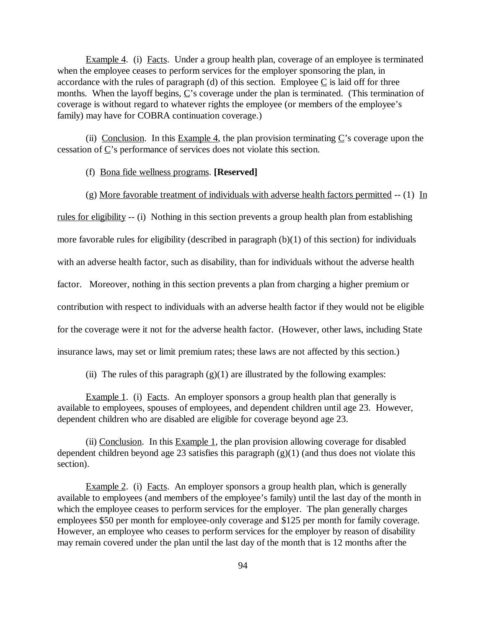Example 4. (i) Facts. Under a group health plan, coverage of an employee is terminated when the employee ceases to perform services for the employer sponsoring the plan, in accordance with the rules of paragraph (d) of this section. Employee  $C$  is laid off for three months. When the layoff begins, C's coverage under the plan is terminated. (This termination of coverage is without regard to whatever rights the employee (or members of the employee's family) may have for COBRA continuation coverage.)

(ii) Conclusion. In this Example 4, the plan provision terminating  $C$ 's coverage upon the cessation of C's performance of services does not violate this section.

#### (f) Bona fide wellness programs. **[Reserved]**

(g) More favorable treatment of individuals with adverse health factors permitted  $- (1)$  In

rules for eligibility -- (i) Nothing in this section prevents a group health plan from establishing more favorable rules for eligibility (described in paragraph (b)(1) of this section) for individuals

with an adverse health factor, such as disability, than for individuals without the adverse health

factor. Moreover, nothing in this section prevents a plan from charging a higher premium or

contribution with respect to individuals with an adverse health factor if they would not be eligible

for the coverage were it not for the adverse health factor. (However, other laws, including State

insurance laws, may set or limit premium rates; these laws are not affected by this section.)

(ii) The rules of this paragraph  $(g)(1)$  are illustrated by the following examples:

Example 1. (i) Facts. An employer sponsors a group health plan that generally is available to employees, spouses of employees, and dependent children until age 23. However, dependent children who are disabled are eligible for coverage beyond age 23.

(ii) Conclusion. In this Example 1, the plan provision allowing coverage for disabled dependent children beyond age 23 satisfies this paragraph  $(g)(1)$  (and thus does not violate this section).

Example 2. (i) Facts. An employer sponsors a group health plan, which is generally available to employees (and members of the employee's family) until the last day of the month in which the employee ceases to perform services for the employer. The plan generally charges employees \$50 per month for employee-only coverage and \$125 per month for family coverage. However, an employee who ceases to perform services for the employer by reason of disability may remain covered under the plan until the last day of the month that is 12 months after the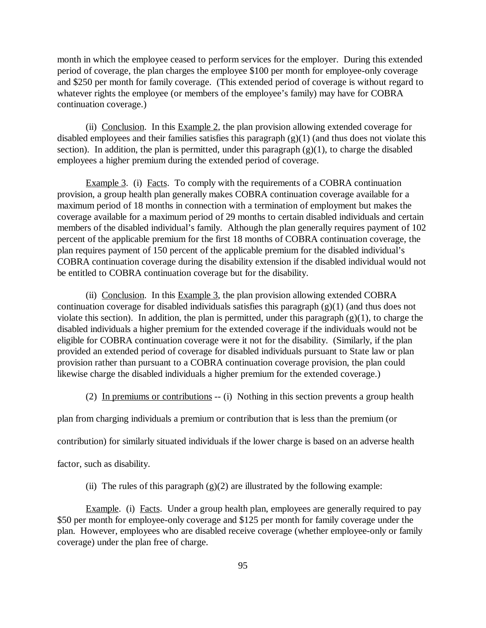month in which the employee ceased to perform services for the employer. During this extended period of coverage, the plan charges the employee \$100 per month for employee-only coverage and \$250 per month for family coverage. (This extended period of coverage is without regard to whatever rights the employee (or members of the employee's family) may have for COBRA continuation coverage.)

(ii) Conclusion. In this Example 2, the plan provision allowing extended coverage for disabled employees and their families satisfies this paragraph  $(g)(1)$  (and thus does not violate this section). In addition, the plan is permitted, under this paragraph  $(g)(1)$ , to charge the disabled employees a higher premium during the extended period of coverage.

Example 3. (i) Facts. To comply with the requirements of a COBRA continuation provision, a group health plan generally makes COBRA continuation coverage available for a maximum period of 18 months in connection with a termination of employment but makes the coverage available for a maximum period of 29 months to certain disabled individuals and certain members of the disabled individual's family. Although the plan generally requires payment of 102 percent of the applicable premium for the first 18 months of COBRA continuation coverage, the plan requires payment of 150 percent of the applicable premium for the disabled individual's COBRA continuation coverage during the disability extension if the disabled individual would not be entitled to COBRA continuation coverage but for the disability.

(ii) Conclusion. In this Example 3, the plan provision allowing extended COBRA continuation coverage for disabled individuals satisfies this paragraph (g)(1) (and thus does not violate this section). In addition, the plan is permitted, under this paragraph  $(g)(1)$ , to charge the disabled individuals a higher premium for the extended coverage if the individuals would not be eligible for COBRA continuation coverage were it not for the disability. (Similarly, if the plan provided an extended period of coverage for disabled individuals pursuant to State law or plan provision rather than pursuant to a COBRA continuation coverage provision, the plan could likewise charge the disabled individuals a higher premium for the extended coverage.)

(2) In premiums or contributions -- (i) Nothing in this section prevents a group health

plan from charging individuals a premium or contribution that is less than the premium (or

contribution) for similarly situated individuals if the lower charge is based on an adverse health

factor, such as disability.

(ii) The rules of this paragraph  $(g)(2)$  are illustrated by the following example:

Example. (i) Facts. Under a group health plan, employees are generally required to pay \$50 per month for employee-only coverage and \$125 per month for family coverage under the plan. However, employees who are disabled receive coverage (whether employee-only or family coverage) under the plan free of charge.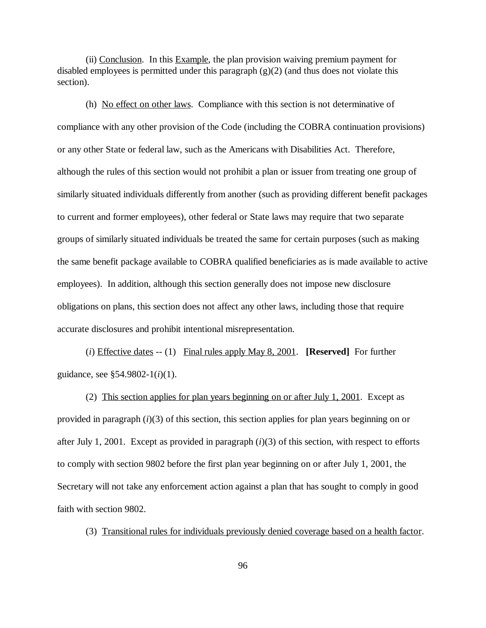(ii) Conclusion. In this Example, the plan provision waiving premium payment for disabled employees is permitted under this paragraph (g)(2) (and thus does not violate this section).

(h) No effect on other laws. Compliance with this section is not determinative of compliance with any other provision of the Code (including the COBRA continuation provisions) or any other State or federal law, such as the Americans with Disabilities Act. Therefore, although the rules of this section would not prohibit a plan or issuer from treating one group of similarly situated individuals differently from another (such as providing different benefit packages to current and former employees), other federal or State laws may require that two separate groups of similarly situated individuals be treated the same for certain purposes (such as making the same benefit package available to COBRA qualified beneficiaries as is made available to active employees). In addition, although this section generally does not impose new disclosure obligations on plans, this section does not affect any other laws, including those that require accurate disclosures and prohibit intentional misrepresentation.

(*i*) Effective dates -- (1) Final rules apply May 8, 2001. **[Reserved]** For further guidance, see §54.9802-1(*i*)(1).

(2) This section applies for plan years beginning on or after July 1, 2001. Except as provided in paragraph  $(i)(3)$  of this section, this section applies for plan years beginning on or after July 1, 2001. Except as provided in paragraph (*i*)(3) of this section, with respect to efforts to comply with section 9802 before the first plan year beginning on or after July 1, 2001, the Secretary will not take any enforcement action against a plan that has sought to comply in good faith with section 9802.

(3) Transitional rules for individuals previously denied coverage based on a health factor.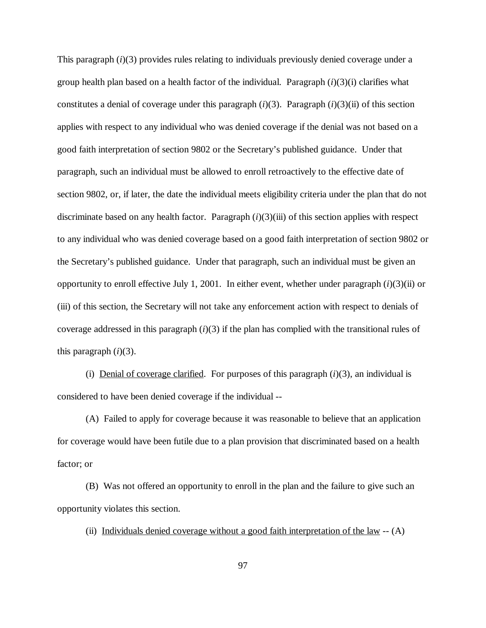This paragraph (*i*)(3) provides rules relating to individuals previously denied coverage under a group health plan based on a health factor of the individual. Paragraph (*i*)(3)(i) clarifies what constitutes a denial of coverage under this paragraph (*i*)(3). Paragraph (*i*)(3)(ii) of this section applies with respect to any individual who was denied coverage if the denial was not based on a good faith interpretation of section 9802 or the Secretary's published guidance. Under that paragraph, such an individual must be allowed to enroll retroactively to the effective date of section 9802, or, if later, the date the individual meets eligibility criteria under the plan that do not discriminate based on any health factor. Paragraph (*i*)(3)(iii) of this section applies with respect to any individual who was denied coverage based on a good faith interpretation of section 9802 or the Secretary's published guidance. Under that paragraph, such an individual must be given an opportunity to enroll effective July 1, 2001. In either event, whether under paragraph (*i*)(3)(ii) or (iii) of this section, the Secretary will not take any enforcement action with respect to denials of coverage addressed in this paragraph (*i*)(3) if the plan has complied with the transitional rules of this paragraph  $(i)(3)$ .

(i) Denial of coverage clarified. For purposes of this paragraph  $(i)(3)$ , an individual is considered to have been denied coverage if the individual --

(A) Failed to apply for coverage because it was reasonable to believe that an application for coverage would have been futile due to a plan provision that discriminated based on a health factor; or

(B) Was not offered an opportunity to enroll in the plan and the failure to give such an opportunity violates this section.

(ii) Individuals denied coverage without a good faith interpretation of the law  $-$  (A)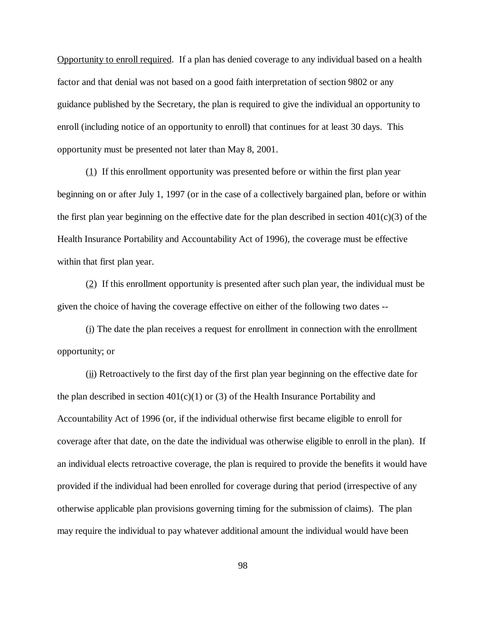Opportunity to enroll required. If a plan has denied coverage to any individual based on a health factor and that denial was not based on a good faith interpretation of section 9802 or any guidance published by the Secretary, the plan is required to give the individual an opportunity to enroll (including notice of an opportunity to enroll) that continues for at least 30 days. This opportunity must be presented not later than May 8, 2001.

(1) If this enrollment opportunity was presented before or within the first plan year beginning on or after July 1, 1997 (or in the case of a collectively bargained plan, before or within the first plan year beginning on the effective date for the plan described in section  $401(c)(3)$  of the Health Insurance Portability and Accountability Act of 1996), the coverage must be effective within that first plan year.

(2) If this enrollment opportunity is presented after such plan year, the individual must be given the choice of having the coverage effective on either of the following two dates --

(i) The date the plan receives a request for enrollment in connection with the enrollment opportunity; or

 $(iii)$  Retroactively to the first day of the first plan year beginning on the effective date for the plan described in section  $401(c)(1)$  or (3) of the Health Insurance Portability and Accountability Act of 1996 (or, if the individual otherwise first became eligible to enroll for coverage after that date, on the date the individual was otherwise eligible to enroll in the plan). If an individual elects retroactive coverage, the plan is required to provide the benefits it would have provided if the individual had been enrolled for coverage during that period (irrespective of any otherwise applicable plan provisions governing timing for the submission of claims). The plan may require the individual to pay whatever additional amount the individual would have been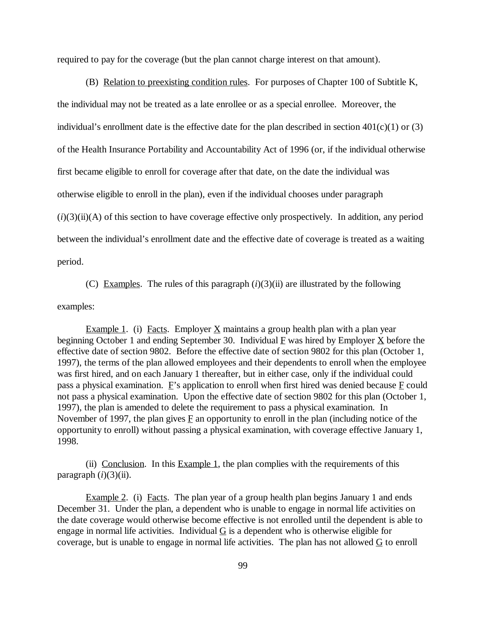required to pay for the coverage (but the plan cannot charge interest on that amount).

(B) Relation to preexisting condition rules. For purposes of Chapter 100 of Subtitle K, the individual may not be treated as a late enrollee or as a special enrollee. Moreover, the individual's enrollment date is the effective date for the plan described in section  $401(c)(1)$  or (3) of the Health Insurance Portability and Accountability Act of 1996 (or, if the individual otherwise first became eligible to enroll for coverage after that date, on the date the individual was otherwise eligible to enroll in the plan), even if the individual chooses under paragraph  $(i)(3)(ii)(A)$  of this section to have coverage effective only prospectively. In addition, any period between the individual's enrollment date and the effective date of coverage is treated as a waiting period.

(C) Examples. The rules of this paragraph  $(i)(3)(ii)$  are illustrated by the following examples:

Example 1. (i) Facts. Employer  $\underline{X}$  maintains a group health plan with a plan year beginning October 1 and ending September 30. Individual  $\overline{F}$  was hired by Employer  $\overline{X}$  before the effective date of section 9802. Before the effective date of section 9802 for this plan (October 1, 1997), the terms of the plan allowed employees and their dependents to enroll when the employee was first hired, and on each January 1 thereafter, but in either case, only if the individual could pass a physical examination.  $E$ 's application to enroll when first hired was denied because  $E$  could not pass a physical examination. Upon the effective date of section 9802 for this plan (October 1, 1997), the plan is amended to delete the requirement to pass a physical examination. In November of 1997, the plan gives  $\overline{F}$  an opportunity to enroll in the plan (including notice of the opportunity to enroll) without passing a physical examination, with coverage effective January 1, 1998.

(ii) Conclusion. In this Example 1, the plan complies with the requirements of this paragraph  $(i)(3)(ii)$ .

Example 2. (i) Facts. The plan year of a group health plan begins January 1 and ends December 31. Under the plan, a dependent who is unable to engage in normal life activities on the date coverage would otherwise become effective is not enrolled until the dependent is able to engage in normal life activities. Individual  $G$  is a dependent who is otherwise eligible for coverage, but is unable to engage in normal life activities. The plan has not allowed G to enroll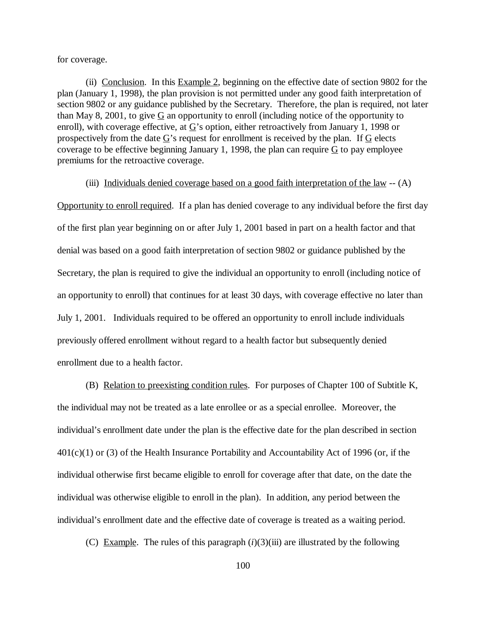for coverage.

(ii) Conclusion. In this Example 2, beginning on the effective date of section 9802 for the plan (January 1, 1998), the plan provision is not permitted under any good faith interpretation of section 9802 or any guidance published by the Secretary. Therefore, the plan is required, not later than May 8, 2001, to give  $G$  an opportunity to enroll (including notice of the opportunity to enroll), with coverage effective, at  $G$ 's option, either retroactively from January 1, 1998 or prospectively from the date  $\overline{G}$ 's request for enrollment is received by the plan. If  $\overline{G}$  elects coverage to be effective beginning January 1, 1998, the plan can require G to pay employee premiums for the retroactive coverage.

## (iii) Individuals denied coverage based on a good faith interpretation of the law -- (A)

Opportunity to enroll required. If a plan has denied coverage to any individual before the first day of the first plan year beginning on or after July 1, 2001 based in part on a health factor and that denial was based on a good faith interpretation of section 9802 or guidance published by the Secretary, the plan is required to give the individual an opportunity to enroll (including notice of an opportunity to enroll) that continues for at least 30 days, with coverage effective no later than July 1, 2001. Individuals required to be offered an opportunity to enroll include individuals previously offered enrollment without regard to a health factor but subsequently denied enrollment due to a health factor.

(B) Relation to preexisting condition rules. For purposes of Chapter 100 of Subtitle K, the individual may not be treated as a late enrollee or as a special enrollee. Moreover, the individual's enrollment date under the plan is the effective date for the plan described in section 401(c)(1) or (3) of the Health Insurance Portability and Accountability Act of 1996 (or, if the individual otherwise first became eligible to enroll for coverage after that date, on the date the individual was otherwise eligible to enroll in the plan). In addition, any period between the individual's enrollment date and the effective date of coverage is treated as a waiting period.

(C) Example. The rules of this paragraph  $(i)(3)(iii)$  are illustrated by the following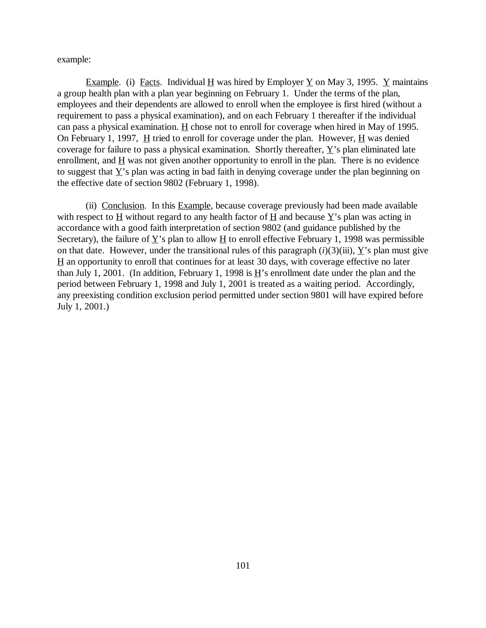example:

Example. (i) Facts. Individual H was hired by Employer  $\underline{Y}$  on May 3, 1995.  $\underline{Y}$  maintains a group health plan with a plan year beginning on February 1. Under the terms of the plan, employees and their dependents are allowed to enroll when the employee is first hired (without a requirement to pass a physical examination), and on each February 1 thereafter if the individual can pass a physical examination.  $\underline{H}$  chose not to enroll for coverage when hired in May of 1995. On February 1, 1997,  $H$  tried to enroll for coverage under the plan. However,  $H$  was denied coverage for failure to pass a physical examination. Shortly thereafter, Y's plan eliminated late enrollment, and  $\underline{H}$  was not given another opportunity to enroll in the plan. There is no evidence to suggest that Y's plan was acting in bad faith in denying coverage under the plan beginning on the effective date of section 9802 (February 1, 1998).

(ii) Conclusion. In this Example, because coverage previously had been made available with respect to H without regard to any health factor of H and because  $Y$ 's plan was acting in accordance with a good faith interpretation of section 9802 (and guidance published by the Secretary), the failure of  $\underline{Y}$ 's plan to allow  $\underline{H}$  to enroll effective February 1, 1998 was permissible on that date. However, under the transitional rules of this paragraph  $(i)(3)(iii)$ , Y's plan must give  $H$  an opportunity to enroll that continues for at least 30 days, with coverage effective no later than July 1, 2001. (In addition, February 1, 1998 is  $\underline{H}$ 's enrollment date under the plan and the period between February 1, 1998 and July 1, 2001 is treated as a waiting period. Accordingly, any preexisting condition exclusion period permitted under section 9801 will have expired before July 1, 2001.)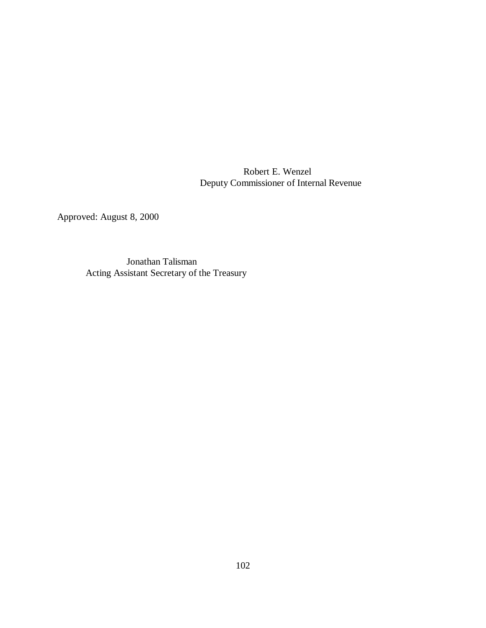Robert E. Wenzel Deputy Commissioner of Internal Revenue

Approved: August 8, 2000

 Jonathan Talisman Acting Assistant Secretary of the Treasury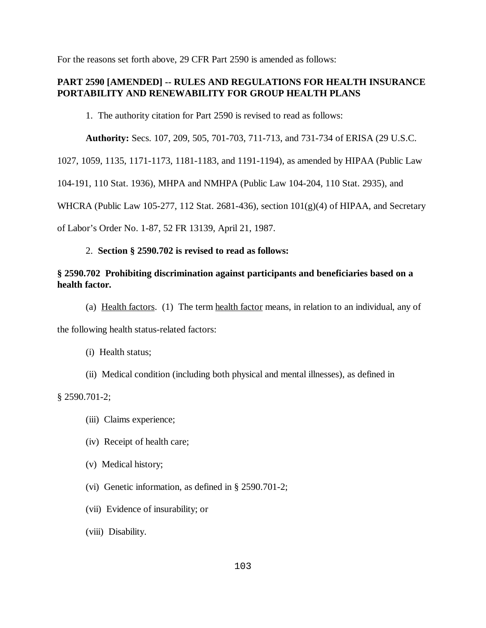For the reasons set forth above, 29 CFR Part 2590 is amended as follows:

# **PART 2590 [AMENDED] -- RULES AND REGULATIONS FOR HEALTH INSURANCE PORTABILITY AND RENEWABILITY FOR GROUP HEALTH PLANS**

1. The authority citation for Part 2590 is revised to read as follows:

**Authority:** Secs. 107, 209, 505, 701-703, 711-713, and 731-734 of ERISA (29 U.S.C.

1027, 1059, 1135, 1171-1173, 1181-1183, and 1191-1194), as amended by HIPAA (Public Law

104-191, 110 Stat. 1936), MHPA and NMHPA (Public Law 104-204, 110 Stat. 2935), and

WHCRA (Public Law 105-277, 112 Stat. 2681-436), section 101(g)(4) of HIPAA, and Secretary

of Labor's Order No. 1-87, 52 FR 13139, April 21, 1987.

## 2. **Section § 2590.702 is revised to read as follows:**

## **§ 2590.702 Prohibiting discrimination against participants and beneficiaries based on a health factor.**

(a) Health factors. (1) The term health factor means, in relation to an individual, any of

the following health status-related factors:

- (i) Health status;
- (ii) Medical condition (including both physical and mental illnesses), as defined in

§ 2590.701-2;

- (iii) Claims experience;
- (iv) Receipt of health care;
- (v) Medical history;
- (vi) Genetic information, as defined in § 2590.701-2;
- (vii) Evidence of insurability; or
- (viii) Disability.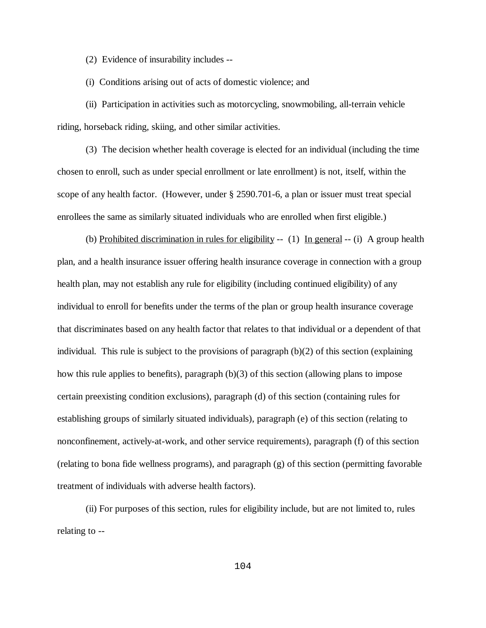(2) Evidence of insurability includes --

(i) Conditions arising out of acts of domestic violence; and

(ii) Participation in activities such as motorcycling, snowmobiling, all-terrain vehicle riding, horseback riding, skiing, and other similar activities.

(3) The decision whether health coverage is elected for an individual (including the time chosen to enroll, such as under special enrollment or late enrollment) is not, itself, within the scope of any health factor. (However, under § 2590.701-6, a plan or issuer must treat special enrollees the same as similarly situated individuals who are enrolled when first eligible.)

(b) Prohibited discrimination in rules for eligibility  $-$  (1) In general  $-$  (i) A group health plan, and a health insurance issuer offering health insurance coverage in connection with a group health plan, may not establish any rule for eligibility (including continued eligibility) of any individual to enroll for benefits under the terms of the plan or group health insurance coverage that discriminates based on any health factor that relates to that individual or a dependent of that individual. This rule is subject to the provisions of paragraph  $(b)(2)$  of this section (explaining how this rule applies to benefits), paragraph (b)(3) of this section (allowing plans to impose certain preexisting condition exclusions), paragraph (d) of this section (containing rules for establishing groups of similarly situated individuals), paragraph (e) of this section (relating to nonconfinement, actively-at-work, and other service requirements), paragraph (f) of this section (relating to bona fide wellness programs), and paragraph (g) of this section (permitting favorable treatment of individuals with adverse health factors).

(ii) For purposes of this section, rules for eligibility include, but are not limited to, rules relating to --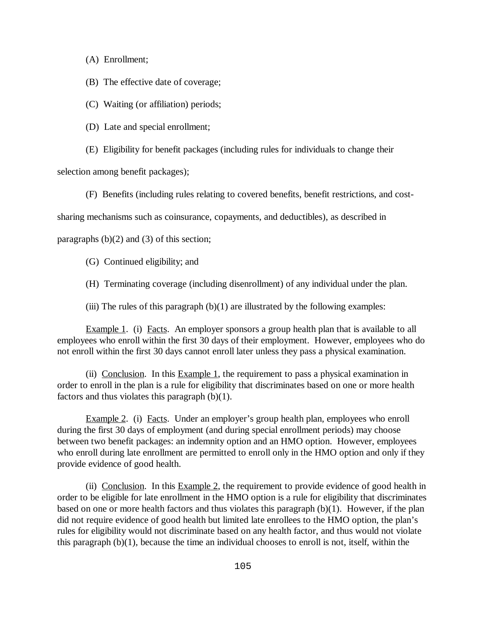(A) Enrollment;

(B) The effective date of coverage;

(C) Waiting (or affiliation) periods;

(D) Late and special enrollment;

(E) Eligibility for benefit packages (including rules for individuals to change their

selection among benefit packages);

(F) Benefits (including rules relating to covered benefits, benefit restrictions, and cost-

sharing mechanisms such as coinsurance, copayments, and deductibles), as described in

paragraphs  $(b)(2)$  and  $(3)$  of this section;

- (G) Continued eligibility; and
- (H) Terminating coverage (including disenrollment) of any individual under the plan.

(iii) The rules of this paragraph  $(b)(1)$  are illustrated by the following examples:

Example 1. (i) Facts. An employer sponsors a group health plan that is available to all employees who enroll within the first 30 days of their employment. However, employees who do not enroll within the first 30 days cannot enroll later unless they pass a physical examination.

(ii) Conclusion. In this Example 1, the requirement to pass a physical examination in order to enroll in the plan is a rule for eligibility that discriminates based on one or more health factors and thus violates this paragraph  $(b)(1)$ .

Example 2. (i) Facts. Under an employer's group health plan, employees who enroll during the first 30 days of employment (and during special enrollment periods) may choose between two benefit packages: an indemnity option and an HMO option. However, employees who enroll during late enrollment are permitted to enroll only in the HMO option and only if they provide evidence of good health.

(ii) Conclusion. In this Example 2, the requirement to provide evidence of good health in order to be eligible for late enrollment in the HMO option is a rule for eligibility that discriminates based on one or more health factors and thus violates this paragraph (b)(1). However, if the plan did not require evidence of good health but limited late enrollees to the HMO option, the plan's rules for eligibility would not discriminate based on any health factor, and thus would not violate this paragraph (b)(1), because the time an individual chooses to enroll is not, itself, within the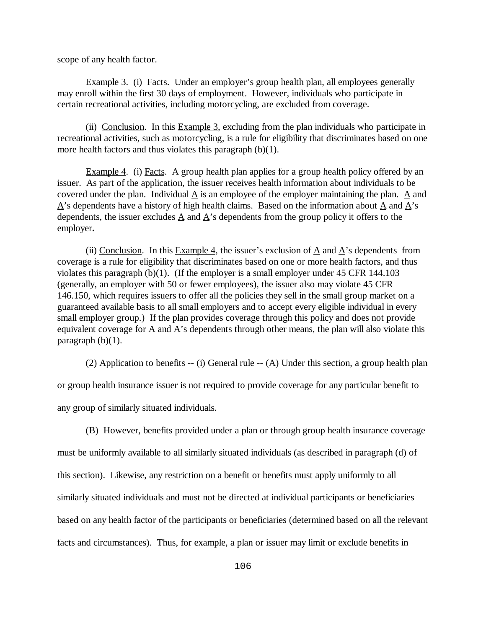scope of any health factor.

Example 3. (i) Facts. Under an employer's group health plan, all employees generally may enroll within the first 30 days of employment. However, individuals who participate in certain recreational activities, including motorcycling, are excluded from coverage.

(ii) Conclusion. In this Example 3, excluding from the plan individuals who participate in recreational activities, such as motorcycling, is a rule for eligibility that discriminates based on one more health factors and thus violates this paragraph (b)(1).

Example 4. (i) Facts. A group health plan applies for a group health policy offered by an issuer. As part of the application, the issuer receives health information about individuals to be covered under the plan. Individual  $\overline{A}$  is an employee of the employer maintaining the plan.  $\overline{A}$  and  $\vec{A}$ 's dependents have a history of high health claims. Based on the information about  $\vec{A}$  and  $\vec{A}$ 's dependents, the issuer excludes  $\underline{A}$  and  $\underline{A}$ 's dependents from the group policy it offers to the employer**.**

(ii) Conclusion. In this Example 4, the issuer's exclusion of  $\triangle$  and  $\triangle$ 's dependents from coverage is a rule for eligibility that discriminates based on one or more health factors, and thus violates this paragraph (b)(1). (If the employer is a small employer under 45 CFR 144.103 (generally, an employer with 50 or fewer employees), the issuer also may violate 45 CFR 146.150, which requires issuers to offer all the policies they sell in the small group market on a guaranteed available basis to all small employers and to accept every eligible individual in every small employer group.) If the plan provides coverage through this policy and does not provide equivalent coverage for  $\underline{A}$  and  $\underline{A}$ 's dependents through other means, the plan will also violate this paragraph  $(b)(1)$ .

(2) Application to benefits -- (i) General rule -- (A) Under this section, a group health plan or group health insurance issuer is not required to provide coverage for any particular benefit to any group of similarly situated individuals.

(B) However, benefits provided under a plan or through group health insurance coverage must be uniformly available to all similarly situated individuals (as described in paragraph (d) of this section). Likewise, any restriction on a benefit or benefits must apply uniformly to all similarly situated individuals and must not be directed at individual participants or beneficiaries based on any health factor of the participants or beneficiaries (determined based on all the relevant facts and circumstances). Thus, for example, a plan or issuer may limit or exclude benefits in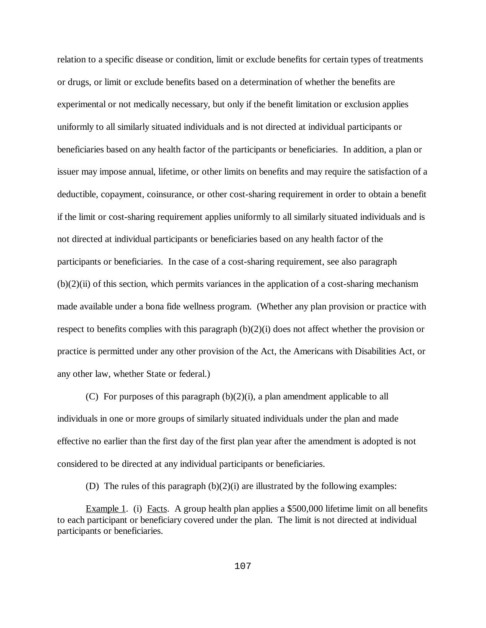relation to a specific disease or condition, limit or exclude benefits for certain types of treatments or drugs, or limit or exclude benefits based on a determination of whether the benefits are experimental or not medically necessary, but only if the benefit limitation or exclusion applies uniformly to all similarly situated individuals and is not directed at individual participants or beneficiaries based on any health factor of the participants or beneficiaries. In addition, a plan or issuer may impose annual, lifetime, or other limits on benefits and may require the satisfaction of a deductible, copayment, coinsurance, or other cost-sharing requirement in order to obtain a benefit if the limit or cost-sharing requirement applies uniformly to all similarly situated individuals and is not directed at individual participants or beneficiaries based on any health factor of the participants or beneficiaries. In the case of a cost-sharing requirement, see also paragraph  $(b)(2)(ii)$  of this section, which permits variances in the application of a cost-sharing mechanism made available under a bona fide wellness program. (Whether any plan provision or practice with respect to benefits complies with this paragraph (b)(2)(i) does not affect whether the provision or practice is permitted under any other provision of the Act, the Americans with Disabilities Act, or any other law, whether State or federal.)

(C) For purposes of this paragraph (b)(2)(i), a plan amendment applicable to all individuals in one or more groups of similarly situated individuals under the plan and made effective no earlier than the first day of the first plan year after the amendment is adopted is not considered to be directed at any individual participants or beneficiaries.

(D) The rules of this paragraph (b)(2)(i) are illustrated by the following examples:

Example 1. (i) Facts. A group health plan applies a \$500,000 lifetime limit on all benefits to each participant or beneficiary covered under the plan. The limit is not directed at individual participants or beneficiaries.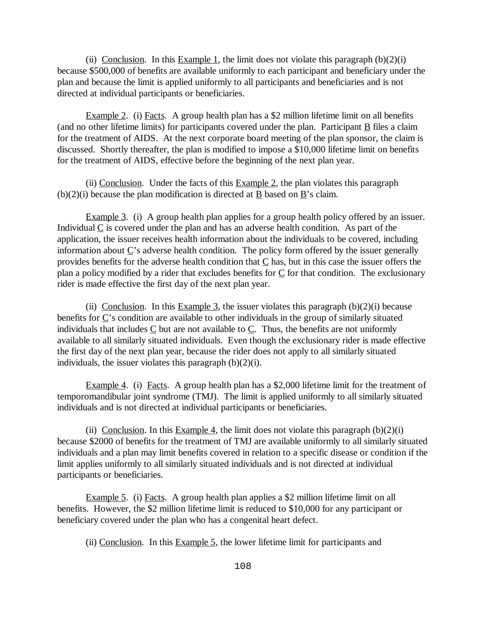(ii) Conclusion. In this Example 1, the limit does not violate this paragraph  $(b)(2)(i)$ because \$500,000 of benefits are available uniformly to each participant and beneficiary under the plan and because the limit is applied uniformly to all participants and beneficiaries and is not directed at individual participants or beneficiaries.

Example 2. (i) Facts. A group health plan has a \$2 million lifetime limit on all benefits (and no other lifetime limits) for participants covered under the plan. Participant  $\underline{B}$  files a claim for the treatment of AIDS. At the next corporate board meeting of the plan sponsor, the claim is discussed. Shortly thereafter, the plan is modified to impose a \$10,000 lifetime limit on benefits for the treatment of AIDS, effective before the beginning of the next plan year.

(ii) Conclusion. Under the facts of this  $Example 2$ , the plan violates this paragraph (b)(2)(i) because the plan modification is directed at  $\underline{B}$  based on  $\underline{B}$ 's claim.

Example 3. (i) A group health plan applies for a group health policy offered by an issuer. Individual C is covered under the plan and has an adverse health condition. As part of the application, the issuer receives health information about the individuals to be covered, including information about  $\underline{C}$ 's adverse health condition. The policy form offered by the issuer generally provides benefits for the adverse health condition that  $C$  has, but in this case the issuer offers the plan a policy modified by a rider that excludes benefits for  $C$  for that condition. The exclusionary rider is made effective the first day of the next plan year.

(ii) Conclusion. In this Example 3, the issuer violates this paragraph  $(b)(2)(i)$  because benefits for  $\underline{C}$ 's condition are available to other individuals in the group of similarly situated individuals that includes  $C$  but are not available to  $C$ . Thus, the benefits are not uniformly available to all similarly situated individuals. Even though the exclusionary rider is made effective the first day of the next plan year, because the rider does not apply to all similarly situated individuals, the issuer violates this paragraph  $(b)(2)(i)$ .

Example 4. (i) Facts. A group health plan has a \$2,000 lifetime limit for the treatment of temporomandibular joint syndrome (TMJ). The limit is applied uniformly to all similarly situated individuals and is not directed at individual participants or beneficiaries.

(ii) Conclusion. In this Example 4, the limit does not violate this paragraph  $(b)(2)(i)$ because \$2000 of benefits for the treatment of TMJ are available uniformly to all similarly situated individuals and a plan may limit benefits covered in relation to a specific disease or condition if the limit applies uniformly to all similarly situated individuals and is not directed at individual participants or beneficiaries.

Example 5. (i) Facts. A group health plan applies a \$2 million lifetime limit on all benefits. However, the \$2 million lifetime limit is reduced to \$10,000 for any participant or beneficiary covered under the plan who has a congenital heart defect.

(ii) Conclusion. In this Example 5, the lower lifetime limit for participants and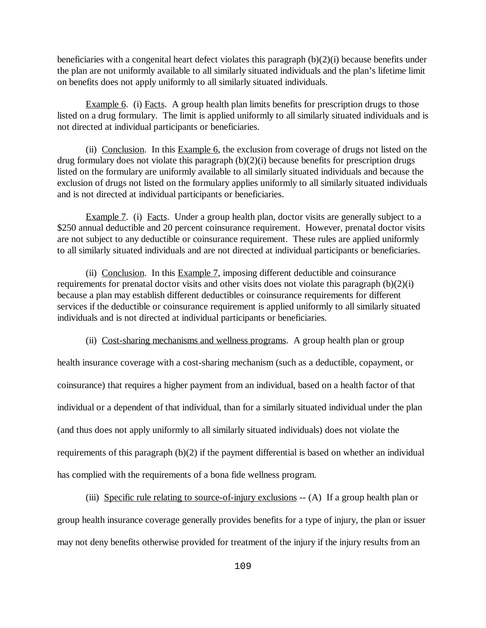beneficiaries with a congenital heart defect violates this paragraph (b)(2)(i) because benefits under the plan are not uniformly available to all similarly situated individuals and the plan's lifetime limit on benefits does not apply uniformly to all similarly situated individuals.

Example 6. (i) Facts. A group health plan limits benefits for prescription drugs to those listed on a drug formulary. The limit is applied uniformly to all similarly situated individuals and is not directed at individual participants or beneficiaries.

(ii) Conclusion. In this Example 6, the exclusion from coverage of drugs not listed on the drug formulary does not violate this paragraph (b)(2)(i) because benefits for prescription drugs listed on the formulary are uniformly available to all similarly situated individuals and because the exclusion of drugs not listed on the formulary applies uniformly to all similarly situated individuals and is not directed at individual participants or beneficiaries.

Example 7. (i) Facts. Under a group health plan, doctor visits are generally subject to a \$250 annual deductible and 20 percent coinsurance requirement. However, prenatal doctor visits are not subject to any deductible or coinsurance requirement. These rules are applied uniformly to all similarly situated individuals and are not directed at individual participants or beneficiaries.

(ii) Conclusion. In this  $Example 7$ , imposing different deductible and coinsurance requirements for prenatal doctor visits and other visits does not violate this paragraph (b)(2)(i) because a plan may establish different deductibles or coinsurance requirements for different services if the deductible or coinsurance requirement is applied uniformly to all similarly situated individuals and is not directed at individual participants or beneficiaries.

(ii) Cost-sharing mechanisms and wellness programs. A group health plan or group

health insurance coverage with a cost-sharing mechanism (such as a deductible, copayment, or coinsurance) that requires a higher payment from an individual, based on a health factor of that individual or a dependent of that individual, than for a similarly situated individual under the plan (and thus does not apply uniformly to all similarly situated individuals) does not violate the requirements of this paragraph (b)(2) if the payment differential is based on whether an individual has complied with the requirements of a bona fide wellness program.

(iii) Specific rule relating to source-of-injury exclusions -- (A) If a group health plan or group health insurance coverage generally provides benefits for a type of injury, the plan or issuer may not deny benefits otherwise provided for treatment of the injury if the injury results from an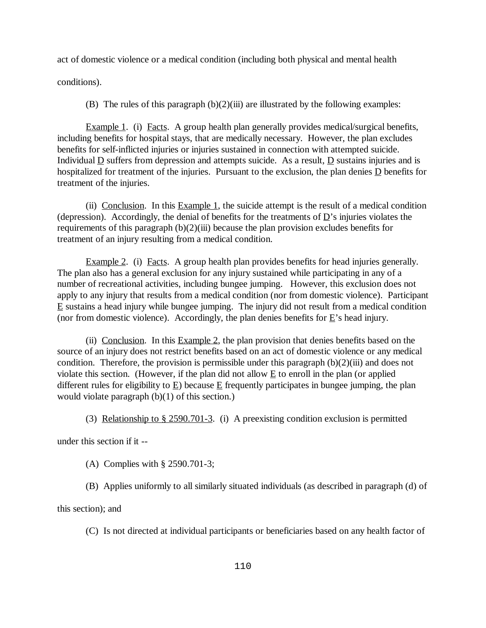act of domestic violence or a medical condition (including both physical and mental health

conditions).

(B) The rules of this paragraph  $(b)(2)(iii)$  are illustrated by the following examples:

Example 1. (i) Facts. A group health plan generally provides medical/surgical benefits, including benefits for hospital stays, that are medically necessary. However, the plan excludes benefits for self-inflicted injuries or injuries sustained in connection with attempted suicide. Individual  $\underline{D}$  suffers from depression and attempts suicide. As a result,  $\underline{D}$  sustains injuries and is hospitalized for treatment of the injuries. Pursuant to the exclusion, the plan denies D benefits for treatment of the injuries.

(ii) Conclusion. In this Example 1, the suicide attempt is the result of a medical condition (depression). Accordingly, the denial of benefits for the treatments of  $\underline{D}$ 's injuries violates the requirements of this paragraph  $(b)(2)(iii)$  because the plan provision excludes benefits for treatment of an injury resulting from a medical condition.

Example 2. (i) Facts. A group health plan provides benefits for head injuries generally. The plan also has a general exclusion for any injury sustained while participating in any of a number of recreational activities, including bungee jumping. However, this exclusion does not apply to any injury that results from a medical condition (nor from domestic violence). Participant  $E$  sustains a head injury while bungee jumping. The injury did not result from a medical condition (nor from domestic violence). Accordingly, the plan denies benefits for  $\underline{E}$ 's head injury.

(ii) Conclusion. In this  $Example 2$ , the plan provision that denies benefits based on the source of an injury does not restrict benefits based on an act of domestic violence or any medical condition. Therefore, the provision is permissible under this paragraph  $(b)(2)(iii)$  and does not violate this section. (However, if the plan did not allow  $E$  to enroll in the plan (or applied different rules for eligibility to  $E$ ) because  $E$  frequently participates in bungee jumping, the plan would violate paragraph (b)(1) of this section.)

(3) Relationship to § 2590.701-3. (i) A preexisting condition exclusion is permitted

under this section if it --

- (A) Complies with § 2590.701-3;
- (B) Applies uniformly to all similarly situated individuals (as described in paragraph (d) of

this section); and

(C) Is not directed at individual participants or beneficiaries based on any health factor of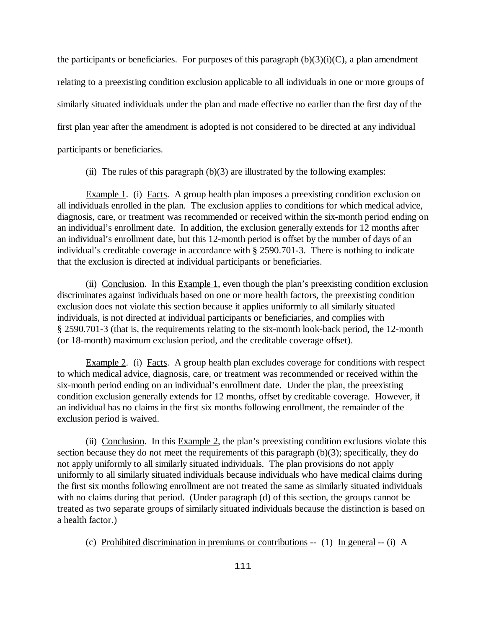the participants or beneficiaries. For purposes of this paragraph  $(b)(3)(i)(C)$ , a plan amendment relating to a preexisting condition exclusion applicable to all individuals in one or more groups of similarly situated individuals under the plan and made effective no earlier than the first day of the first plan year after the amendment is adopted is not considered to be directed at any individual participants or beneficiaries.

(ii) The rules of this paragraph  $(b)(3)$  are illustrated by the following examples:

Example 1. (i) Facts. A group health plan imposes a preexisting condition exclusion on all individuals enrolled in the plan. The exclusion applies to conditions for which medical advice, diagnosis, care, or treatment was recommended or received within the six-month period ending on an individual's enrollment date. In addition, the exclusion generally extends for 12 months after an individual's enrollment date, but this 12-month period is offset by the number of days of an individual's creditable coverage in accordance with § 2590.701-3. There is nothing to indicate that the exclusion is directed at individual participants or beneficiaries.

(ii) Conclusion. In this Example 1, even though the plan's preexisting condition exclusion discriminates against individuals based on one or more health factors, the preexisting condition exclusion does not violate this section because it applies uniformly to all similarly situated individuals, is not directed at individual participants or beneficiaries, and complies with § 2590.701-3 (that is, the requirements relating to the six-month look-back period, the 12-month (or 18-month) maximum exclusion period, and the creditable coverage offset).

Example 2. (i) Facts. A group health plan excludes coverage for conditions with respect to which medical advice, diagnosis, care, or treatment was recommended or received within the six-month period ending on an individual's enrollment date. Under the plan, the preexisting condition exclusion generally extends for 12 months, offset by creditable coverage. However, if an individual has no claims in the first six months following enrollment, the remainder of the exclusion period is waived.

(ii) Conclusion. In this Example 2, the plan's preexisting condition exclusions violate this section because they do not meet the requirements of this paragraph (b)(3); specifically, they do not apply uniformly to all similarly situated individuals. The plan provisions do not apply uniformly to all similarly situated individuals because individuals who have medical claims during the first six months following enrollment are not treated the same as similarly situated individuals with no claims during that period. (Under paragraph (d) of this section, the groups cannot be treated as two separate groups of similarly situated individuals because the distinction is based on a health factor.)

(c) Prohibited discrimination in premiums or contributions -- (1) In general -- (i) A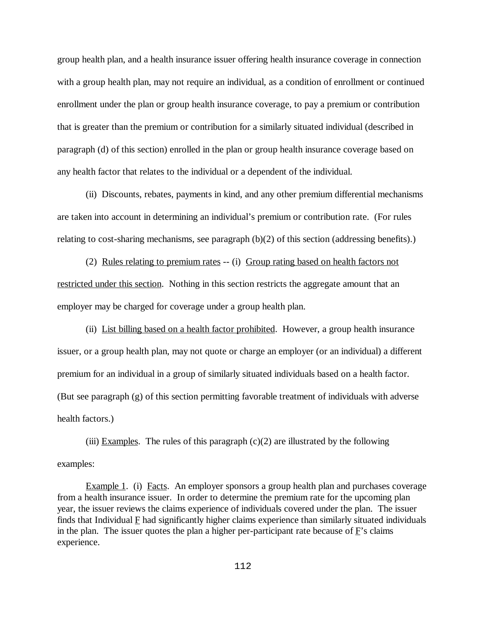group health plan, and a health insurance issuer offering health insurance coverage in connection with a group health plan, may not require an individual, as a condition of enrollment or continued enrollment under the plan or group health insurance coverage, to pay a premium or contribution that is greater than the premium or contribution for a similarly situated individual (described in paragraph (d) of this section) enrolled in the plan or group health insurance coverage based on any health factor that relates to the individual or a dependent of the individual.

(ii) Discounts, rebates, payments in kind, and any other premium differential mechanisms are taken into account in determining an individual's premium or contribution rate. (For rules relating to cost-sharing mechanisms, see paragraph  $(b)(2)$  of this section (addressing benefits).)

(2) Rules relating to premium rates -- (i) Group rating based on health factors not restricted under this section. Nothing in this section restricts the aggregate amount that an employer may be charged for coverage under a group health plan.

(ii) List billing based on a health factor prohibited. However, a group health insurance issuer, or a group health plan, may not quote or charge an employer (or an individual) a different premium for an individual in a group of similarly situated individuals based on a health factor. (But see paragraph (g) of this section permitting favorable treatment of individuals with adverse health factors.)

(iii) Examples. The rules of this paragraph  $(c)(2)$  are illustrated by the following examples:

Example 1. (i) Facts. An employer sponsors a group health plan and purchases coverage from a health insurance issuer. In order to determine the premium rate for the upcoming plan year, the issuer reviews the claims experience of individuals covered under the plan. The issuer finds that Individual F had significantly higher claims experience than similarly situated individuals in the plan. The issuer quotes the plan a higher per-participant rate because of F's claims experience.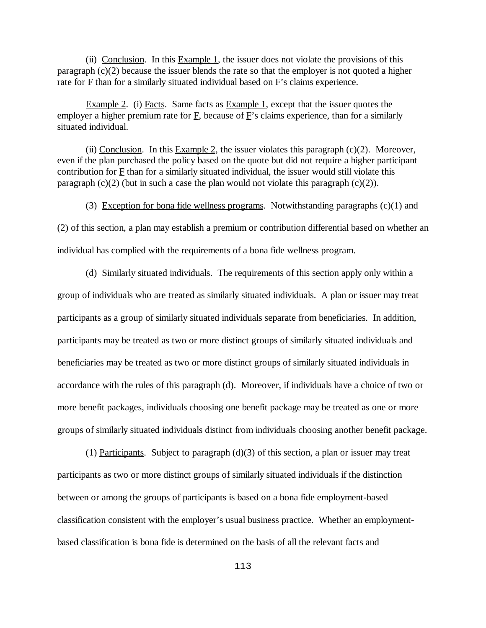(ii) Conclusion. In this Example 1, the issuer does not violate the provisions of this paragraph (c)(2) because the issuer blends the rate so that the employer is not quoted a higher rate for  $\underline{F}$  than for a similarly situated individual based on  $\underline{F}$ 's claims experience.

Example 2. (i) Facts. Same facts as Example 1, except that the issuer quotes the employer a higher premium rate for  $\overline{F}$ , because of  $\overline{F}$ 's claims experience, than for a similarly situated individual.

(ii) Conclusion. In this Example 2, the issuer violates this paragraph  $(c)(2)$ . Moreover, even if the plan purchased the policy based on the quote but did not require a higher participant contribution for F than for a similarly situated individual, the issuer would still violate this paragraph  $(c)(2)$  (but in such a case the plan would not violate this paragraph  $(c)(2)$ ).

(3) Exception for bona fide wellness programs. Notwithstanding paragraphs  $(c)(1)$  and

(2) of this section, a plan may establish a premium or contribution differential based on whether an individual has complied with the requirements of a bona fide wellness program.

(d) Similarly situated individuals. The requirements of this section apply only within a group of individuals who are treated as similarly situated individuals. A plan or issuer may treat participants as a group of similarly situated individuals separate from beneficiaries. In addition, participants may be treated as two or more distinct groups of similarly situated individuals and beneficiaries may be treated as two or more distinct groups of similarly situated individuals in accordance with the rules of this paragraph (d). Moreover, if individuals have a choice of two or more benefit packages, individuals choosing one benefit package may be treated as one or more groups of similarly situated individuals distinct from individuals choosing another benefit package.

(1) Participants. Subject to paragraph  $(d)(3)$  of this section, a plan or issuer may treat participants as two or more distinct groups of similarly situated individuals if the distinction between or among the groups of participants is based on a bona fide employment-based classification consistent with the employer's usual business practice. Whether an employmentbased classification is bona fide is determined on the basis of all the relevant facts and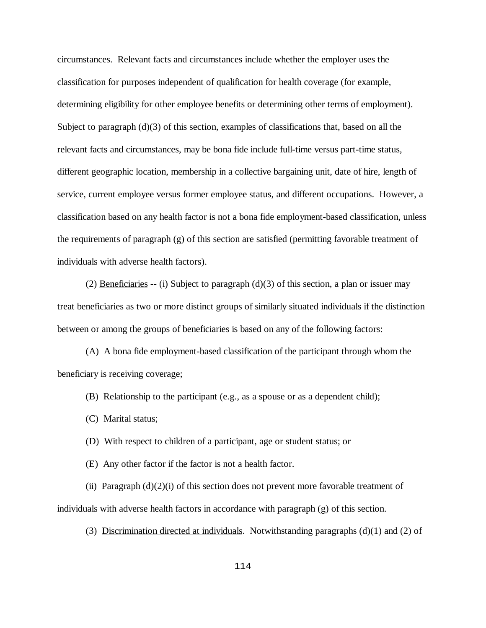circumstances. Relevant facts and circumstances include whether the employer uses the classification for purposes independent of qualification for health coverage (for example, determining eligibility for other employee benefits or determining other terms of employment). Subject to paragraph (d)(3) of this section, examples of classifications that, based on all the relevant facts and circumstances, may be bona fide include full-time versus part-time status, different geographic location, membership in a collective bargaining unit, date of hire, length of service, current employee versus former employee status, and different occupations. However, a classification based on any health factor is not a bona fide employment-based classification, unless the requirements of paragraph  $(g)$  of this section are satisfied (permitting favorable treatment of individuals with adverse health factors).

(2) Beneficiaries -- (i) Subject to paragraph (d)(3) of this section, a plan or issuer may treat beneficiaries as two or more distinct groups of similarly situated individuals if the distinction between or among the groups of beneficiaries is based on any of the following factors:

(A) A bona fide employment-based classification of the participant through whom the beneficiary is receiving coverage;

- (B) Relationship to the participant (e.g., as a spouse or as a dependent child);
- (C) Marital status;
- (D) With respect to children of a participant, age or student status; or
- (E) Any other factor if the factor is not a health factor.

(ii) Paragraph  $(d)(2)(i)$  of this section does not prevent more favorable treatment of individuals with adverse health factors in accordance with paragraph (g) of this section.

(3) Discrimination directed at individuals. Notwithstanding paragraphs (d)(1) and (2) of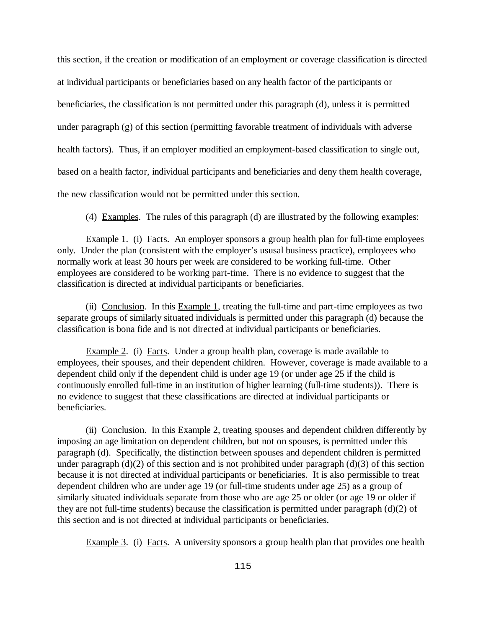this section, if the creation or modification of an employment or coverage classification is directed at individual participants or beneficiaries based on any health factor of the participants or beneficiaries, the classification is not permitted under this paragraph (d), unless it is permitted under paragraph (g) of this section (permitting favorable treatment of individuals with adverse health factors). Thus, if an employer modified an employment-based classification to single out, based on a health factor, individual participants and beneficiaries and deny them health coverage, the new classification would not be permitted under this section.

(4) Examples. The rules of this paragraph (d) are illustrated by the following examples:

Example 1. (i) Facts. An employer sponsors a group health plan for full-time employees only. Under the plan (consistent with the employer's ususal business practice), employees who normally work at least 30 hours per week are considered to be working full-time. Other employees are considered to be working part-time. There is no evidence to suggest that the classification is directed at individual participants or beneficiaries.

(ii) Conclusion. In this Example 1, treating the full-time and part-time employees as two separate groups of similarly situated individuals is permitted under this paragraph (d) because the classification is bona fide and is not directed at individual participants or beneficiaries.

Example 2. (i) Facts. Under a group health plan, coverage is made available to employees, their spouses, and their dependent children. However, coverage is made available to a dependent child only if the dependent child is under age 19 (or under age 25 if the child is continuously enrolled full-time in an institution of higher learning (full-time students)). There is no evidence to suggest that these classifications are directed at individual participants or beneficiaries.

(ii) Conclusion. In this Example 2, treating spouses and dependent children differently by imposing an age limitation on dependent children, but not on spouses, is permitted under this paragraph (d). Specifically, the distinction between spouses and dependent children is permitted under paragraph (d)(2) of this section and is not prohibited under paragraph (d)(3) of this section because it is not directed at individual participants or beneficiaries. It is also permissible to treat dependent children who are under age 19 (or full-time students under age 25) as a group of similarly situated individuals separate from those who are age 25 or older (or age 19 or older if they are not full-time students) because the classification is permitted under paragraph (d)(2) of this section and is not directed at individual participants or beneficiaries.

Example 3. (i) Facts. A university sponsors a group health plan that provides one health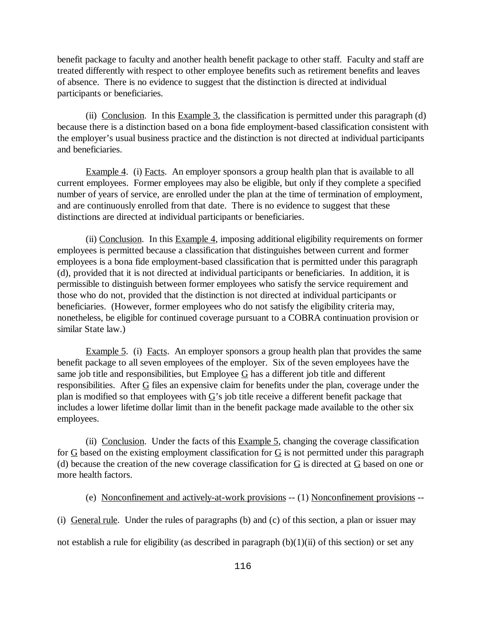benefit package to faculty and another health benefit package to other staff. Faculty and staff are treated differently with respect to other employee benefits such as retirement benefits and leaves of absence. There is no evidence to suggest that the distinction is directed at individual participants or beneficiaries.

(ii) Conclusion. In this Example 3, the classification is permitted under this paragraph (d) because there is a distinction based on a bona fide employment-based classification consistent with the employer's usual business practice and the distinction is not directed at individual participants and beneficiaries.

Example 4. (i) Facts. An employer sponsors a group health plan that is available to all current employees. Former employees may also be eligible, but only if they complete a specified number of years of service, are enrolled under the plan at the time of termination of employment, and are continuously enrolled from that date. There is no evidence to suggest that these distinctions are directed at individual participants or beneficiaries.

(ii) Conclusion. In this Example 4, imposing additional eligibility requirements on former employees is permitted because a classification that distinguishes between current and former employees is a bona fide employment-based classification that is permitted under this paragraph (d), provided that it is not directed at individual participants or beneficiaries. In addition, it is permissible to distinguish between former employees who satisfy the service requirement and those who do not, provided that the distinction is not directed at individual participants or beneficiaries. (However, former employees who do not satisfy the eligibility criteria may, nonetheless, be eligible for continued coverage pursuant to a COBRA continuation provision or similar State law.)

Example 5. (i) Facts. An employer sponsors a group health plan that provides the same benefit package to all seven employees of the employer. Six of the seven employees have the same job title and responsibilities, but Employee  $G$  has a different job title and different responsibilities. After  $G$  files an expensive claim for benefits under the plan, coverage under the plan is modified so that employees with  $\underline{G}$ 's job title receive a different benefit package that includes a lower lifetime dollar limit than in the benefit package made available to the other six employees.

(ii) Conclusion. Under the facts of this Example 5, changing the coverage classification for  $G$  based on the existing employment classification for  $G$  is not permitted under this paragraph (d) because the creation of the new coverage classification for G is directed at G based on one or more health factors.

(e) Nonconfinement and actively-at-work provisions -- (1) Nonconfinement provisions --

(i) General rule. Under the rules of paragraphs (b) and (c) of this section, a plan or issuer may

not establish a rule for eligibility (as described in paragraph  $(b)(1)(ii)$  of this section) or set any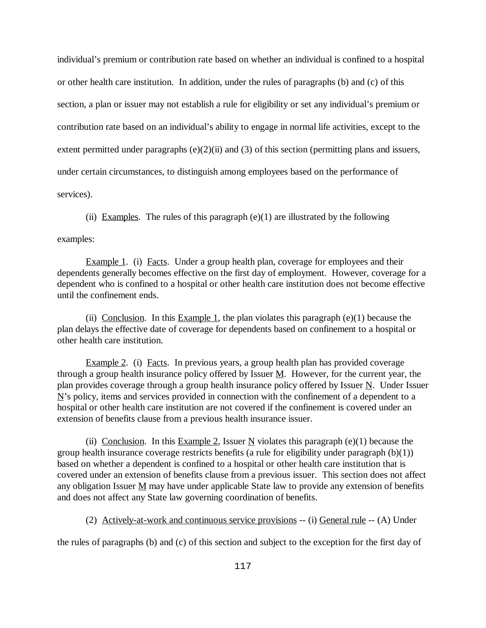individual's premium or contribution rate based on whether an individual is confined to a hospital or other health care institution. In addition, under the rules of paragraphs (b) and (c) of this section, a plan or issuer may not establish a rule for eligibility or set any individual's premium or contribution rate based on an individual's ability to engage in normal life activities, except to the extent permitted under paragraphs  $(e)(2)(ii)$  and  $(3)$  of this section (permitting plans and issuers, under certain circumstances, to distinguish among employees based on the performance of services).

(ii) Examples. The rules of this paragraph  $(e)(1)$  are illustrated by the following

examples:

Example 1. (i) Facts. Under a group health plan, coverage for employees and their dependents generally becomes effective on the first day of employment. However, coverage for a dependent who is confined to a hospital or other health care institution does not become effective until the confinement ends.

(ii) Conclusion. In this Example 1, the plan violates this paragraph  $(e)(1)$  because the plan delays the effective date of coverage for dependents based on confinement to a hospital or other health care institution.

Example 2. (i) Facts. In previous years, a group health plan has provided coverage through a group health insurance policy offered by Issuer  $M$ . However, for the current year, the plan provides coverage through a group health insurance policy offered by Issuer  $N$ . Under Issuer  $N$ 's policy, items and services provided in connection with the confinement of a dependent to a hospital or other health care institution are not covered if the confinement is covered under an extension of benefits clause from a previous health insurance issuer.

(ii) Conclusion. In this Example 2, Issuer N violates this paragraph  $(e)(1)$  because the group health insurance coverage restricts benefits (a rule for eligibility under paragraph (b)(1)) based on whether a dependent is confined to a hospital or other health care institution that is covered under an extension of benefits clause from a previous issuer. This section does not affect any obligation Issuer  $M$  may have under applicable State law to provide any extension of benefits and does not affect any State law governing coordination of benefits.

(2) Actively-at-work and continuous service provisions -- (i) General rule -- (A) Under

the rules of paragraphs (b) and (c) of this section and subject to the exception for the first day of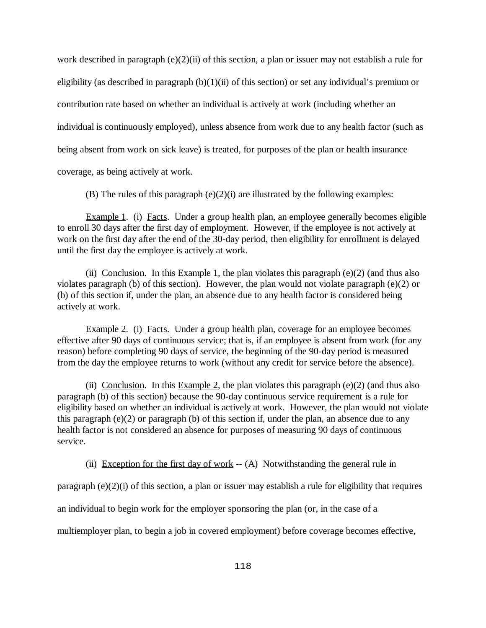work described in paragraph (e)(2)(ii) of this section, a plan or issuer may not establish a rule for eligibility (as described in paragraph  $(b)(1)(ii)$  of this section) or set any individual's premium or contribution rate based on whether an individual is actively at work (including whether an individual is continuously employed), unless absence from work due to any health factor (such as being absent from work on sick leave) is treated, for purposes of the plan or health insurance

coverage, as being actively at work.

(B) The rules of this paragraph  $(e)(2)(i)$  are illustrated by the following examples:

Example 1. (i) Facts. Under a group health plan, an employee generally becomes eligible to enroll 30 days after the first day of employment. However, if the employee is not actively at work on the first day after the end of the 30-day period, then eligibility for enrollment is delayed until the first day the employee is actively at work.

(ii) Conclusion. In this Example 1, the plan violates this paragraph ( $e(2)$ ) (and thus also violates paragraph (b) of this section). However, the plan would not violate paragraph (e)(2) or (b) of this section if, under the plan, an absence due to any health factor is considered being actively at work.

Example 2. (i) Facts. Under a group health plan, coverage for an employee becomes effective after 90 days of continuous service; that is, if an employee is absent from work (for any reason) before completing 90 days of service, the beginning of the 90-day period is measured from the day the employee returns to work (without any credit for service before the absence).

(ii) Conclusion. In this Example 2, the plan violates this paragraph (e)(2) (and thus also paragraph (b) of this section) because the 90-day continuous service requirement is a rule for eligibility based on whether an individual is actively at work. However, the plan would not violate this paragraph (e)(2) or paragraph (b) of this section if, under the plan, an absence due to any health factor is not considered an absence for purposes of measuring 90 days of continuous service.

(ii) Exception for the first day of work  $-$  (A) Notwithstanding the general rule in

paragraph (e)(2)(i) of this section, a plan or issuer may establish a rule for eligibility that requires

an individual to begin work for the employer sponsoring the plan (or, in the case of a

multiemployer plan, to begin a job in covered employment) before coverage becomes effective,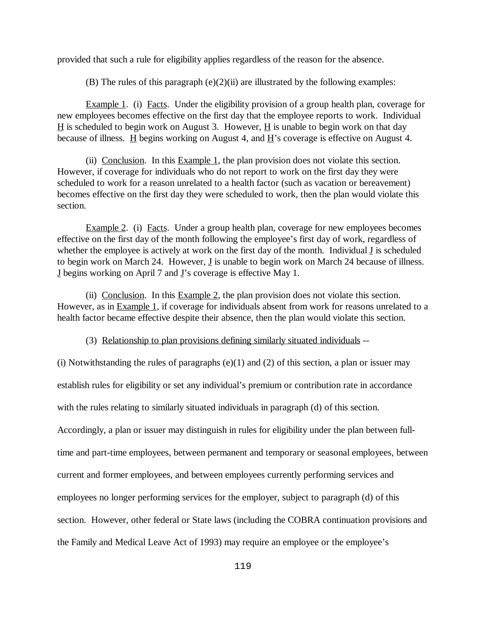provided that such a rule for eligibility applies regardless of the reason for the absence.

(B) The rules of this paragraph  $(e)(2)(ii)$  are illustrated by the following examples:

Example 1. (i) Facts. Under the eligibility provision of a group health plan, coverage for new employees becomes effective on the first day that the employee reports to work. Individual  $H$  is scheduled to begin work on August 3. However,  $H$  is unable to begin work on that day because of illness.  $\underline{H}$  begins working on August 4, and  $\underline{H}$ 's coverage is effective on August 4.

(ii) Conclusion. In this  $Example 1$ , the plan provision does not violate this section. However, if coverage for individuals who do not report to work on the first day they were scheduled to work for a reason unrelated to a health factor (such as vacation or bereavement) becomes effective on the first day they were scheduled to work, then the plan would violate this section.

Example 2. (i) Facts. Under a group health plan, coverage for new employees becomes effective on the first day of the month following the employee's first day of work, regardless of whether the employee is actively at work on the first day of the month. Individual J is scheduled to begin work on March 24. However,  $\underline{J}$  is unable to begin work on March 24 because of illness. J begins working on April 7 and J's coverage is effective May 1.

(ii) Conclusion. In this  $Example 2$ , the plan provision does not violate this section. However, as in Example 1, if coverage for individuals absent from work for reasons unrelated to a health factor became effective despite their absence, then the plan would violate this section.

(3) Relationship to plan provisions defining similarly situated individuals --

(i) Notwithstanding the rules of paragraphs  $(e)(1)$  and  $(2)$  of this section, a plan or issuer may establish rules for eligibility or set any individual's premium or contribution rate in accordance with the rules relating to similarly situated individuals in paragraph (d) of this section. Accordingly, a plan or issuer may distinguish in rules for eligibility under the plan between fulltime and part-time employees, between permanent and temporary or seasonal employees, between current and former employees, and between employees currently performing services and employees no longer performing services for the employer, subject to paragraph (d) of this section. However, other federal or State laws (including the COBRA continuation provisions and the Family and Medical Leave Act of 1993) may require an employee or the employee's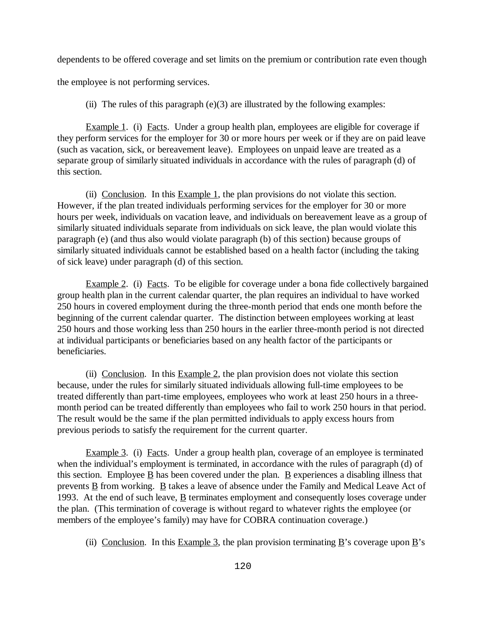dependents to be offered coverage and set limits on the premium or contribution rate even though

the employee is not performing services.

(ii) The rules of this paragraph  $(e)(3)$  are illustrated by the following examples:

Example 1. (i) Facts. Under a group health plan, employees are eligible for coverage if they perform services for the employer for 30 or more hours per week or if they are on paid leave (such as vacation, sick, or bereavement leave). Employees on unpaid leave are treated as a separate group of similarly situated individuals in accordance with the rules of paragraph (d) of this section.

(ii) Conclusion. In this Example 1, the plan provisions do not violate this section. However, if the plan treated individuals performing services for the employer for 30 or more hours per week, individuals on vacation leave, and individuals on bereavement leave as a group of similarly situated individuals separate from individuals on sick leave, the plan would violate this paragraph (e) (and thus also would violate paragraph (b) of this section) because groups of similarly situated individuals cannot be established based on a health factor (including the taking of sick leave) under paragraph (d) of this section.

Example 2. (i) Facts. To be eligible for coverage under a bona fide collectively bargained group health plan in the current calendar quarter, the plan requires an individual to have worked 250 hours in covered employment during the three-month period that ends one month before the beginning of the current calendar quarter. The distinction between employees working at least 250 hours and those working less than 250 hours in the earlier three-month period is not directed at individual participants or beneficiaries based on any health factor of the participants or beneficiaries.

(ii) Conclusion. In this  $Example 2$ , the plan provision does not violate this section because, under the rules for similarly situated individuals allowing full-time employees to be treated differently than part-time employees, employees who work at least 250 hours in a threemonth period can be treated differently than employees who fail to work 250 hours in that period. The result would be the same if the plan permitted individuals to apply excess hours from previous periods to satisfy the requirement for the current quarter.

Example 3. (i) Facts. Under a group health plan, coverage of an employee is terminated when the individual's employment is terminated, in accordance with the rules of paragraph (d) of this section. Employee  $\underline{B}$  has been covered under the plan.  $\underline{B}$  experiences a disabling illness that prevents  $\underline{B}$  from working.  $\underline{B}$  takes a leave of absence under the Family and Medical Leave Act of 1993. At the end of such leave,  $\underline{B}$  terminates employment and consequently loses coverage under the plan. (This termination of coverage is without regard to whatever rights the employee (or members of the employee's family) may have for COBRA continuation coverage.)

(ii) Conclusion. In this Example 3, the plan provision terminating  $\underline{B}$ 's coverage upon  $\underline{B}$ 's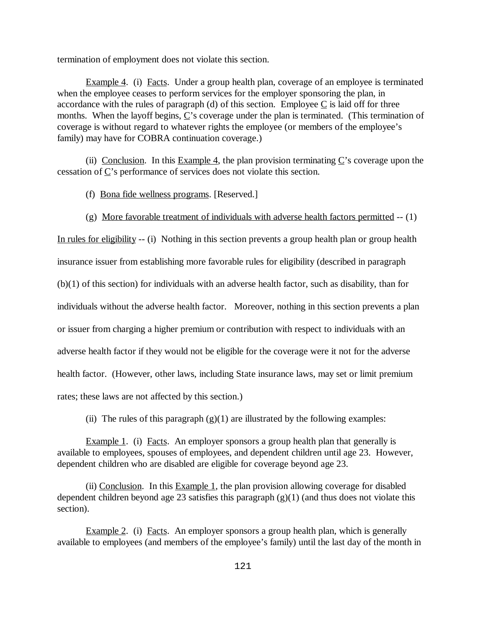termination of employment does not violate this section.

Example 4. (i) Facts. Under a group health plan, coverage of an employee is terminated when the employee ceases to perform services for the employer sponsoring the plan, in accordance with the rules of paragraph (d) of this section. Employee  $C$  is laid off for three months. When the layoff begins,  $\underline{C}$ 's coverage under the plan is terminated. (This termination of coverage is without regard to whatever rights the employee (or members of the employee's family) may have for COBRA continuation coverage.)

(ii) Conclusion. In this **Example 4**, the plan provision terminating  $C$ 's coverage upon the cessation of C's performance of services does not violate this section.

(f) Bona fide wellness programs. [Reserved.]

(g) More favorable treatment of individuals with adverse health factors permitted -- (1)

In rules for eligibility -- (i) Nothing in this section prevents a group health plan or group health insurance issuer from establishing more favorable rules for eligibility (described in paragraph (b)(1) of this section) for individuals with an adverse health factor, such as disability, than for individuals without the adverse health factor. Moreover, nothing in this section prevents a plan or issuer from charging a higher premium or contribution with respect to individuals with an adverse health factor if they would not be eligible for the coverage were it not for the adverse health factor. (However, other laws, including State insurance laws, may set or limit premium rates; these laws are not affected by this section.)

(ii) The rules of this paragraph  $(g)(1)$  are illustrated by the following examples:

Example 1. (i) Facts. An employer sponsors a group health plan that generally is available to employees, spouses of employees, and dependent children until age 23. However, dependent children who are disabled are eligible for coverage beyond age 23.

(ii) Conclusion. In this Example 1, the plan provision allowing coverage for disabled dependent children beyond age 23 satisfies this paragraph  $(g)(1)$  (and thus does not violate this section).

Example 2. (i) Facts. An employer sponsors a group health plan, which is generally available to employees (and members of the employee's family) until the last day of the month in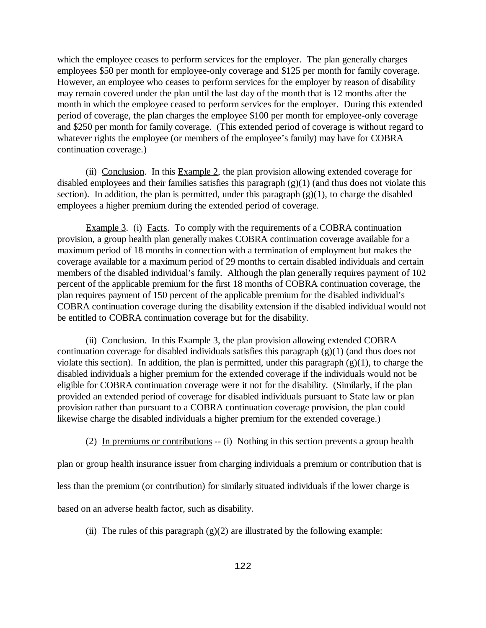which the employee ceases to perform services for the employer. The plan generally charges employees \$50 per month for employee-only coverage and \$125 per month for family coverage. However, an employee who ceases to perform services for the employer by reason of disability may remain covered under the plan until the last day of the month that is 12 months after the month in which the employee ceased to perform services for the employer. During this extended period of coverage, the plan charges the employee \$100 per month for employee-only coverage and \$250 per month for family coverage. (This extended period of coverage is without regard to whatever rights the employee (or members of the employee's family) may have for COBRA continuation coverage.)

(ii) Conclusion. In this  $Example 2$ , the plan provision allowing extended coverage for disabled employees and their families satisfies this paragraph (g)(1) (and thus does not violate this section). In addition, the plan is permitted, under this paragraph  $(g)(1)$ , to charge the disabled employees a higher premium during the extended period of coverage.

Example 3. (i) Facts. To comply with the requirements of a COBRA continuation provision, a group health plan generally makes COBRA continuation coverage available for a maximum period of 18 months in connection with a termination of employment but makes the coverage available for a maximum period of 29 months to certain disabled individuals and certain members of the disabled individual's family. Although the plan generally requires payment of 102 percent of the applicable premium for the first 18 months of COBRA continuation coverage, the plan requires payment of 150 percent of the applicable premium for the disabled individual's COBRA continuation coverage during the disability extension if the disabled individual would not be entitled to COBRA continuation coverage but for the disability.

(ii) Conclusion. In this Example 3, the plan provision allowing extended COBRA continuation coverage for disabled individuals satisfies this paragraph (g)(1) (and thus does not violate this section). In addition, the plan is permitted, under this paragraph  $(g)(1)$ , to charge the disabled individuals a higher premium for the extended coverage if the individuals would not be eligible for COBRA continuation coverage were it not for the disability. (Similarly, if the plan provided an extended period of coverage for disabled individuals pursuant to State law or plan provision rather than pursuant to a COBRA continuation coverage provision, the plan could likewise charge the disabled individuals a higher premium for the extended coverage.)

(2) In premiums or contributions -- (i) Nothing in this section prevents a group health

plan or group health insurance issuer from charging individuals a premium or contribution that is

less than the premium (or contribution) for similarly situated individuals if the lower charge is

based on an adverse health factor, such as disability.

(ii) The rules of this paragraph  $(g)(2)$  are illustrated by the following example: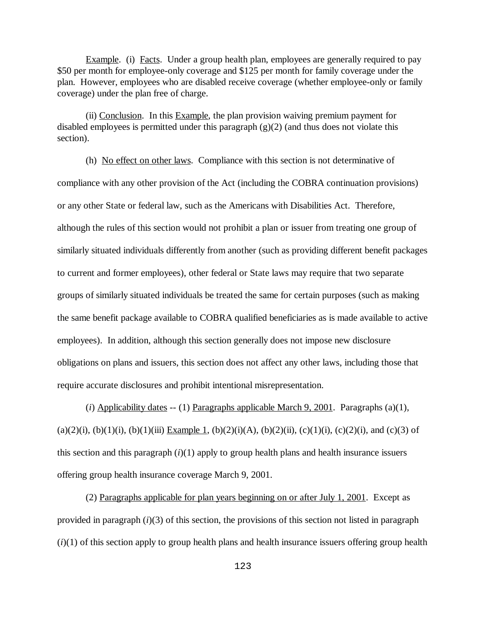Example. (i) Facts. Under a group health plan, employees are generally required to pay \$50 per month for employee-only coverage and \$125 per month for family coverage under the plan. However, employees who are disabled receive coverage (whether employee-only or family coverage) under the plan free of charge.

(ii) Conclusion. In this Example, the plan provision waiving premium payment for disabled employees is permitted under this paragraph (g)(2) (and thus does not violate this section).

(h) No effect on other laws. Compliance with this section is not determinative of compliance with any other provision of the Act (including the COBRA continuation provisions) or any other State or federal law, such as the Americans with Disabilities Act. Therefore, although the rules of this section would not prohibit a plan or issuer from treating one group of similarly situated individuals differently from another (such as providing different benefit packages to current and former employees), other federal or State laws may require that two separate groups of similarly situated individuals be treated the same for certain purposes (such as making the same benefit package available to COBRA qualified beneficiaries as is made available to active employees). In addition, although this section generally does not impose new disclosure obligations on plans and issuers, this section does not affect any other laws, including those that require accurate disclosures and prohibit intentional misrepresentation.

(*i*) Applicability dates -- (1) Paragraphs applicable March 9, 2001. Paragraphs (a)(1), (a)(2)(i), (b)(1)(i), (b)(1)(iii) Example 1, (b)(2)(i)(A), (b)(2)(ii), (c)(1)(i), (c)(2)(i), and (c)(3) of this section and this paragraph  $(i)(1)$  apply to group health plans and health insurance issuers offering group health insurance coverage March 9, 2001.

(2) Paragraphs applicable for plan years beginning on or after July 1, 2001. Except as provided in paragraph (*i*)(3) of this section, the provisions of this section not listed in paragraph (*i*)(1) of this section apply to group health plans and health insurance issuers offering group health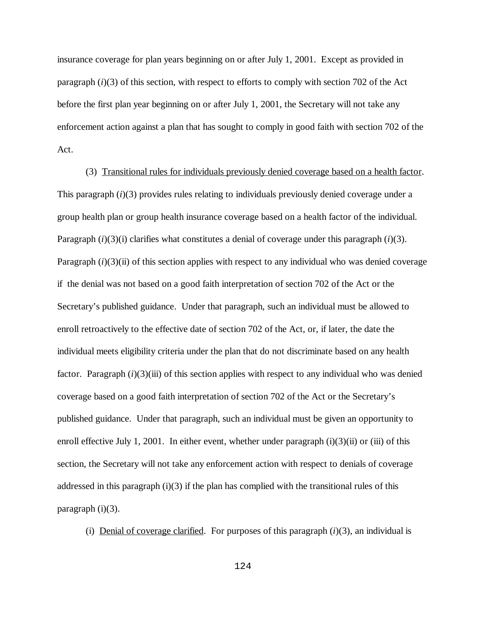insurance coverage for plan years beginning on or after July 1, 2001. Except as provided in paragraph (*i*)(3) of this section, with respect to efforts to comply with section 702 of the Act before the first plan year beginning on or after July 1, 2001, the Secretary will not take any enforcement action against a plan that has sought to comply in good faith with section 702 of the Act.

(3) Transitional rules for individuals previously denied coverage based on a health factor. This paragraph (*i*)(3) provides rules relating to individuals previously denied coverage under a group health plan or group health insurance coverage based on a health factor of the individual. Paragraph  $(i)(3)(i)$  clarifies what constitutes a denial of coverage under this paragraph  $(i)(3)$ . Paragraph  $(i)(3)$ (ii) of this section applies with respect to any individual who was denied coverage if the denial was not based on a good faith interpretation of section 702 of the Act or the Secretary's published guidance. Under that paragraph, such an individual must be allowed to enroll retroactively to the effective date of section 702 of the Act, or, if later, the date the individual meets eligibility criteria under the plan that do not discriminate based on any health factor. Paragraph (*i*)(3)(iii) of this section applies with respect to any individual who was denied coverage based on a good faith interpretation of section 702 of the Act or the Secretary's published guidance. Under that paragraph, such an individual must be given an opportunity to enroll effective July 1, 2001. In either event, whether under paragraph  $(i)(3)(ii)$  or  $(iii)$  of this section, the Secretary will not take any enforcement action with respect to denials of coverage addressed in this paragraph  $(i)(3)$  if the plan has complied with the transitional rules of this paragraph  $(i)(3)$ .

(i) Denial of coverage clarified. For purposes of this paragraph  $(i)(3)$ , an individual is

124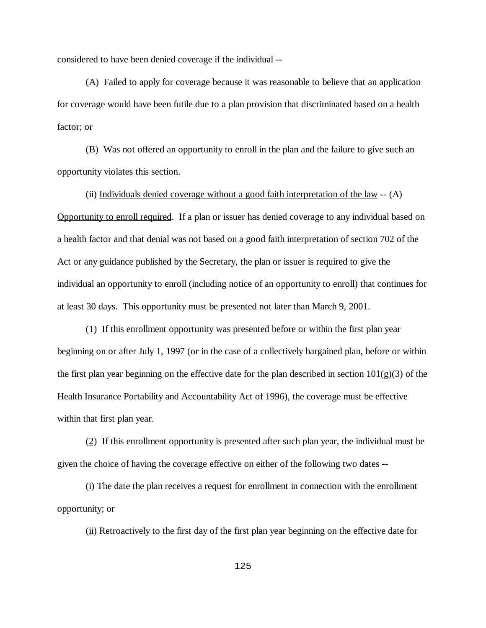considered to have been denied coverage if the individual --

(A) Failed to apply for coverage because it was reasonable to believe that an application for coverage would have been futile due to a plan provision that discriminated based on a health factor; or

(B) Was not offered an opportunity to enroll in the plan and the failure to give such an opportunity violates this section.

(ii) Individuals denied coverage without a good faith interpretation of the law  $-$  (A) Opportunity to enroll required. If a plan or issuer has denied coverage to any individual based on a health factor and that denial was not based on a good faith interpretation of section 702 of the Act or any guidance published by the Secretary, the plan or issuer is required to give the individual an opportunity to enroll (including notice of an opportunity to enroll) that continues for at least 30 days. This opportunity must be presented not later than March 9, 2001.

(1) If this enrollment opportunity was presented before or within the first plan year beginning on or after July 1, 1997 (or in the case of a collectively bargained plan, before or within the first plan year beginning on the effective date for the plan described in section  $101(g)(3)$  of the Health Insurance Portability and Accountability Act of 1996), the coverage must be effective within that first plan year.

(2) If this enrollment opportunity is presented after such plan year, the individual must be given the choice of having the coverage effective on either of the following two dates --

(i) The date the plan receives a request for enrollment in connection with the enrollment opportunity; or

 $(iii)$  Retroactively to the first day of the first plan year beginning on the effective date for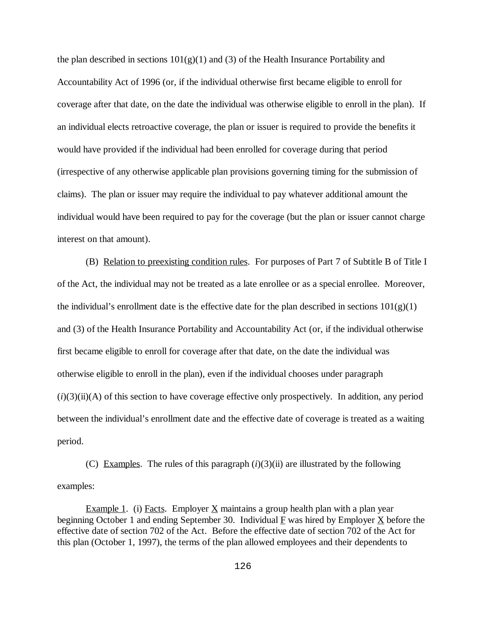the plan described in sections  $101(g)(1)$  and (3) of the Health Insurance Portability and Accountability Act of 1996 (or, if the individual otherwise first became eligible to enroll for coverage after that date, on the date the individual was otherwise eligible to enroll in the plan). If an individual elects retroactive coverage, the plan or issuer is required to provide the benefits it would have provided if the individual had been enrolled for coverage during that period (irrespective of any otherwise applicable plan provisions governing timing for the submission of claims). The plan or issuer may require the individual to pay whatever additional amount the individual would have been required to pay for the coverage (but the plan or issuer cannot charge interest on that amount).

(B) Relation to preexisting condition rules. For purposes of Part 7 of Subtitle B of Title I of the Act, the individual may not be treated as a late enrollee or as a special enrollee. Moreover, the individual's enrollment date is the effective date for the plan described in sections  $101(g)(1)$ and (3) of the Health Insurance Portability and Accountability Act (or, if the individual otherwise first became eligible to enroll for coverage after that date, on the date the individual was otherwise eligible to enroll in the plan), even if the individual chooses under paragraph  $(i)(3)(ii)(A)$  of this section to have coverage effective only prospectively. In addition, any period between the individual's enrollment date and the effective date of coverage is treated as a waiting period.

(C) Examples. The rules of this paragraph  $(i)(3)(ii)$  are illustrated by the following examples:

Example 1. (i) Facts. Employer  $\underline{X}$  maintains a group health plan with a plan year beginning October 1 and ending September 30. Individual F was hired by Employer X before the effective date of section 702 of the Act. Before the effective date of section 702 of the Act for this plan (October 1, 1997), the terms of the plan allowed employees and their dependents to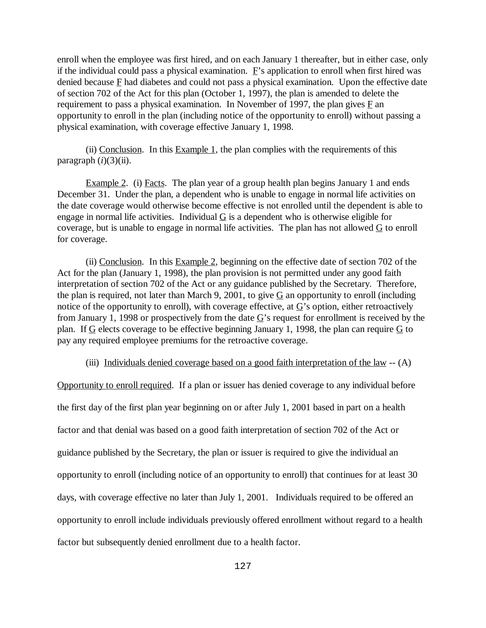enroll when the employee was first hired, and on each January 1 thereafter, but in either case, only if the individual could pass a physical examination. F's application to enroll when first hired was denied because  $E$  had diabetes and could not pass a physical examination. Upon the effective date of section 702 of the Act for this plan (October 1, 1997), the plan is amended to delete the requirement to pass a physical examination. In November of 1997, the plan gives  $\overline{F}$  an opportunity to enroll in the plan (including notice of the opportunity to enroll) without passing a physical examination, with coverage effective January 1, 1998.

(ii) Conclusion. In this Example 1, the plan complies with the requirements of this paragraph  $(i)(3)(ii)$ .

Example 2. (i) Facts. The plan year of a group health plan begins January 1 and ends December 31. Under the plan, a dependent who is unable to engage in normal life activities on the date coverage would otherwise become effective is not enrolled until the dependent is able to engage in normal life activities. Individual  $G$  is a dependent who is otherwise eligible for coverage, but is unable to engage in normal life activities. The plan has not allowed  $G$  to enroll for coverage.

(ii) Conclusion. In this Example 2, beginning on the effective date of section 702 of the Act for the plan (January 1, 1998), the plan provision is not permitted under any good faith interpretation of section 702 of the Act or any guidance published by the Secretary. Therefore, the plan is required, not later than March 9, 2001, to give  $G$  an opportunity to enroll (including notice of the opportunity to enroll), with coverage effective, at  $\underline{G}$ 's option, either retroactively from January 1, 1998 or prospectively from the date  $\underline{G}$ 's request for enrollment is received by the plan. If  $G$  elects coverage to be effective beginning January 1, 1998, the plan can require  $G$  to pay any required employee premiums for the retroactive coverage.

(iii) Individuals denied coverage based on a good faith interpretation of the law  $-$  (A)

Opportunity to enroll required. If a plan or issuer has denied coverage to any individual before the first day of the first plan year beginning on or after July 1, 2001 based in part on a health factor and that denial was based on a good faith interpretation of section 702 of the Act or guidance published by the Secretary, the plan or issuer is required to give the individual an opportunity to enroll (including notice of an opportunity to enroll) that continues for at least 30 days, with coverage effective no later than July 1, 2001. Individuals required to be offered an opportunity to enroll include individuals previously offered enrollment without regard to a health factor but subsequently denied enrollment due to a health factor.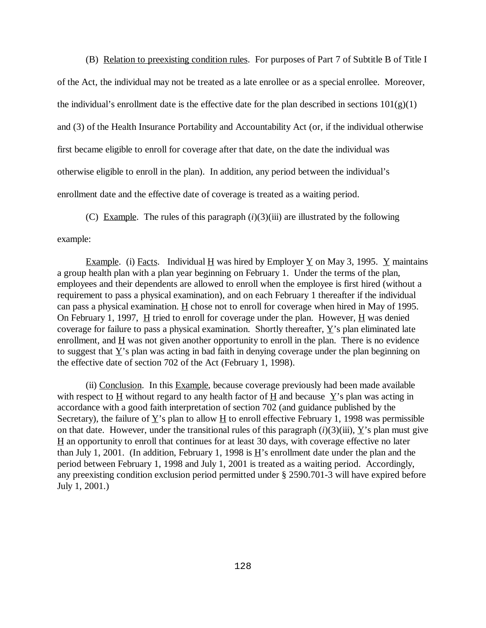(B) Relation to preexisting condition rules. For purposes of Part 7 of Subtitle B of Title I of the Act, the individual may not be treated as a late enrollee or as a special enrollee. Moreover, the individual's enrollment date is the effective date for the plan described in sections  $101(g)(1)$ and (3) of the Health Insurance Portability and Accountability Act (or, if the individual otherwise first became eligible to enroll for coverage after that date, on the date the individual was otherwise eligible to enroll in the plan). In addition, any period between the individual's enrollment date and the effective date of coverage is treated as a waiting period.

(C) Example. The rules of this paragraph  $(i)(3)(iii)$  are illustrated by the following

example:

Example. (i) Facts. Individual H was hired by Employer Y on May 3, 1995. Y maintains a group health plan with a plan year beginning on February 1. Under the terms of the plan, employees and their dependents are allowed to enroll when the employee is first hired (without a requirement to pass a physical examination), and on each February 1 thereafter if the individual can pass a physical examination.  $\underline{H}$  chose not to enroll for coverage when hired in May of 1995. On February 1, 1997,  $H$  tried to enroll for coverage under the plan. However,  $H$  was denied coverage for failure to pass a physical examination. Shortly thereafter,  $\underline{Y}$ 's plan eliminated late enrollment, and  $\underline{H}$  was not given another opportunity to enroll in the plan. There is no evidence to suggest that  $Y$ 's plan was acting in bad faith in denying coverage under the plan beginning on the effective date of section 702 of the Act (February 1, 1998).

(ii) Conclusion. In this Example, because coverage previously had been made available with respect to  $\underline{H}$  without regard to any health factor of  $\underline{H}$  and because  $\underline{Y}$ 's plan was acting in accordance with a good faith interpretation of section 702 (and guidance published by the Secretary), the failure of  $\underline{Y}$ 's plan to allow  $\underline{H}$  to enroll effective February 1, 1998 was permissible on that date. However, under the transitional rules of this paragraph  $(i)(3)(iii)$ , Y's plan must give H an opportunity to enroll that continues for at least 30 days, with coverage effective no later than July 1, 2001. (In addition, February 1, 1998 is  $\underline{H}$ 's enrollment date under the plan and the period between February 1, 1998 and July 1, 2001 is treated as a waiting period. Accordingly, any preexisting condition exclusion period permitted under § 2590.701-3 will have expired before July 1, 2001.)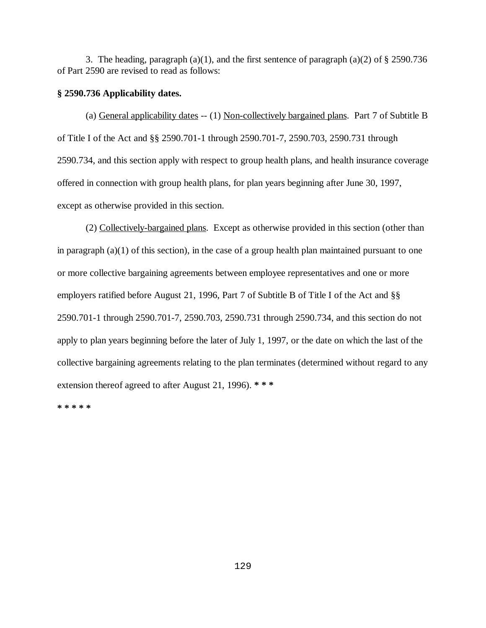3. The heading, paragraph (a)(1), and the first sentence of paragraph (a)(2) of § 2590.736 of Part 2590 are revised to read as follows:

### **§ 2590.736 Applicability dates.**

(a) General applicability dates -- (1) Non-collectively bargained plans. Part 7 of Subtitle B of Title I of the Act and §§ 2590.701-1 through 2590.701-7, 2590.703, 2590.731 through 2590.734, and this section apply with respect to group health plans, and health insurance coverage offered in connection with group health plans, for plan years beginning after June 30, 1997, except as otherwise provided in this section.

(2) Collectively-bargained plans. Except as otherwise provided in this section (other than in paragraph  $(a)(1)$  of this section), in the case of a group health plan maintained pursuant to one or more collective bargaining agreements between employee representatives and one or more employers ratified before August 21, 1996, Part 7 of Subtitle B of Title I of the Act and §§ 2590.701-1 through 2590.701-7, 2590.703, 2590.731 through 2590.734, and this section do not apply to plan years beginning before the later of July 1, 1997, or the date on which the last of the collective bargaining agreements relating to the plan terminates (determined without regard to any extension thereof agreed to after August 21, 1996). **\* \* \***

**\* \* \* \* \***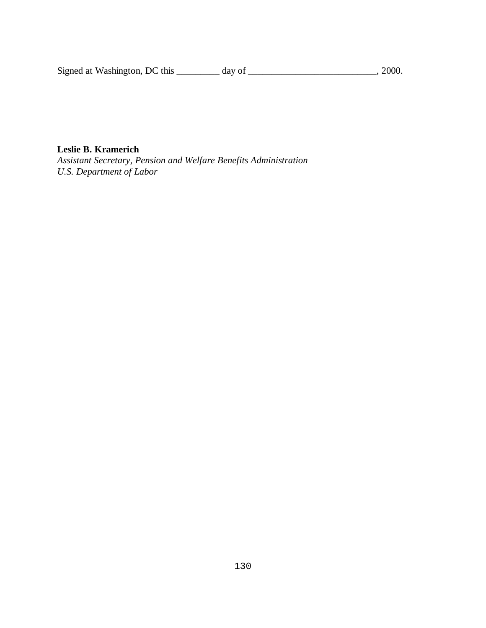Signed at Washington, DC this \_\_\_\_\_\_\_\_\_ day of \_\_\_\_\_\_\_\_\_\_\_\_\_\_\_\_\_\_\_\_\_\_\_\_\_\_, 2000.

# **Leslie B. Kramerich**

*Assistant Secretary, Pension and Welfare Benefits Administration U.S. Department of Labor*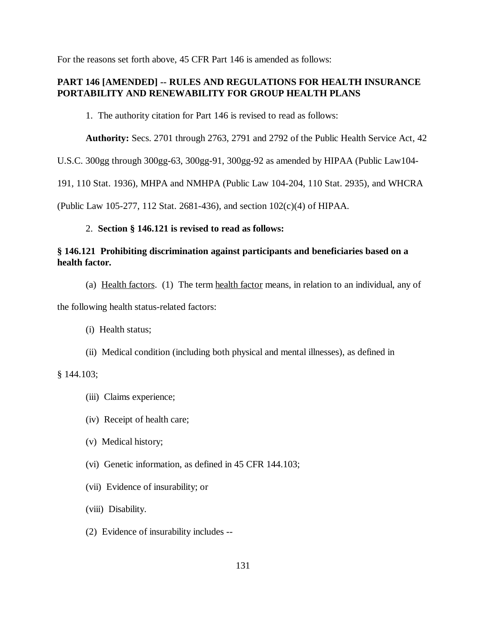For the reasons set forth above, 45 CFR Part 146 is amended as follows:

# **PART 146 [AMENDED] -- RULES AND REGULATIONS FOR HEALTH INSURANCE PORTABILITY AND RENEWABILITY FOR GROUP HEALTH PLANS**

1. The authority citation for Part 146 is revised to read as follows:

**Authority:** Secs. 2701 through 2763, 2791 and 2792 of the Public Health Service Act, 42

U.S.C. 300gg through 300gg-63, 300gg-91, 300gg-92 as amended by HIPAA (Public Law104-

191, 110 Stat. 1936), MHPA and NMHPA (Public Law 104-204, 110 Stat. 2935), and WHCRA

(Public Law 105-277, 112 Stat. 2681-436), and section 102(c)(4) of HIPAA.

### 2. **Section § 146.121 is revised to read as follows:**

### **§ 146.121 Prohibiting discrimination against participants and beneficiaries based on a health factor.**

(a) Health factors. (1) The term health factor means, in relation to an individual, any of

the following health status-related factors:

(i) Health status;

(ii) Medical condition (including both physical and mental illnesses), as defined in

§ 144.103;

- (iii) Claims experience;
- (iv) Receipt of health care;
- (v) Medical history;
- (vi) Genetic information, as defined in 45 CFR 144.103;
- (vii) Evidence of insurability; or
- (viii) Disability.
- (2) Evidence of insurability includes --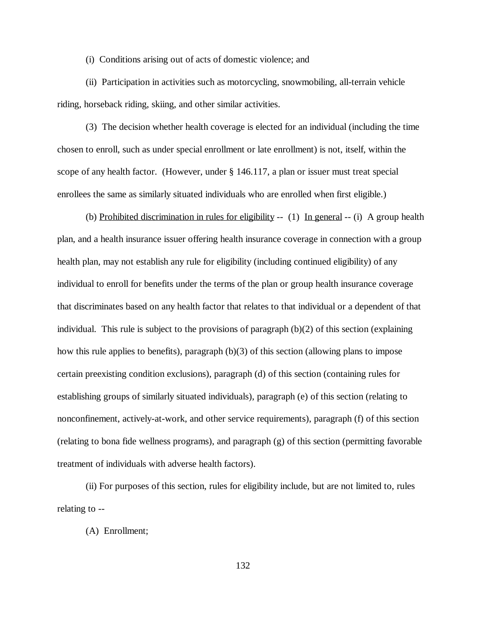(i) Conditions arising out of acts of domestic violence; and

(ii) Participation in activities such as motorcycling, snowmobiling, all-terrain vehicle riding, horseback riding, skiing, and other similar activities.

(3) The decision whether health coverage is elected for an individual (including the time chosen to enroll, such as under special enrollment or late enrollment) is not, itself, within the scope of any health factor. (However, under § 146.117, a plan or issuer must treat special enrollees the same as similarly situated individuals who are enrolled when first eligible.)

(b) Prohibited discrimination in rules for eligibility  $-(-1)$  In general  $-(-i)$  A group health plan, and a health insurance issuer offering health insurance coverage in connection with a group health plan, may not establish any rule for eligibility (including continued eligibility) of any individual to enroll for benefits under the terms of the plan or group health insurance coverage that discriminates based on any health factor that relates to that individual or a dependent of that individual. This rule is subject to the provisions of paragraph (b)(2) of this section (explaining how this rule applies to benefits), paragraph (b)(3) of this section (allowing plans to impose certain preexisting condition exclusions), paragraph (d) of this section (containing rules for establishing groups of similarly situated individuals), paragraph (e) of this section (relating to nonconfinement, actively-at-work, and other service requirements), paragraph (f) of this section (relating to bona fide wellness programs), and paragraph (g) of this section (permitting favorable treatment of individuals with adverse health factors).

(ii) For purposes of this section, rules for eligibility include, but are not limited to, rules relating to --

(A) Enrollment;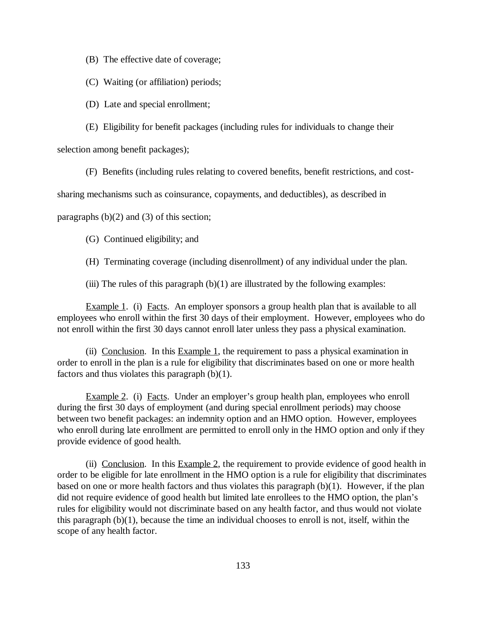(B) The effective date of coverage;

(C) Waiting (or affiliation) periods;

(D) Late and special enrollment;

(E) Eligibility for benefit packages (including rules for individuals to change their

selection among benefit packages);

(F) Benefits (including rules relating to covered benefits, benefit restrictions, and cost-

sharing mechanisms such as coinsurance, copayments, and deductibles), as described in

paragraphs (b)(2) and (3) of this section;

(G) Continued eligibility; and

(H) Terminating coverage (including disenrollment) of any individual under the plan.

(iii) The rules of this paragraph  $(b)(1)$  are illustrated by the following examples:

Example 1. (i) Facts. An employer sponsors a group health plan that is available to all employees who enroll within the first 30 days of their employment. However, employees who do not enroll within the first 30 days cannot enroll later unless they pass a physical examination.

(ii) Conclusion. In this Example 1, the requirement to pass a physical examination in order to enroll in the plan is a rule for eligibility that discriminates based on one or more health factors and thus violates this paragraph (b)(1).

Example 2. (i) Facts. Under an employer's group health plan, employees who enroll during the first 30 days of employment (and during special enrollment periods) may choose between two benefit packages: an indemnity option and an HMO option. However, employees who enroll during late enrollment are permitted to enroll only in the HMO option and only if they provide evidence of good health.

(ii) Conclusion. In this  $Example 2$ , the requirement to provide evidence of good health in order to be eligible for late enrollment in the HMO option is a rule for eligibility that discriminates based on one or more health factors and thus violates this paragraph (b)(1). However, if the plan did not require evidence of good health but limited late enrollees to the HMO option, the plan's rules for eligibility would not discriminate based on any health factor, and thus would not violate this paragraph (b)(1), because the time an individual chooses to enroll is not, itself, within the scope of any health factor.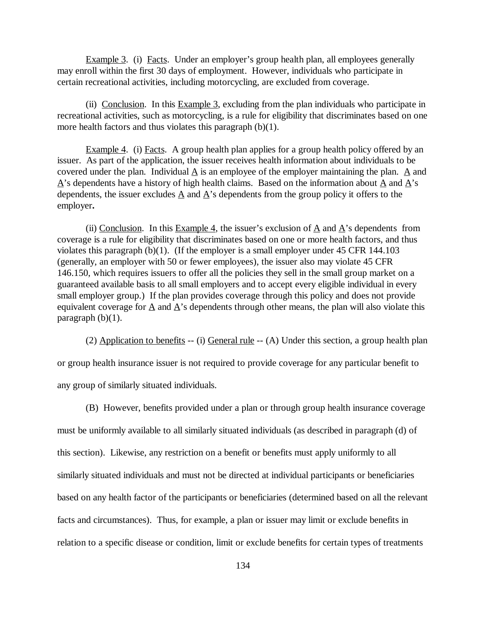Example 3. (i) Facts. Under an employer's group health plan, all employees generally may enroll within the first 30 days of employment. However, individuals who participate in certain recreational activities, including motorcycling, are excluded from coverage.

(ii) Conclusion. In this Example 3, excluding from the plan individuals who participate in recreational activities, such as motorcycling, is a rule for eligibility that discriminates based on one more health factors and thus violates this paragraph (b)(1).

Example 4. (i) Facts. A group health plan applies for a group health policy offered by an issuer. As part of the application, the issuer receives health information about individuals to be covered under the plan. Individual A is an employee of the employer maintaining the plan. A and  $\Delta$ 's dependents have a history of high health claims. Based on the information about  $\Delta$  and  $\Delta$ 's dependents, the issuer excludes  $\triangle$  and  $\triangle$ 's dependents from the group policy it offers to the employer**.**

(ii) Conclusion. In this Example 4, the issuer's exclusion of  $\underline{A}$  and  $\underline{A}$ 's dependents from coverage is a rule for eligibility that discriminates based on one or more health factors, and thus violates this paragraph (b)(1). (If the employer is a small employer under 45 CFR 144.103 (generally, an employer with 50 or fewer employees), the issuer also may violate 45 CFR 146.150, which requires issuers to offer all the policies they sell in the small group market on a guaranteed available basis to all small employers and to accept every eligible individual in every small employer group.) If the plan provides coverage through this policy and does not provide equivalent coverage for A and A's dependents through other means, the plan will also violate this paragraph  $(b)(1)$ .

(2) Application to benefits  $-$  (i) General rule  $-$  (A) Under this section, a group health plan or group health insurance issuer is not required to provide coverage for any particular benefit to any group of similarly situated individuals.

(B) However, benefits provided under a plan or through group health insurance coverage must be uniformly available to all similarly situated individuals (as described in paragraph (d) of this section). Likewise, any restriction on a benefit or benefits must apply uniformly to all similarly situated individuals and must not be directed at individual participants or beneficiaries based on any health factor of the participants or beneficiaries (determined based on all the relevant facts and circumstances). Thus, for example, a plan or issuer may limit or exclude benefits in relation to a specific disease or condition, limit or exclude benefits for certain types of treatments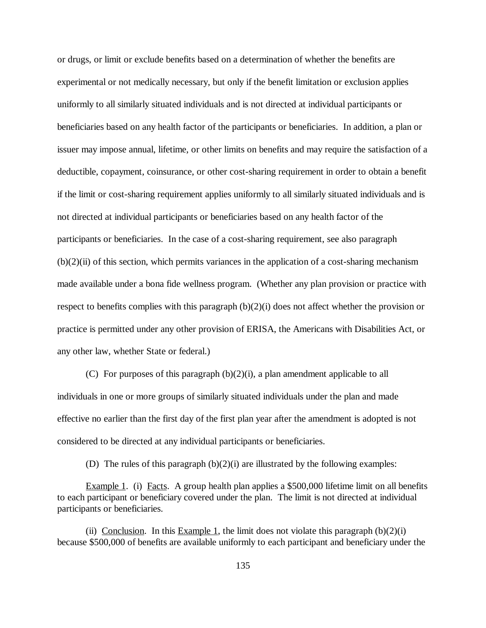or drugs, or limit or exclude benefits based on a determination of whether the benefits are experimental or not medically necessary, but only if the benefit limitation or exclusion applies uniformly to all similarly situated individuals and is not directed at individual participants or beneficiaries based on any health factor of the participants or beneficiaries. In addition, a plan or issuer may impose annual, lifetime, or other limits on benefits and may require the satisfaction of a deductible, copayment, coinsurance, or other cost-sharing requirement in order to obtain a benefit if the limit or cost-sharing requirement applies uniformly to all similarly situated individuals and is not directed at individual participants or beneficiaries based on any health factor of the participants or beneficiaries. In the case of a cost-sharing requirement, see also paragraph  $(b)(2)(ii)$  of this section, which permits variances in the application of a cost-sharing mechanism made available under a bona fide wellness program. (Whether any plan provision or practice with respect to benefits complies with this paragraph (b)(2)(i) does not affect whether the provision or practice is permitted under any other provision of ERISA, the Americans with Disabilities Act, or any other law, whether State or federal.)

(C) For purposes of this paragraph  $(b)(2)(i)$ , a plan amendment applicable to all individuals in one or more groups of similarly situated individuals under the plan and made effective no earlier than the first day of the first plan year after the amendment is adopted is not considered to be directed at any individual participants or beneficiaries.

(D) The rules of this paragraph (b)(2)(i) are illustrated by the following examples:

Example 1. (i) Facts. A group health plan applies a \$500,000 lifetime limit on all benefits to each participant or beneficiary covered under the plan. The limit is not directed at individual participants or beneficiaries.

(ii) Conclusion. In this Example 1, the limit does not violate this paragraph  $(b)(2)(i)$ because \$500,000 of benefits are available uniformly to each participant and beneficiary under the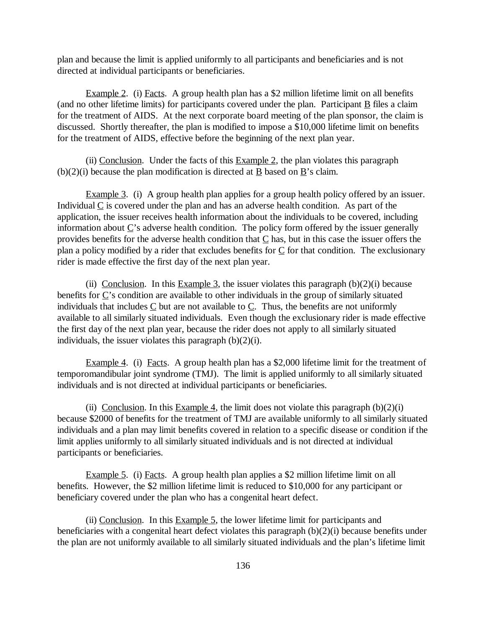plan and because the limit is applied uniformly to all participants and beneficiaries and is not directed at individual participants or beneficiaries.

Example 2. (i) Facts. A group health plan has a \$2 million lifetime limit on all benefits (and no other lifetime limits) for participants covered under the plan. Participant  $\underline{B}$  files a claim for the treatment of AIDS. At the next corporate board meeting of the plan sponsor, the claim is discussed. Shortly thereafter, the plan is modified to impose a \$10,000 lifetime limit on benefits for the treatment of AIDS, effective before the beginning of the next plan year.

(ii) Conclusion. Under the facts of this  $Example 2$ , the plan violates this paragraph  $(b)(2)(i)$  because the plan modification is directed at B based on B's claim.

Example 3. (i) A group health plan applies for a group health policy offered by an issuer. Individual  $C$  is covered under the plan and has an adverse health condition. As part of the application, the issuer receives health information about the individuals to be covered, including information about C's adverse health condition. The policy form offered by the issuer generally provides benefits for the adverse health condition that  $C$  has, but in this case the issuer offers the plan a policy modified by a rider that excludes benefits for  $C$  for that condition. The exclusionary rider is made effective the first day of the next plan year.

(ii) Conclusion. In this Example 3, the issuer violates this paragraph  $(b)(2)(i)$  because benefits for  $\underline{C}$ 's condition are available to other individuals in the group of similarly situated individuals that includes  $C$  but are not available to  $C$ . Thus, the benefits are not uniformly available to all similarly situated individuals. Even though the exclusionary rider is made effective the first day of the next plan year, because the rider does not apply to all similarly situated individuals, the issuer violates this paragraph (b)(2)(i).

Example 4. (i) Facts. A group health plan has a \$2,000 lifetime limit for the treatment of temporomandibular joint syndrome (TMJ). The limit is applied uniformly to all similarly situated individuals and is not directed at individual participants or beneficiaries.

(ii) Conclusion. In this Example 4, the limit does not violate this paragraph  $(b)(2)(i)$ because \$2000 of benefits for the treatment of TMJ are available uniformly to all similarly situated individuals and a plan may limit benefits covered in relation to a specific disease or condition if the limit applies uniformly to all similarly situated individuals and is not directed at individual participants or beneficiaries.

Example 5. (i) Facts. A group health plan applies a \$2 million lifetime limit on all benefits. However, the \$2 million lifetime limit is reduced to \$10,000 for any participant or beneficiary covered under the plan who has a congenital heart defect.

(ii) Conclusion. In this Example 5, the lower lifetime limit for participants and beneficiaries with a congenital heart defect violates this paragraph (b)(2)(i) because benefits under the plan are not uniformly available to all similarly situated individuals and the plan's lifetime limit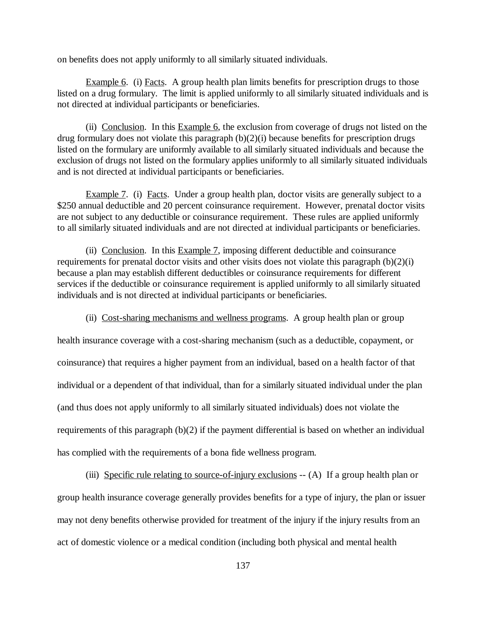on benefits does not apply uniformly to all similarly situated individuals.

Example 6. (i) Facts. A group health plan limits benefits for prescription drugs to those listed on a drug formulary. The limit is applied uniformly to all similarly situated individuals and is not directed at individual participants or beneficiaries.

(ii) Conclusion. In this Example 6, the exclusion from coverage of drugs not listed on the drug formulary does not violate this paragraph (b)(2)(i) because benefits for prescription drugs listed on the formulary are uniformly available to all similarly situated individuals and because the exclusion of drugs not listed on the formulary applies uniformly to all similarly situated individuals and is not directed at individual participants or beneficiaries.

Example 7. (i) Facts. Under a group health plan, doctor visits are generally subject to a \$250 annual deductible and 20 percent coinsurance requirement. However, prenatal doctor visits are not subject to any deductible or coinsurance requirement. These rules are applied uniformly to all similarly situated individuals and are not directed at individual participants or beneficiaries.

(ii) Conclusion. In this Example 7, imposing different deductible and coinsurance requirements for prenatal doctor visits and other visits does not violate this paragraph (b)(2)(i) because a plan may establish different deductibles or coinsurance requirements for different services if the deductible or coinsurance requirement is applied uniformly to all similarly situated individuals and is not directed at individual participants or beneficiaries.

(ii) Cost-sharing mechanisms and wellness programs. A group health plan or group

health insurance coverage with a cost-sharing mechanism (such as a deductible, copayment, or coinsurance) that requires a higher payment from an individual, based on a health factor of that individual or a dependent of that individual, than for a similarly situated individual under the plan (and thus does not apply uniformly to all similarly situated individuals) does not violate the requirements of this paragraph (b)(2) if the payment differential is based on whether an individual has complied with the requirements of a bona fide wellness program.

(iii) Specific rule relating to source-of-injury exclusions -- (A) If a group health plan or group health insurance coverage generally provides benefits for a type of injury, the plan or issuer may not deny benefits otherwise provided for treatment of the injury if the injury results from an act of domestic violence or a medical condition (including both physical and mental health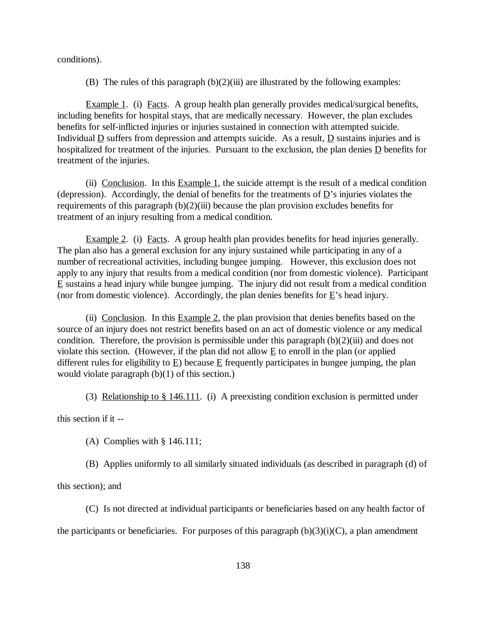conditions).

(B) The rules of this paragraph  $(b)(2)(iii)$  are illustrated by the following examples:

Example 1. (i) Facts. A group health plan generally provides medical/surgical benefits, including benefits for hospital stays, that are medically necessary. However, the plan excludes benefits for self-inflicted injuries or injuries sustained in connection with attempted suicide. Individual  $\underline{D}$  suffers from depression and attempts suicide. As a result,  $\underline{D}$  sustains injuries and is hospitalized for treatment of the injuries. Pursuant to the exclusion, the plan denies D benefits for treatment of the injuries.

(ii) Conclusion. In this Example 1, the suicide attempt is the result of a medical condition (depression). Accordingly, the denial of benefits for the treatments of  $D$ 's injuries violates the requirements of this paragraph  $(b)(2)(iii)$  because the plan provision excludes benefits for treatment of an injury resulting from a medical condition.

Example 2. (i) Facts. A group health plan provides benefits for head injuries generally. The plan also has a general exclusion for any injury sustained while participating in any of a number of recreational activities, including bungee jumping. However, this exclusion does not apply to any injury that results from a medical condition (nor from domestic violence). Participant E sustains a head injury while bungee jumping. The injury did not result from a medical condition (nor from domestic violence). Accordingly, the plan denies benefits for  $E$ 's head injury.

(ii) Conclusion. In this Example 2, the plan provision that denies benefits based on the source of an injury does not restrict benefits based on an act of domestic violence or any medical condition. Therefore, the provision is permissible under this paragraph  $(b)(2)(iii)$  and does not violate this section. (However, if the plan did not allow E to enroll in the plan (or applied different rules for eligibility to E) because E frequently participates in bungee jumping, the plan would violate paragraph (b)(1) of this section.)

(3) Relationship to  $\S 146.111$ . (i) A preexisting condition exclusion is permitted under

this section if it --

(A) Complies with § 146.111;

(B) Applies uniformly to all similarly situated individuals (as described in paragraph (d) of

this section); and

(C) Is not directed at individual participants or beneficiaries based on any health factor of the participants or beneficiaries. For purposes of this paragraph  $(b)(3)(i)(C)$ , a plan amendment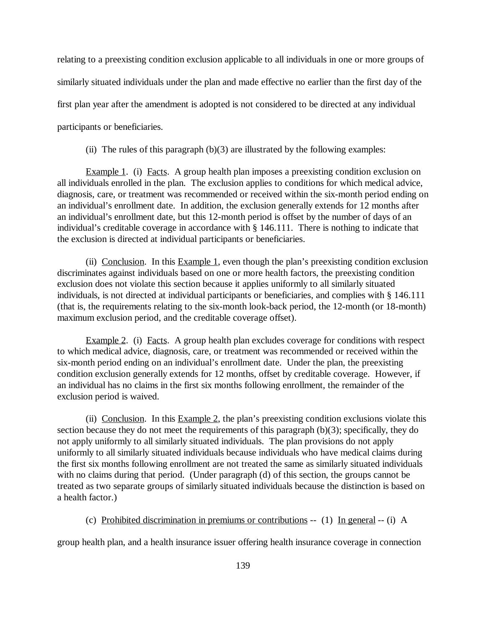relating to a preexisting condition exclusion applicable to all individuals in one or more groups of similarly situated individuals under the plan and made effective no earlier than the first day of the first plan year after the amendment is adopted is not considered to be directed at any individual participants or beneficiaries.

(ii) The rules of this paragraph  $(b)(3)$  are illustrated by the following examples:

Example 1. (i) Facts. A group health plan imposes a preexisting condition exclusion on all individuals enrolled in the plan. The exclusion applies to conditions for which medical advice, diagnosis, care, or treatment was recommended or received within the six-month period ending on an individual's enrollment date. In addition, the exclusion generally extends for 12 months after an individual's enrollment date, but this 12-month period is offset by the number of days of an individual's creditable coverage in accordance with § 146.111. There is nothing to indicate that the exclusion is directed at individual participants or beneficiaries.

(ii) Conclusion. In this  $Example 1$ , even though the plan's preexisting condition exclusion discriminates against individuals based on one or more health factors, the preexisting condition exclusion does not violate this section because it applies uniformly to all similarly situated individuals, is not directed at individual participants or beneficiaries, and complies with § 146.111 (that is, the requirements relating to the six-month look-back period, the 12-month (or 18-month) maximum exclusion period, and the creditable coverage offset).

Example 2. (i) Facts. A group health plan excludes coverage for conditions with respect to which medical advice, diagnosis, care, or treatment was recommended or received within the six-month period ending on an individual's enrollment date. Under the plan, the preexisting condition exclusion generally extends for 12 months, offset by creditable coverage. However, if an individual has no claims in the first six months following enrollment, the remainder of the exclusion period is waived.

(ii) Conclusion. In this Example 2, the plan's preexisting condition exclusions violate this section because they do not meet the requirements of this paragraph (b)(3); specifically, they do not apply uniformly to all similarly situated individuals. The plan provisions do not apply uniformly to all similarly situated individuals because individuals who have medical claims during the first six months following enrollment are not treated the same as similarly situated individuals with no claims during that period. (Under paragraph (d) of this section, the groups cannot be treated as two separate groups of similarly situated individuals because the distinction is based on a health factor.)

(c) Prohibited discrimination in premiums or contributions -- (1) In general -- (i) A

group health plan, and a health insurance issuer offering health insurance coverage in connection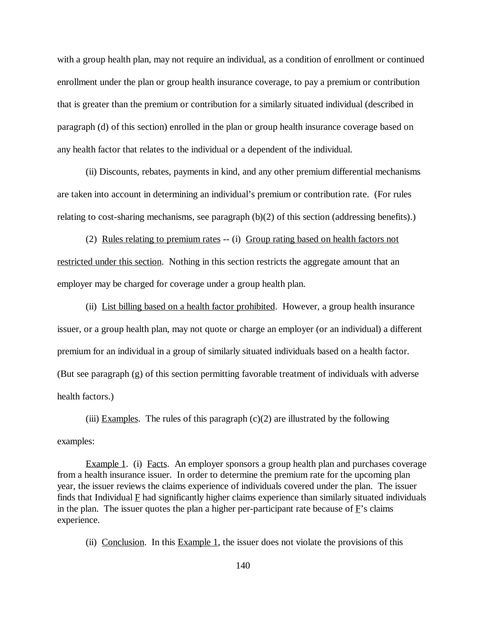with a group health plan, may not require an individual, as a condition of enrollment or continued enrollment under the plan or group health insurance coverage, to pay a premium or contribution that is greater than the premium or contribution for a similarly situated individual (described in paragraph (d) of this section) enrolled in the plan or group health insurance coverage based on any health factor that relates to the individual or a dependent of the individual.

 (ii) Discounts, rebates, payments in kind, and any other premium differential mechanisms are taken into account in determining an individual's premium or contribution rate. (For rules relating to cost-sharing mechanisms, see paragraph (b)(2) of this section (addressing benefits).)

(2) Rules relating to premium rates -- (i) Group rating based on health factors not restricted under this section. Nothing in this section restricts the aggregate amount that an employer may be charged for coverage under a group health plan.

(ii) List billing based on a health factor prohibited. However, a group health insurance issuer, or a group health plan, may not quote or charge an employer (or an individual) a different premium for an individual in a group of similarly situated individuals based on a health factor. (But see paragraph (g) of this section permitting favorable treatment of individuals with adverse health factors.)

(iii) Examples. The rules of this paragraph  $(c)(2)$  are illustrated by the following examples:

Example 1. (i) Facts. An employer sponsors a group health plan and purchases coverage from a health insurance issuer. In order to determine the premium rate for the upcoming plan year, the issuer reviews the claims experience of individuals covered under the plan. The issuer finds that Individual  $E$  had significantly higher claims experience than similarly situated individuals in the plan. The issuer quotes the plan a higher per-participant rate because of  $\vec{F}$ 's claims experience.

(ii) Conclusion. In this Example 1, the issuer does not violate the provisions of this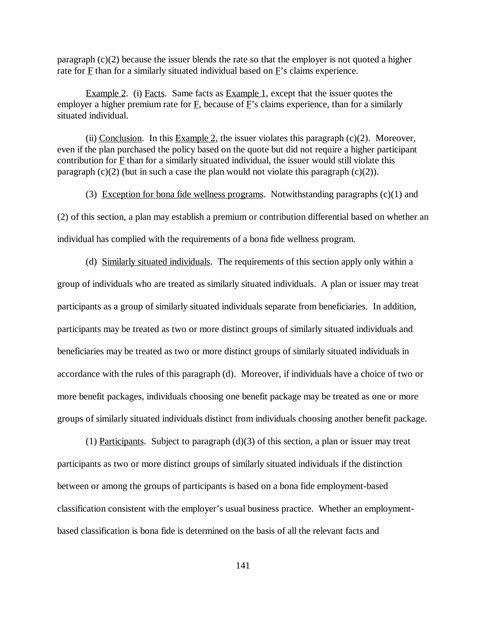paragraph (c)(2) because the issuer blends the rate so that the employer is not quoted a higher rate for F than for a similarly situated individual based on F's claims experience.

Example 2. (i) Facts. Same facts as Example 1, except that the issuer quotes the employer a higher premium rate for  $\overline{F}$ , because of  $\overline{F}$ 's claims experience, than for a similarly situated individual.

(ii) Conclusion. In this Example 2, the issuer violates this paragraph  $(c)(2)$ . Moreover, even if the plan purchased the policy based on the quote but did not require a higher participant contribution for F than for a similarly situated individual, the issuer would still violate this paragraph  $(c)(2)$  (but in such a case the plan would not violate this paragraph  $(c)(2)$ ).

(3) Exception for bona fide wellness programs. Notwithstanding paragraphs  $(c)(1)$  and

(2) of this section, a plan may establish a premium or contribution differential based on whether an individual has complied with the requirements of a bona fide wellness program.

(d) Similarly situated individuals. The requirements of this section apply only within a group of individuals who are treated as similarly situated individuals. A plan or issuer may treat participants as a group of similarly situated individuals separate from beneficiaries. In addition, participants may be treated as two or more distinct groups of similarly situated individuals and beneficiaries may be treated as two or more distinct groups of similarly situated individuals in accordance with the rules of this paragraph (d). Moreover, if individuals have a choice of two or more benefit packages, individuals choosing one benefit package may be treated as one or more groups of similarly situated individuals distinct from individuals choosing another benefit package.

(1) Participants. Subject to paragraph  $(d)(3)$  of this section, a plan or issuer may treat participants as two or more distinct groups of similarly situated individuals if the distinction between or among the groups of participants is based on a bona fide employment-based classification consistent with the employer's usual business practice. Whether an employmentbased classification is bona fide is determined on the basis of all the relevant facts and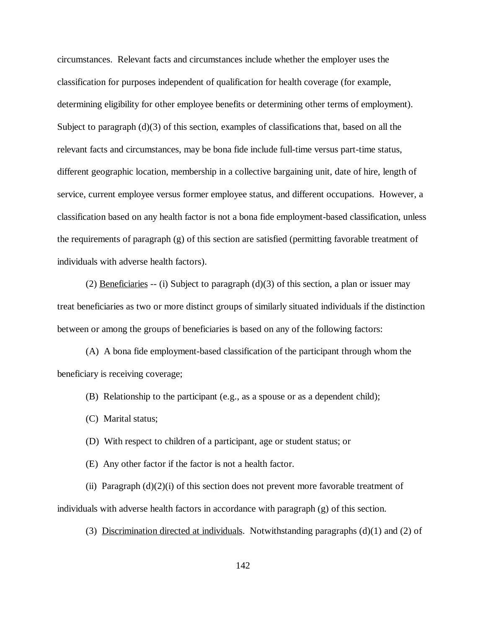circumstances. Relevant facts and circumstances include whether the employer uses the classification for purposes independent of qualification for health coverage (for example, determining eligibility for other employee benefits or determining other terms of employment). Subject to paragraph (d)(3) of this section, examples of classifications that, based on all the relevant facts and circumstances, may be bona fide include full-time versus part-time status, different geographic location, membership in a collective bargaining unit, date of hire, length of service, current employee versus former employee status, and different occupations. However, a classification based on any health factor is not a bona fide employment-based classification, unless the requirements of paragraph  $(g)$  of this section are satisfied (permitting favorable treatment of individuals with adverse health factors).

(2) Beneficiaries -- (i) Subject to paragraph (d)(3) of this section, a plan or issuer may treat beneficiaries as two or more distinct groups of similarly situated individuals if the distinction between or among the groups of beneficiaries is based on any of the following factors:

(A) A bona fide employment-based classification of the participant through whom the beneficiary is receiving coverage;

- (B) Relationship to the participant (e.g., as a spouse or as a dependent child);
- (C) Marital status;
- (D) With respect to children of a participant, age or student status; or
- (E) Any other factor if the factor is not a health factor.

(ii) Paragraph  $(d)(2)(i)$  of this section does not prevent more favorable treatment of individuals with adverse health factors in accordance with paragraph (g) of this section.

(3) Discrimination directed at individuals. Notwithstanding paragraphs (d)(1) and (2) of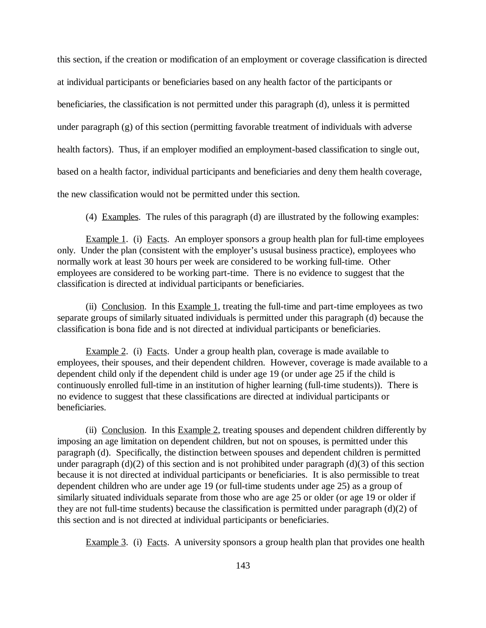this section, if the creation or modification of an employment or coverage classification is directed at individual participants or beneficiaries based on any health factor of the participants or beneficiaries, the classification is not permitted under this paragraph (d), unless it is permitted under paragraph (g) of this section (permitting favorable treatment of individuals with adverse health factors). Thus, if an employer modified an employment-based classification to single out, based on a health factor, individual participants and beneficiaries and deny them health coverage, the new classification would not be permitted under this section.

(4) Examples. The rules of this paragraph (d) are illustrated by the following examples:

Example 1. (i) Facts. An employer sponsors a group health plan for full-time employees only. Under the plan (consistent with the employer's ususal business practice), employees who normally work at least 30 hours per week are considered to be working full-time. Other employees are considered to be working part-time. There is no evidence to suggest that the classification is directed at individual participants or beneficiaries.

(ii) Conclusion. In this Example 1, treating the full-time and part-time employees as two separate groups of similarly situated individuals is permitted under this paragraph (d) because the classification is bona fide and is not directed at individual participants or beneficiaries.

Example 2. (i) Facts. Under a group health plan, coverage is made available to employees, their spouses, and their dependent children. However, coverage is made available to a dependent child only if the dependent child is under age 19 (or under age 25 if the child is continuously enrolled full-time in an institution of higher learning (full-time students)). There is no evidence to suggest that these classifications are directed at individual participants or beneficiaries.

(ii) Conclusion. In this Example 2, treating spouses and dependent children differently by imposing an age limitation on dependent children, but not on spouses, is permitted under this paragraph (d). Specifically, the distinction between spouses and dependent children is permitted under paragraph (d)(2) of this section and is not prohibited under paragraph (d)(3) of this section because it is not directed at individual participants or beneficiaries. It is also permissible to treat dependent children who are under age 19 (or full-time students under age 25) as a group of similarly situated individuals separate from those who are age 25 or older (or age 19 or older if they are not full-time students) because the classification is permitted under paragraph (d)(2) of this section and is not directed at individual participants or beneficiaries.

Example 3. (i) Facts. A university sponsors a group health plan that provides one health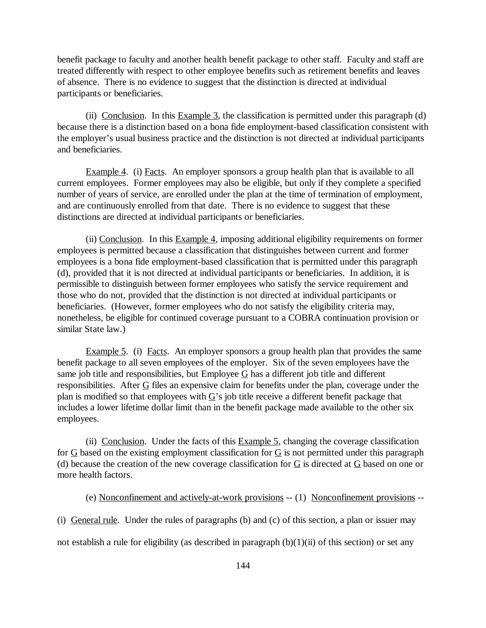benefit package to faculty and another health benefit package to other staff. Faculty and staff are treated differently with respect to other employee benefits such as retirement benefits and leaves of absence. There is no evidence to suggest that the distinction is directed at individual participants or beneficiaries.

(ii) Conclusion. In this Example 3, the classification is permitted under this paragraph (d) because there is a distinction based on a bona fide employment-based classification consistent with the employer's usual business practice and the distinction is not directed at individual participants and beneficiaries.

Example 4. (i) Facts. An employer sponsors a group health plan that is available to all current employees. Former employees may also be eligible, but only if they complete a specified number of years of service, are enrolled under the plan at the time of termination of employment, and are continuously enrolled from that date. There is no evidence to suggest that these distinctions are directed at individual participants or beneficiaries.

(ii) Conclusion. In this Example 4, imposing additional eligibility requirements on former employees is permitted because a classification that distinguishes between current and former employees is a bona fide employment-based classification that is permitted under this paragraph (d), provided that it is not directed at individual participants or beneficiaries. In addition, it is permissible to distinguish between former employees who satisfy the service requirement and those who do not, provided that the distinction is not directed at individual participants or beneficiaries. (However, former employees who do not satisfy the eligibility criteria may, nonetheless, be eligible for continued coverage pursuant to a COBRA continuation provision or similar State law.)

Example 5. (i) Facts. An employer sponsors a group health plan that provides the same benefit package to all seven employees of the employer. Six of the seven employees have the same job title and responsibilities, but Employee  $G$  has a different job title and different responsibilities. After  $G$  files an expensive claim for benefits under the plan, coverage under the plan is modified so that employees with  $\underline{G}$ 's job title receive a different benefit package that includes a lower lifetime dollar limit than in the benefit package made available to the other six employees.

(ii) Conclusion. Under the facts of this Example 5, changing the coverage classification for  $G$  based on the existing employment classification for  $G$  is not permitted under this paragraph (d) because the creation of the new coverage classification for G is directed at G based on one or more health factors.

(e) Nonconfinement and actively-at-work provisions -- (1) Nonconfinement provisions --

(i) General rule. Under the rules of paragraphs (b) and (c) of this section, a plan or issuer may

not establish a rule for eligibility (as described in paragraph  $(b)(1)(ii)$  of this section) or set any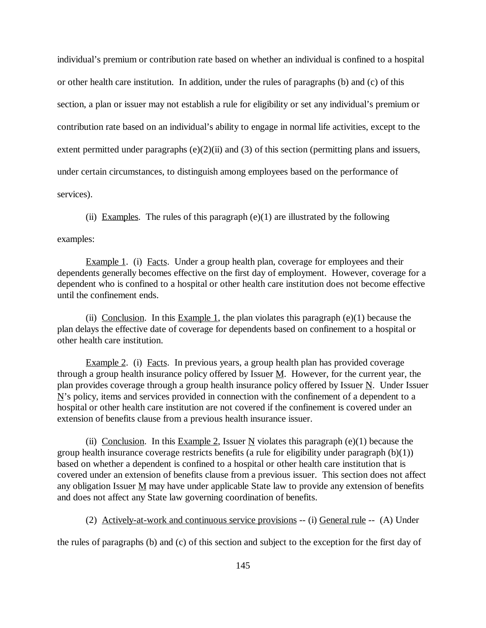individual's premium or contribution rate based on whether an individual is confined to a hospital or other health care institution. In addition, under the rules of paragraphs (b) and (c) of this section, a plan or issuer may not establish a rule for eligibility or set any individual's premium or contribution rate based on an individual's ability to engage in normal life activities, except to the extent permitted under paragraphs  $(e)(2)(ii)$  and  $(3)$  of this section (permitting plans and issuers, under certain circumstances, to distinguish among employees based on the performance of services).

(ii) Examples. The rules of this paragraph  $(e)(1)$  are illustrated by the following

examples:

Example 1. (i) Facts. Under a group health plan, coverage for employees and their dependents generally becomes effective on the first day of employment. However, coverage for a dependent who is confined to a hospital or other health care institution does not become effective until the confinement ends.

(ii) Conclusion. In this Example 1, the plan violates this paragraph  $(e)(1)$  because the plan delays the effective date of coverage for dependents based on confinement to a hospital or other health care institution.

Example 2. (i) Facts. In previous years, a group health plan has provided coverage through a group health insurance policy offered by Issuer  $M$ . However, for the current year, the plan provides coverage through a group health insurance policy offered by Issuer  $N$ . Under Issuer  $N$ 's policy, items and services provided in connection with the confinement of a dependent to a hospital or other health care institution are not covered if the confinement is covered under an extension of benefits clause from a previous health insurance issuer.

(ii) Conclusion. In this Example 2, Issuer N violates this paragraph  $(e)(1)$  because the group health insurance coverage restricts benefits (a rule for eligibility under paragraph (b)(1)) based on whether a dependent is confined to a hospital or other health care institution that is covered under an extension of benefits clause from a previous issuer. This section does not affect any obligation Issuer  $M$  may have under applicable State law to provide any extension of benefits and does not affect any State law governing coordination of benefits.

(2) Actively-at-work and continuous service provisions -- (i) General rule -- (A) Under

the rules of paragraphs (b) and (c) of this section and subject to the exception for the first day of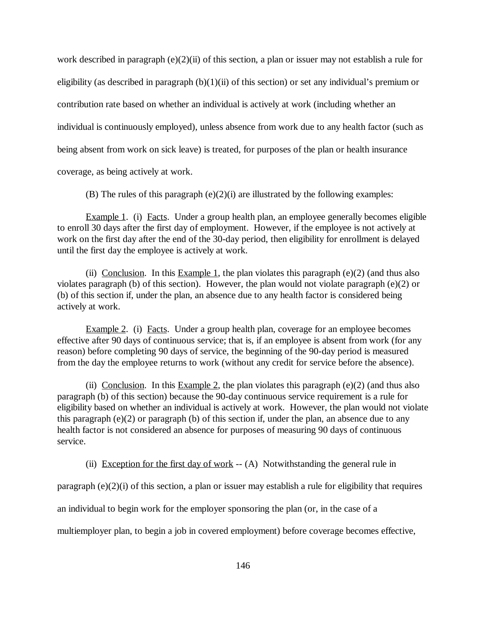work described in paragraph (e)(2)(ii) of this section, a plan or issuer may not establish a rule for eligibility (as described in paragraph  $(b)(1)(ii)$  of this section) or set any individual's premium or contribution rate based on whether an individual is actively at work (including whether an individual is continuously employed), unless absence from work due to any health factor (such as being absent from work on sick leave) is treated, for purposes of the plan or health insurance

coverage, as being actively at work.

(B) The rules of this paragraph  $(e)(2)(i)$  are illustrated by the following examples:

Example 1. (i) Facts. Under a group health plan, an employee generally becomes eligible to enroll 30 days after the first day of employment. However, if the employee is not actively at work on the first day after the end of the 30-day period, then eligibility for enrollment is delayed until the first day the employee is actively at work.

(ii) Conclusion. In this Example 1, the plan violates this paragraph  $(e)(2)$  (and thus also violates paragraph (b) of this section). However, the plan would not violate paragraph (e)(2) or (b) of this section if, under the plan, an absence due to any health factor is considered being actively at work.

Example 2. (i) Facts. Under a group health plan, coverage for an employee becomes effective after 90 days of continuous service; that is, if an employee is absent from work (for any reason) before completing 90 days of service, the beginning of the 90-day period is measured from the day the employee returns to work (without any credit for service before the absence).

(ii) Conclusion. In this Example 2, the plan violates this paragraph (e)(2) (and thus also paragraph (b) of this section) because the 90-day continuous service requirement is a rule for eligibility based on whether an individual is actively at work. However, the plan would not violate this paragraph (e)(2) or paragraph (b) of this section if, under the plan, an absence due to any health factor is not considered an absence for purposes of measuring 90 days of continuous service.

(ii) Exception for the first day of work  $-$  (A) Notwithstanding the general rule in

paragraph (e)(2)(i) of this section, a plan or issuer may establish a rule for eligibility that requires

an individual to begin work for the employer sponsoring the plan (or, in the case of a

multiemployer plan, to begin a job in covered employment) before coverage becomes effective,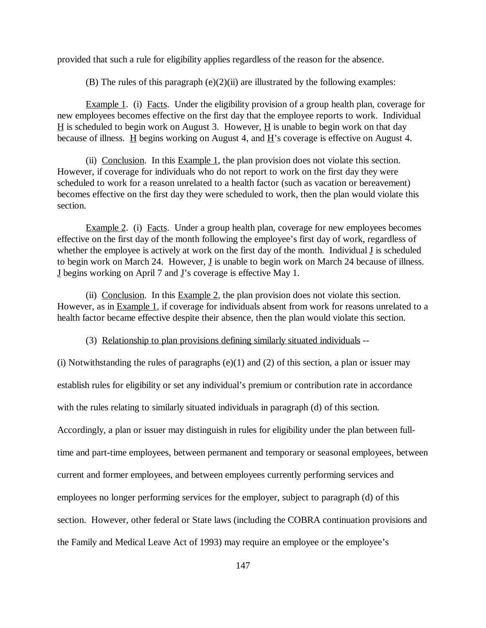provided that such a rule for eligibility applies regardless of the reason for the absence.

(B) The rules of this paragraph  $(e)(2)(ii)$  are illustrated by the following examples:

Example 1. (i) Facts. Under the eligibility provision of a group health plan, coverage for new employees becomes effective on the first day that the employee reports to work. Individual  $H$  is scheduled to begin work on August 3. However,  $H$  is unable to begin work on that day because of illness.  $\underline{H}$  begins working on August 4, and  $\underline{H}$ 's coverage is effective on August 4.

(ii) Conclusion. In this  $Example 1$ , the plan provision does not violate this section. However, if coverage for individuals who do not report to work on the first day they were scheduled to work for a reason unrelated to a health factor (such as vacation or bereavement) becomes effective on the first day they were scheduled to work, then the plan would violate this section.

Example 2. (i) Facts. Under a group health plan, coverage for new employees becomes effective on the first day of the month following the employee's first day of work, regardless of whether the employee is actively at work on the first day of the month. Individual J is scheduled to begin work on March 24. However,  $\underline{J}$  is unable to begin work on March 24 because of illness. J begins working on April 7 and J's coverage is effective May 1.

(ii) Conclusion. In this  $Example 2$ , the plan provision does not violate this section. However, as in Example 1, if coverage for individuals absent from work for reasons unrelated to a health factor became effective despite their absence, then the plan would violate this section.

(3) Relationship to plan provisions defining similarly situated individuals --

(i) Notwithstanding the rules of paragraphs  $(e)(1)$  and  $(2)$  of this section, a plan or issuer may establish rules for eligibility or set any individual's premium or contribution rate in accordance with the rules relating to similarly situated individuals in paragraph (d) of this section. Accordingly, a plan or issuer may distinguish in rules for eligibility under the plan between fulltime and part-time employees, between permanent and temporary or seasonal employees, between current and former employees, and between employees currently performing services and employees no longer performing services for the employer, subject to paragraph (d) of this section. However, other federal or State laws (including the COBRA continuation provisions and the Family and Medical Leave Act of 1993) may require an employee or the employee's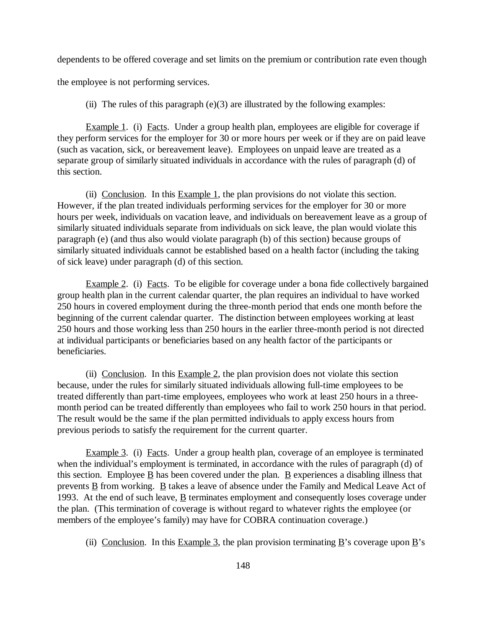dependents to be offered coverage and set limits on the premium or contribution rate even though

the employee is not performing services.

(ii) The rules of this paragraph  $(e)(3)$  are illustrated by the following examples:

Example 1. (i) Facts. Under a group health plan, employees are eligible for coverage if they perform services for the employer for 30 or more hours per week or if they are on paid leave (such as vacation, sick, or bereavement leave). Employees on unpaid leave are treated as a separate group of similarly situated individuals in accordance with the rules of paragraph (d) of this section.

(ii) Conclusion. In this Example 1, the plan provisions do not violate this section. However, if the plan treated individuals performing services for the employer for 30 or more hours per week, individuals on vacation leave, and individuals on bereavement leave as a group of similarly situated individuals separate from individuals on sick leave, the plan would violate this paragraph (e) (and thus also would violate paragraph (b) of this section) because groups of similarly situated individuals cannot be established based on a health factor (including the taking of sick leave) under paragraph (d) of this section.

Example 2. (i) Facts. To be eligible for coverage under a bona fide collectively bargained group health plan in the current calendar quarter, the plan requires an individual to have worked 250 hours in covered employment during the three-month period that ends one month before the beginning of the current calendar quarter. The distinction between employees working at least 250 hours and those working less than 250 hours in the earlier three-month period is not directed at individual participants or beneficiaries based on any health factor of the participants or beneficiaries.

(ii) Conclusion. In this  $Example 2$ , the plan provision does not violate this section because, under the rules for similarly situated individuals allowing full-time employees to be treated differently than part-time employees, employees who work at least 250 hours in a threemonth period can be treated differently than employees who fail to work 250 hours in that period. The result would be the same if the plan permitted individuals to apply excess hours from previous periods to satisfy the requirement for the current quarter.

Example 3. (i) Facts. Under a group health plan, coverage of an employee is terminated when the individual's employment is terminated, in accordance with the rules of paragraph (d) of this section. Employee  $\underline{B}$  has been covered under the plan.  $\underline{B}$  experiences a disabling illness that prevents  $\underline{B}$  from working.  $\underline{B}$  takes a leave of absence under the Family and Medical Leave Act of 1993. At the end of such leave,  $\underline{B}$  terminates employment and consequently loses coverage under the plan. (This termination of coverage is without regard to whatever rights the employee (or members of the employee's family) may have for COBRA continuation coverage.)

(ii) Conclusion. In this Example 3, the plan provision terminating B's coverage upon B's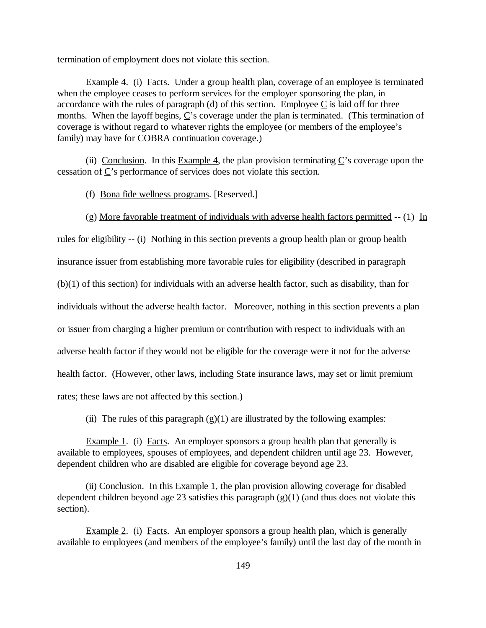termination of employment does not violate this section.

Example 4. (i) Facts. Under a group health plan, coverage of an employee is terminated when the employee ceases to perform services for the employer sponsoring the plan, in accordance with the rules of paragraph (d) of this section. Employee  $C$  is laid off for three months. When the layoff begins,  $\underline{C}$ 's coverage under the plan is terminated. (This termination of coverage is without regard to whatever rights the employee (or members of the employee's family) may have for COBRA continuation coverage.)

(ii) Conclusion. In this Example 4, the plan provision terminating  $C$ 's coverage upon the cessation of C's performance of services does not violate this section.

(f) Bona fide wellness programs. [Reserved.]

(g) More favorable treatment of individuals with adverse health factors permitted  $- (1)$  In

rules for eligibility -- (i) Nothing in this section prevents a group health plan or group health insurance issuer from establishing more favorable rules for eligibility (described in paragraph (b)(1) of this section) for individuals with an adverse health factor, such as disability, than for individuals without the adverse health factor. Moreover, nothing in this section prevents a plan or issuer from charging a higher premium or contribution with respect to individuals with an adverse health factor if they would not be eligible for the coverage were it not for the adverse health factor. (However, other laws, including State insurance laws, may set or limit premium rates; these laws are not affected by this section.)

(ii) The rules of this paragraph  $(g)(1)$  are illustrated by the following examples:

Example 1. (i) Facts. An employer sponsors a group health plan that generally is available to employees, spouses of employees, and dependent children until age 23. However, dependent children who are disabled are eligible for coverage beyond age 23.

(ii) Conclusion. In this Example 1, the plan provision allowing coverage for disabled dependent children beyond age 23 satisfies this paragraph  $(g)(1)$  (and thus does not violate this section).

Example 2. (i) Facts. An employer sponsors a group health plan, which is generally available to employees (and members of the employee's family) until the last day of the month in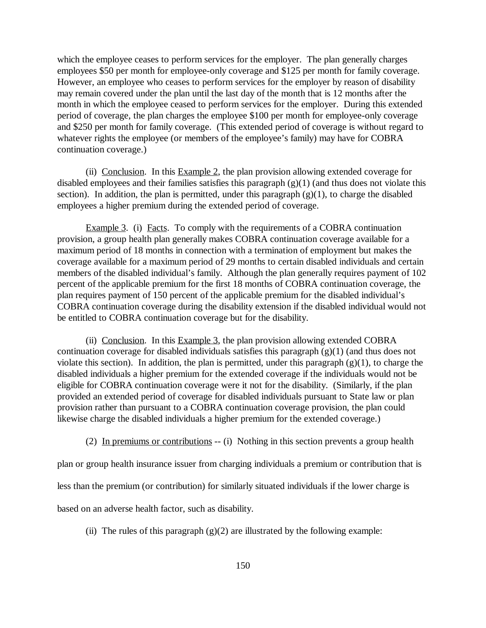which the employee ceases to perform services for the employer. The plan generally charges employees \$50 per month for employee-only coverage and \$125 per month for family coverage. However, an employee who ceases to perform services for the employer by reason of disability may remain covered under the plan until the last day of the month that is 12 months after the month in which the employee ceased to perform services for the employer. During this extended period of coverage, the plan charges the employee \$100 per month for employee-only coverage and \$250 per month for family coverage. (This extended period of coverage is without regard to whatever rights the employee (or members of the employee's family) may have for COBRA continuation coverage.)

(ii) Conclusion. In this  $Example 2$ , the plan provision allowing extended coverage for disabled employees and their families satisfies this paragraph (g)(1) (and thus does not violate this section). In addition, the plan is permitted, under this paragraph  $(g)(1)$ , to charge the disabled employees a higher premium during the extended period of coverage.

Example 3. (i) Facts. To comply with the requirements of a COBRA continuation provision, a group health plan generally makes COBRA continuation coverage available for a maximum period of 18 months in connection with a termination of employment but makes the coverage available for a maximum period of 29 months to certain disabled individuals and certain members of the disabled individual's family. Although the plan generally requires payment of 102 percent of the applicable premium for the first 18 months of COBRA continuation coverage, the plan requires payment of 150 percent of the applicable premium for the disabled individual's COBRA continuation coverage during the disability extension if the disabled individual would not be entitled to COBRA continuation coverage but for the disability.

(ii) Conclusion. In this Example 3, the plan provision allowing extended COBRA continuation coverage for disabled individuals satisfies this paragraph (g)(1) (and thus does not violate this section). In addition, the plan is permitted, under this paragraph  $(g)(1)$ , to charge the disabled individuals a higher premium for the extended coverage if the individuals would not be eligible for COBRA continuation coverage were it not for the disability. (Similarly, if the plan provided an extended period of coverage for disabled individuals pursuant to State law or plan provision rather than pursuant to a COBRA continuation coverage provision, the plan could likewise charge the disabled individuals a higher premium for the extended coverage.)

(2) In premiums or contributions -- (i) Nothing in this section prevents a group health

plan or group health insurance issuer from charging individuals a premium or contribution that is

less than the premium (or contribution) for similarly situated individuals if the lower charge is

based on an adverse health factor, such as disability.

(ii) The rules of this paragraph  $(g)(2)$  are illustrated by the following example: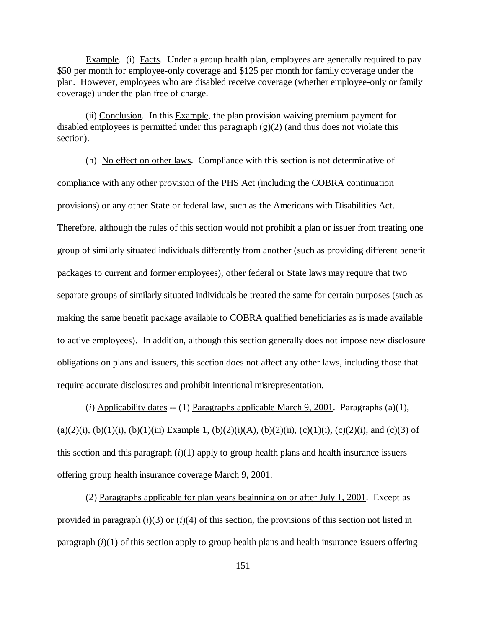Example. (i) Facts. Under a group health plan, employees are generally required to pay \$50 per month for employee-only coverage and \$125 per month for family coverage under the plan. However, employees who are disabled receive coverage (whether employee-only or family coverage) under the plan free of charge.

(ii) Conclusion. In this Example, the plan provision waiving premium payment for disabled employees is permitted under this paragraph (g)(2) (and thus does not violate this section).

(h) No effect on other laws. Compliance with this section is not determinative of compliance with any other provision of the PHS Act (including the COBRA continuation provisions) or any other State or federal law, such as the Americans with Disabilities Act. Therefore, although the rules of this section would not prohibit a plan or issuer from treating one group of similarly situated individuals differently from another (such as providing different benefit packages to current and former employees), other federal or State laws may require that two separate groups of similarly situated individuals be treated the same for certain purposes (such as making the same benefit package available to COBRA qualified beneficiaries as is made available to active employees). In addition, although this section generally does not impose new disclosure obligations on plans and issuers, this section does not affect any other laws, including those that require accurate disclosures and prohibit intentional misrepresentation.

(*i*) Applicability dates -- (1) Paragraphs applicable March 9, 2001. Paragraphs (a)(1), (a)(2)(i), (b)(1)(i), (b)(1)(iii) Example 1, (b)(2)(i)(A), (b)(2)(ii), (c)(1)(i), (c)(2)(i), and (c)(3) of this section and this paragraph  $(i)(1)$  apply to group health plans and health insurance issuers offering group health insurance coverage March 9, 2001.

(2) Paragraphs applicable for plan years beginning on or after July 1, 2001. Except as provided in paragraph (*i*)(3) or (*i*)(4) of this section, the provisions of this section not listed in paragraph  $(i)(1)$  of this section apply to group health plans and health insurance issuers offering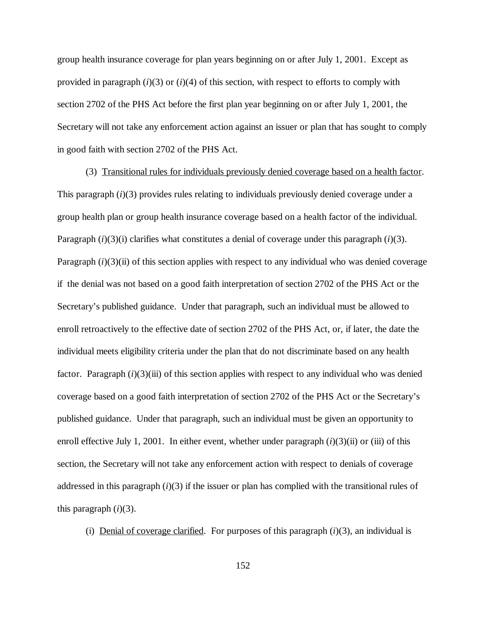group health insurance coverage for plan years beginning on or after July 1, 2001. Except as provided in paragraph  $(i)(3)$  or  $(i)(4)$  of this section, with respect to efforts to comply with section 2702 of the PHS Act before the first plan year beginning on or after July 1, 2001, the Secretary will not take any enforcement action against an issuer or plan that has sought to comply in good faith with section 2702 of the PHS Act.

(3) Transitional rules for individuals previously denied coverage based on a health factor. This paragraph (*i*)(3) provides rules relating to individuals previously denied coverage under a group health plan or group health insurance coverage based on a health factor of the individual. Paragraph  $(i)(3)(i)$  clarifies what constitutes a denial of coverage under this paragraph  $(i)(3)$ . Paragraph  $(i)(3)$ (ii) of this section applies with respect to any individual who was denied coverage if the denial was not based on a good faith interpretation of section 2702 of the PHS Act or the Secretary's published guidance. Under that paragraph, such an individual must be allowed to enroll retroactively to the effective date of section 2702 of the PHS Act, or, if later, the date the individual meets eligibility criteria under the plan that do not discriminate based on any health factor. Paragraph (*i*)(3)(iii) of this section applies with respect to any individual who was denied coverage based on a good faith interpretation of section 2702 of the PHS Act or the Secretary's published guidance. Under that paragraph, such an individual must be given an opportunity to enroll effective July 1, 2001. In either event, whether under paragraph (*i*)(3)(ii) or (iii) of this section, the Secretary will not take any enforcement action with respect to denials of coverage addressed in this paragraph  $(i)(3)$  if the issuer or plan has complied with the transitional rules of this paragraph  $(i)(3)$ .

(i) Denial of coverage clarified. For purposes of this paragraph  $(i)(3)$ , an individual is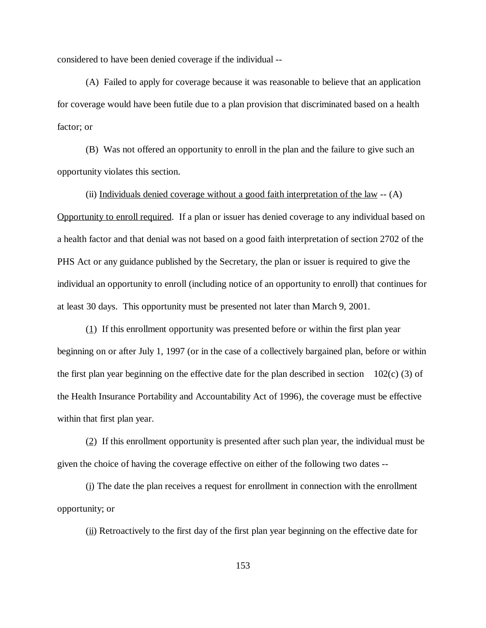considered to have been denied coverage if the individual --

(A) Failed to apply for coverage because it was reasonable to believe that an application for coverage would have been futile due to a plan provision that discriminated based on a health factor; or

(B) Was not offered an opportunity to enroll in the plan and the failure to give such an opportunity violates this section.

(ii) Individuals denied coverage without a good faith interpretation of the law  $-$  (A) Opportunity to enroll required. If a plan or issuer has denied coverage to any individual based on a health factor and that denial was not based on a good faith interpretation of section 2702 of the PHS Act or any guidance published by the Secretary, the plan or issuer is required to give the individual an opportunity to enroll (including notice of an opportunity to enroll) that continues for at least 30 days. This opportunity must be presented not later than March 9, 2001.

(1) If this enrollment opportunity was presented before or within the first plan year beginning on or after July 1, 1997 (or in the case of a collectively bargained plan, before or within the first plan year beginning on the effective date for the plan described in section 102(c) (3) of the Health Insurance Portability and Accountability Act of 1996), the coverage must be effective within that first plan year.

(2) If this enrollment opportunity is presented after such plan year, the individual must be given the choice of having the coverage effective on either of the following two dates --

(i) The date the plan receives a request for enrollment in connection with the enrollment opportunity; or

 $(iii)$  Retroactively to the first day of the first plan year beginning on the effective date for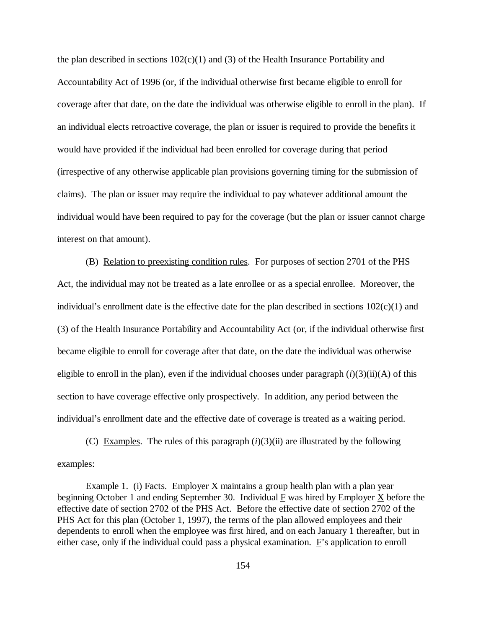the plan described in sections  $102(c)(1)$  and (3) of the Health Insurance Portability and Accountability Act of 1996 (or, if the individual otherwise first became eligible to enroll for coverage after that date, on the date the individual was otherwise eligible to enroll in the plan). If an individual elects retroactive coverage, the plan or issuer is required to provide the benefits it would have provided if the individual had been enrolled for coverage during that period (irrespective of any otherwise applicable plan provisions governing timing for the submission of claims). The plan or issuer may require the individual to pay whatever additional amount the individual would have been required to pay for the coverage (but the plan or issuer cannot charge interest on that amount).

(B) Relation to preexisting condition rules. For purposes of section 2701 of the PHS Act, the individual may not be treated as a late enrollee or as a special enrollee. Moreover, the individual's enrollment date is the effective date for the plan described in sections  $102(c)(1)$  and (3) of the Health Insurance Portability and Accountability Act (or, if the individual otherwise first became eligible to enroll for coverage after that date, on the date the individual was otherwise eligible to enroll in the plan), even if the individual chooses under paragraph  $(i)(3)(ii)(A)$  of this section to have coverage effective only prospectively. In addition, any period between the individual's enrollment date and the effective date of coverage is treated as a waiting period.

(C) Examples. The rules of this paragraph  $(i)(3)(ii)$  are illustrated by the following examples:

Example 1. (i) Facts. Employer  $\underline{X}$  maintains a group health plan with a plan year beginning October 1 and ending September 30. Individual  $\overline{F}$  was hired by Employer  $\overline{X}$  before the effective date of section 2702 of the PHS Act. Before the effective date of section 2702 of the PHS Act for this plan (October 1, 1997), the terms of the plan allowed employees and their dependents to enroll when the employee was first hired, and on each January 1 thereafter, but in either case, only if the individual could pass a physical examination. F's application to enroll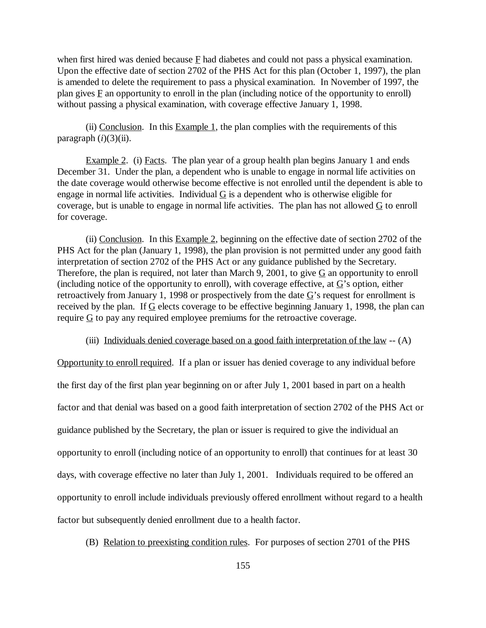when first hired was denied because  $E$  had diabetes and could not pass a physical examination. Upon the effective date of section 2702 of the PHS Act for this plan (October 1, 1997), the plan is amended to delete the requirement to pass a physical examination. In November of 1997, the plan gives  $\overline{F}$  an opportunity to enroll in the plan (including notice of the opportunity to enroll) without passing a physical examination, with coverage effective January 1, 1998.

(ii) Conclusion. In this Example 1, the plan complies with the requirements of this paragraph  $(i)(3)(ii)$ .

Example 2. (i) Facts. The plan year of a group health plan begins January 1 and ends December 31. Under the plan, a dependent who is unable to engage in normal life activities on the date coverage would otherwise become effective is not enrolled until the dependent is able to engage in normal life activities. Individual  $G$  is a dependent who is otherwise eligible for coverage, but is unable to engage in normal life activities. The plan has not allowed  $G$  to enroll for coverage.

(ii) Conclusion. In this Example 2, beginning on the effective date of section 2702 of the PHS Act for the plan (January 1, 1998), the plan provision is not permitted under any good faith interpretation of section 2702 of the PHS Act or any guidance published by the Secretary. Therefore, the plan is required, not later than March 9, 2001, to give  $G$  an opportunity to enroll (including notice of the opportunity to enroll), with coverage effective, at  $G$ 's option, either retroactively from January 1, 1998 or prospectively from the date  $G$ 's request for enrollment is received by the plan. If  $G$  elects coverage to be effective beginning January 1, 1998, the plan can require  $G$  to pay any required employee premiums for the retroactive coverage.

(iii) Individuals denied coverage based on a good faith interpretation of the law -- (A)

Opportunity to enroll required. If a plan or issuer has denied coverage to any individual before the first day of the first plan year beginning on or after July 1, 2001 based in part on a health factor and that denial was based on a good faith interpretation of section 2702 of the PHS Act or guidance published by the Secretary, the plan or issuer is required to give the individual an opportunity to enroll (including notice of an opportunity to enroll) that continues for at least 30 days, with coverage effective no later than July 1, 2001. Individuals required to be offered an opportunity to enroll include individuals previously offered enrollment without regard to a health factor but subsequently denied enrollment due to a health factor.

(B) Relation to preexisting condition rules. For purposes of section 2701 of the PHS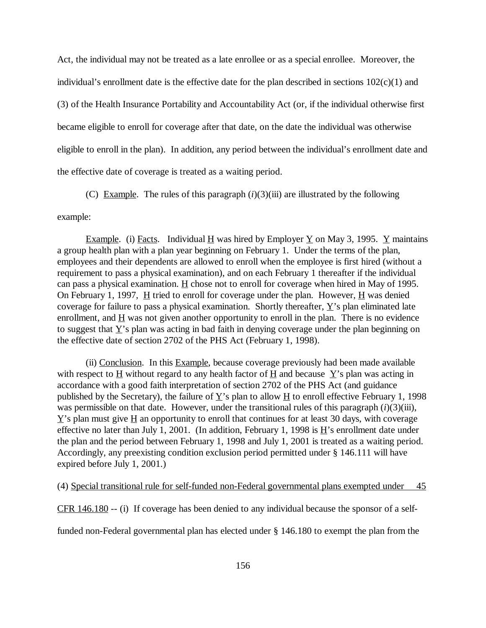Act, the individual may not be treated as a late enrollee or as a special enrollee. Moreover, the individual's enrollment date is the effective date for the plan described in sections  $102(c)(1)$  and (3) of the Health Insurance Portability and Accountability Act (or, if the individual otherwise first became eligible to enroll for coverage after that date, on the date the individual was otherwise eligible to enroll in the plan). In addition, any period between the individual's enrollment date and the effective date of coverage is treated as a waiting period.

(C) Example. The rules of this paragraph  $(i)(3)(iii)$  are illustrated by the following

## example:

Example. (i) Facts. Individual H was hired by Employer Y on May 3, 1995. Y maintains a group health plan with a plan year beginning on February 1. Under the terms of the plan, employees and their dependents are allowed to enroll when the employee is first hired (without a requirement to pass a physical examination), and on each February 1 thereafter if the individual can pass a physical examination. H chose not to enroll for coverage when hired in May of 1995. On February 1, 1997,  $H$  tried to enroll for coverage under the plan. However,  $H$  was denied coverage for failure to pass a physical examination. Shortly thereafter,  $\underline{Y}$ 's plan eliminated late enrollment, and  $\underline{H}$  was not given another opportunity to enroll in the plan. There is no evidence to suggest that  $\underline{Y}$ 's plan was acting in bad faith in denying coverage under the plan beginning on the effective date of section 2702 of the PHS Act (February 1, 1998).

(ii) Conclusion. In this Example, because coverage previously had been made available with respect to  $H$  without regard to any health factor of  $H$  and because  $Y$ 's plan was acting in accordance with a good faith interpretation of section 2702 of the PHS Act (and guidance published by the Secretary), the failure of  $\underline{Y}$ 's plan to allow  $\underline{H}$  to enroll effective February 1, 1998 was permissible on that date. However, under the transitional rules of this paragraph (*i*)(3)(iii),  $Y$ 's plan must give H an opportunity to enroll that continues for at least 30 days, with coverage effective no later than July 1, 2001. (In addition, February 1, 1998 is  $\underline{H}$ 's enrollment date under the plan and the period between February 1, 1998 and July 1, 2001 is treated as a waiting period. Accordingly, any preexisting condition exclusion period permitted under § 146.111 will have expired before July 1, 2001.)

(4) Special transitional rule for self-funded non-Federal governmental plans exempted under 45

CFR 146.180 -- (i) If coverage has been denied to any individual because the sponsor of a self-

funded non-Federal governmental plan has elected under § 146.180 to exempt the plan from the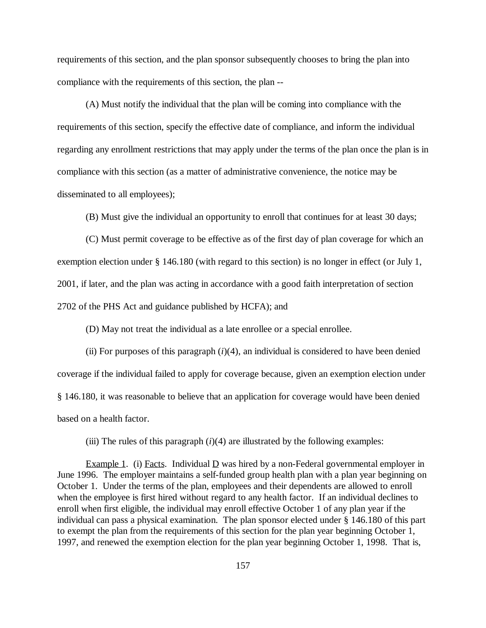requirements of this section, and the plan sponsor subsequently chooses to bring the plan into compliance with the requirements of this section, the plan --

(A) Must notify the individual that the plan will be coming into compliance with the requirements of this section, specify the effective date of compliance, and inform the individual regarding any enrollment restrictions that may apply under the terms of the plan once the plan is in compliance with this section (as a matter of administrative convenience, the notice may be disseminated to all employees);

(B) Must give the individual an opportunity to enroll that continues for at least 30 days;

(C) Must permit coverage to be effective as of the first day of plan coverage for which an exemption election under § 146.180 (with regard to this section) is no longer in effect (or July 1, 2001, if later, and the plan was acting in accordance with a good faith interpretation of section 2702 of the PHS Act and guidance published by HCFA); and

(D) May not treat the individual as a late enrollee or a special enrollee.

(ii) For purposes of this paragraph  $(i)(4)$ , an individual is considered to have been denied coverage if the individual failed to apply for coverage because, given an exemption election under § 146.180, it was reasonable to believe that an application for coverage would have been denied based on a health factor.

(iii) The rules of this paragraph  $(i)(4)$  are illustrated by the following examples:

Example 1. (i) Facts. Individual D was hired by a non-Federal governmental employer in June 1996. The employer maintains a self-funded group health plan with a plan year beginning on October 1. Under the terms of the plan, employees and their dependents are allowed to enroll when the employee is first hired without regard to any health factor. If an individual declines to enroll when first eligible, the individual may enroll effective October 1 of any plan year if the individual can pass a physical examination. The plan sponsor elected under § 146.180 of this part to exempt the plan from the requirements of this section for the plan year beginning October 1, 1997, and renewed the exemption election for the plan year beginning October 1, 1998. That is,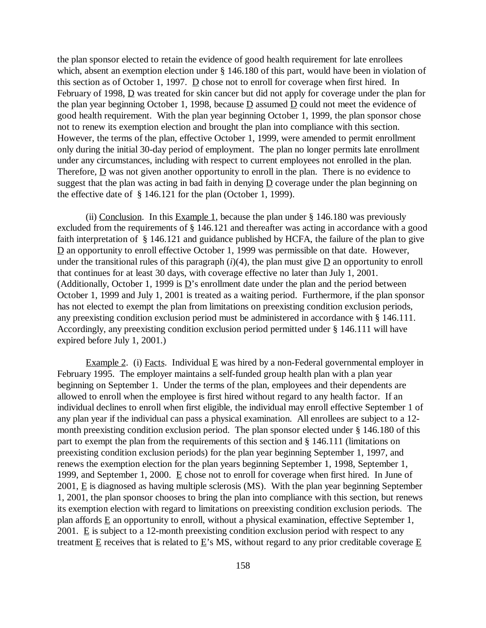the plan sponsor elected to retain the evidence of good health requirement for late enrollees which, absent an exemption election under § 146.180 of this part, would have been in violation of this section as of October 1, 1997.  $\underline{D}$  chose not to enroll for coverage when first hired. In February of 1998,  $\overline{D}$  was treated for skin cancer but did not apply for coverage under the plan for the plan year beginning October 1, 1998, because  $\underline{D}$  assumed  $\underline{D}$  could not meet the evidence of good health requirement. With the plan year beginning October 1, 1999, the plan sponsor chose not to renew its exemption election and brought the plan into compliance with this section. However, the terms of the plan, effective October 1, 1999, were amended to permit enrollment only during the initial 30-day period of employment. The plan no longer permits late enrollment under any circumstances, including with respect to current employees not enrolled in the plan. Therefore, D was not given another opportunity to enroll in the plan. There is no evidence to suggest that the plan was acting in bad faith in denying  $D$  coverage under the plan beginning on the effective date of § 146.121 for the plan (October 1, 1999).

(ii) Conclusion. In this Example 1, because the plan under  $\S$  146.180 was previously excluded from the requirements of § 146.121 and thereafter was acting in accordance with a good faith interpretation of § 146.121 and guidance published by HCFA, the failure of the plan to give  $\underline{D}$  an opportunity to enroll effective October 1, 1999 was permissible on that date. However, under the transitional rules of this paragraph  $(i)(4)$ , the plan must give  $\underline{D}$  an opportunity to enroll that continues for at least 30 days, with coverage effective no later than July 1, 2001. (Additionally, October 1, 1999 is  $D$ 's enrollment date under the plan and the period between October 1, 1999 and July 1, 2001 is treated as a waiting period. Furthermore, if the plan sponsor has not elected to exempt the plan from limitations on preexisting condition exclusion periods, any preexisting condition exclusion period must be administered in accordance with § 146.111. Accordingly, any preexisting condition exclusion period permitted under § 146.111 will have expired before July 1, 2001.)

Example 2. (i) Facts. Individual E was hired by a non-Federal governmental employer in February 1995. The employer maintains a self-funded group health plan with a plan year beginning on September 1. Under the terms of the plan, employees and their dependents are allowed to enroll when the employee is first hired without regard to any health factor. If an individual declines to enroll when first eligible, the individual may enroll effective September 1 of any plan year if the individual can pass a physical examination. All enrollees are subject to a 12 month preexisting condition exclusion period. The plan sponsor elected under § 146.180 of this part to exempt the plan from the requirements of this section and § 146.111 (limitations on preexisting condition exclusion periods) for the plan year beginning September 1, 1997, and renews the exemption election for the plan years beginning September 1, 1998, September 1, 1999, and September 1, 2000. E chose not to enroll for coverage when first hired. In June of  $2001$ , E is diagnosed as having multiple sclerosis (MS). With the plan year beginning September 1, 2001, the plan sponsor chooses to bring the plan into compliance with this section, but renews its exemption election with regard to limitations on preexisting condition exclusion periods. The plan affords E an opportunity to enroll, without a physical examination, effective September 1, 2001. E is subject to a 12-month preexisting condition exclusion period with respect to any treatment E receives that is related to E's MS, without regard to any prior creditable coverage E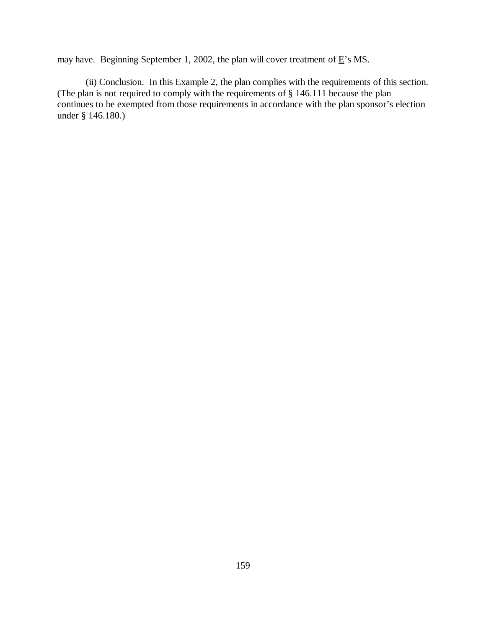may have. Beginning September 1, 2002, the plan will cover treatment of  $E$ 's MS.

(ii) Conclusion. In this  $Example 2$ , the plan complies with the requirements of this section. (The plan is not required to comply with the requirements of § 146.111 because the plan continues to be exempted from those requirements in accordance with the plan sponsor's election under § 146.180.)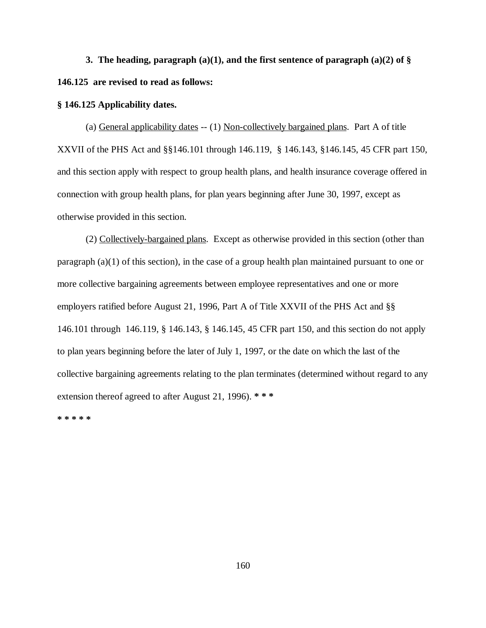**3. The heading, paragraph (a)(1), and the first sentence of paragraph (a)(2) of § 146.125 are revised to read as follows:**

## **§ 146.125 Applicability dates.**

(a) General applicability dates -- (1) Non-collectively bargained plans. Part A of title XXVII of the PHS Act and §§146.101 through 146.119, § 146.143, §146.145, 45 CFR part 150, and this section apply with respect to group health plans, and health insurance coverage offered in connection with group health plans, for plan years beginning after June 30, 1997, except as otherwise provided in this section.

(2) Collectively-bargained plans. Except as otherwise provided in this section (other than paragraph (a)(1) of this section), in the case of a group health plan maintained pursuant to one or more collective bargaining agreements between employee representatives and one or more employers ratified before August 21, 1996, Part A of Title XXVII of the PHS Act and §§ 146.101 through 146.119, § 146.143, § 146.145, 45 CFR part 150, and this section do not apply to plan years beginning before the later of July 1, 1997, or the date on which the last of the collective bargaining agreements relating to the plan terminates (determined without regard to any extension thereof agreed to after August 21, 1996). **\* \* \***

**\* \* \* \* \***